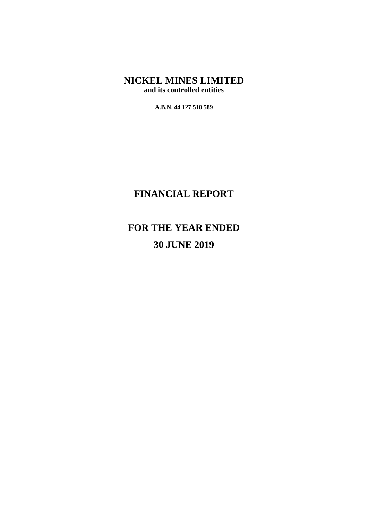**A.B.N. 44 127 510 589**

## **FINANCIAL REPORT**

# **FOR THE YEAR ENDED 30 JUNE 2019**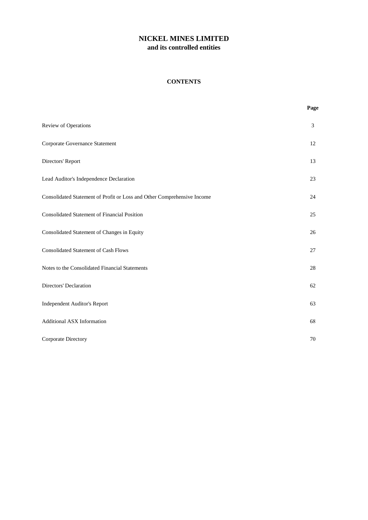## **CONTENTS**

|                                                                         | Page |
|-------------------------------------------------------------------------|------|
| Review of Operations                                                    | 3    |
| Corporate Governance Statement                                          | 12   |
| Directors' Report                                                       | 13   |
| Lead Auditor's Independence Declaration                                 | 23   |
| Consolidated Statement of Profit or Loss and Other Comprehensive Income | 24   |
| <b>Consolidated Statement of Financial Position</b>                     | 25   |
| Consolidated Statement of Changes in Equity                             | 26   |
| <b>Consolidated Statement of Cash Flows</b>                             | 27   |
| Notes to the Consolidated Financial Statements                          | 28   |
| Directors' Declaration                                                  | 62   |
| <b>Independent Auditor's Report</b>                                     | 63   |
| <b>Additional ASX Information</b>                                       | 68   |
| Corporate Directory                                                     | 70   |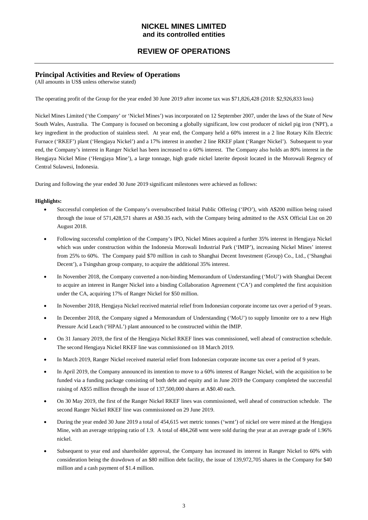## **REVIEW OF OPERATIONS**

## **Principal Activities and Review of Operations**

(All amounts in US\$ unless otherwise stated)

The operating profit of the Group for the year ended 30 June 2019 after income tax was \$71,826,428 (2018: \$2,926,833 loss)

Nickel Mines Limited ('the Company' or 'Nickel Mines') was incorporated on 12 September 2007, under the laws of the State of New South Wales, Australia. The Company is focused on becoming a globally significant, low cost producer of nickel pig iron ('NPI'), a key ingredient in the production of stainless steel. At year end, the Company held a 60% interest in a 2 line Rotary Kiln Electric Furnace ('RKEF') plant ('Hengjaya Nickel') and a 17% interest in another 2 line RKEF plant ('Ranger Nickel'). Subsequent to year end, the Company's interest in Ranger Nickel has been increased to a 60% interest. The Company also holds an 80% interest in the Hengjaya Nickel Mine ('Hengjaya Mine'), a large tonnage, high grade nickel laterite deposit located in the Morowali Regency of Central Sulawesi, Indonesia.

During and following the year ended 30 June 2019 significant milestones were achieved as follows:

## **Highlights:**

- Successful completion of the Company's oversubscribed Initial Public Offering ('IPO'), with A\$200 million being raised through the issue of 571,428,571 shares at A\$0.35 each, with the Company being admitted to the ASX Official List on 20 August 2018.
- Following successful completion of the Company's IPO, Nickel Mines acquired a further 35% interest in Hengjaya Nickel which was under construction within the Indonesia Morowali Industrial Park ('IMIP'), increasing Nickel Mines' interest from 25% to 60%. The Company paid \$70 million in cash to Shanghai Decent Investment (Group) Co., Ltd., ('Shanghai Decent'), a Tsingshan group company, to acquire the additional 35% interest.
- In November 2018, the Company converted a non-binding Memorandum of Understanding ('MoU') with Shanghai Decent to acquire an interest in Ranger Nickel into a binding Collaboration Agreement ('CA') and completed the first acquisition under the CA, acquiring 17% of Ranger Nickel for \$50 million.
- In November 2018, Hengjaya Nickel received material relief from Indonesian corporate income tax over a period of 9 years.
- In December 2018, the Company signed a Memorandum of Understanding ('MoU') to supply limonite ore to a new High Pressure Acid Leach ('HPAL') plant announced to be constructed within the IMIP.
- On 31 January 2019, the first of the Hengjaya Nickel RKEF lines was commissioned, well ahead of construction schedule. The second Hengjaya Nickel RKEF line was commissioned on 18 March 2019.
- In March 2019, Ranger Nickel received material relief from Indonesian corporate income tax over a period of 9 years.
- In April 2019, the Company announced its intention to move to a 60% interest of Ranger Nickel, with the acquisition to be funded via a funding package consisting of both debt and equity and in June 2019 the Company completed the successful raising of A\$55 million through the issue of 137,500,000 shares at A\$0.40 each.
- On 30 May 2019, the first of the Ranger Nickel RKEF lines was commissioned, well ahead of construction schedule. The second Ranger Nickel RKEF line was commissioned on 29 June 2019.
- During the year ended 30 June 2019 a total of 454,615 wet metric tonnes ('wmt') of nickel ore were mined at the Hengjaya Mine, with an average stripping ratio of 1.9. A total of 484,268 wmt were sold during the year at an average grade of 1.96% nickel.
- Subsequent to year end and shareholder approval, the Company has increased its interest in Ranger Nickel to 60% with consideration being the drawdown of an \$80 million debt facility, the issue of 139,972,705 shares in the Company for \$40 million and a cash payment of \$1.4 million.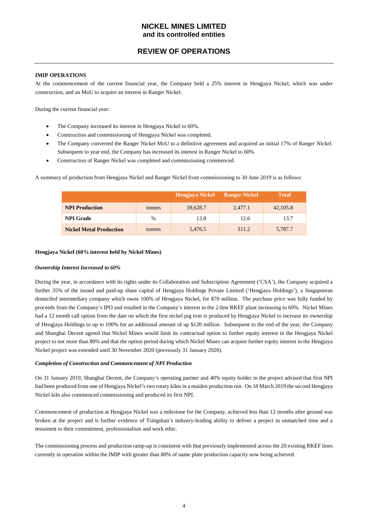## **REVIEW OF OPERATIONS**

#### **IMIP OPERATIONS**

At the commencement of the current financial year, the Company held a 25% interest in Hengjaya Nickel, which was under construction, and an MoU to acquire an interest in Ranger Nickel.

During the current financial year:

- The Company increased its interest in Hengjaya Nickel to 60%.
- Construction and commissioning of Hengjaya Nickel was completed.
- The Company converted the Ranger Nickel MoU to a definitive agreement and acquired an initial 17% of Ranger Nickel. Subsequent to year end, the Company has increased its interest in Ranger Nickel to 60%.
- Construction of Ranger Nickel was completed and commissioning commenced.

A summary of production from Hengjaya Nickel and Ranger Nickel from commissioning to 30 June 2019 is as follows:

|                                |        | Hengjaya Nickel | <b>Ranger Nickel</b> | <b>Total</b> |
|--------------------------------|--------|-----------------|----------------------|--------------|
| <b>NPI Production</b>          | tonnes | 39,628.7        | 2,477.1              | 42,105.8     |
| <b>NPI</b> Grade               | %      | 13.8            | 12.6                 | 13.7         |
| <b>Nickel Metal Production</b> | tonnes | 5,476.5         | 311.2                | 5,787.7      |

#### **Hengjaya Nickel (60% interest held by Nickel Mines)**

#### *Ownership Interest Increased to 60%*

During the year, in accordance with its rights under its Collaboration and Subscription Agreement ('CSA'), the Company acquired a further 35% of the issued and paid-up share capital of Hengjaya Holdings Private Limited ('Hengjaya Holdings'), a Singaporean domiciled intermediary company which owns 100% of Hengjaya Nickel, for \$70 million. The purchase price was fully funded by proceeds from the Company's IPO and resulted in the Company's interest in the 2-line RKEF plant increasing to 60%. Nickel Mines had a 12 month call option from the date on which the first nickel pig iron is produced by Hengjaya Nickel to increase its ownership of Hengjaya Holdings to up to 100% for an additional amount of up \$120 million. Subsequent to the end of the year, the Company and Shanghai Decent agreed that Nickel Mines would limit its contractual option to further equity interest in the Hengjaya Nickel project to not more than 80% and that the option period during which Nickel Mines can acquire further equity interest in the Hengjaya Nickel project was extended until 30 November 2020 (previously 31 January 2020).

#### *Completion of Construction and Commencement of NPI Production*

On 31 January 2019, Shanghai Decent, the Company's operating partner and 40% equity holder in the project advised that first NPI had been produced from one of Hengjaya Nickel's two rotary kilns in a maiden production run. On 18 March 2019 the second Hengjaya Nickel kiln also commenced commissioning and produced its first NPI.

Commencement of production at Hengjaya Nickel was a milestone for the Company, achieved less than 12 months after ground was broken at the project and is further evidence of Tsingshan's industry-leading ability to deliver a project in unmatched time and a testament to their commitment, professionalism and work ethic.

The commissioning process and production ramp-up is consistent with that previously implemented across the 20 existing RKEF lines currently in operation within the IMIP with greater than 80% of name plate production capacity now being achieved.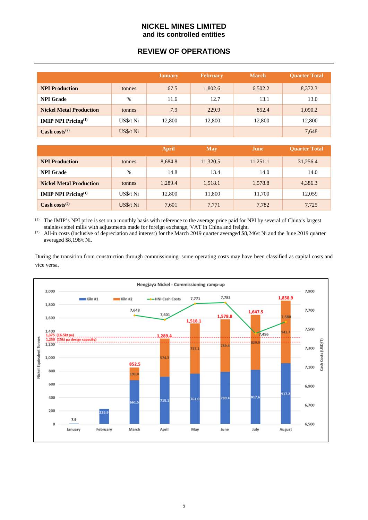## **REVIEW OF OPERATIONS**

|                                  |            | <b>January</b> | <b>February</b> | <b>March</b> | <b>Quarter Total</b> |
|----------------------------------|------------|----------------|-----------------|--------------|----------------------|
| <b>NPI Production</b>            | tonnes     | 67.5           | 1,802.6         | 6,502.2      | 8,372.3              |
| <b>NPI</b> Grade                 | %          | 11.6           | 12.7            | 13.1         | 13.0                 |
| <b>Nickel Metal Production</b>   | tonnes     | 7.9            | 229.9           | 852.4        | 1,090.2              |
| <b>IMIP NPI Pricing</b> $^{(1)}$ | $US5/t$ Ni | 12,800         | 12,800          | 12,800       | 12,800               |
| Cash costs $(2)$                 | $US3/t$ Ni |                |                 |              | 7,648                |

|                                  |            | April   | <b>May</b> | June     | <b>Ouarter Total</b> |
|----------------------------------|------------|---------|------------|----------|----------------------|
| <b>NPI Production</b>            | tonnes     | 8,684.8 | 11,320.5   | 11,251.1 | 31,256.4             |
| <b>NPI</b> Grade                 | $\%$       | 14.8    | 13.4       | 14.0     | 14.0                 |
| <b>Nickel Metal Production</b>   | tonnes     | 1,289.4 | 1,518.1    | 1,578.8  | 4,386.3              |
| <b>IMIP NPI Pricing</b> $^{(1)}$ | US\$/t Ni  | 12,800  | 11,800     | 11,700   | 12,059               |
| Cash costs $(2)$                 | $US3/t$ Ni | 7,601   | 7,771      | 7,782    | 7,725                |

(1) The IMIP's NPI price is set on a monthly basis with reference to the average price paid for NPI by several of China's largest stainless steel mills with adjustments made for foreign exchange, VAT in China and freight.

(2) All-in costs (inclusive of depreciation and interest) for the March 2019 quarter averaged \$8,246/t Ni and the June 2019 quarter averaged \$8,198/t Ni.

During the transition from construction through commissioning, some operating costs may have been classified as capital costs and vice versa.

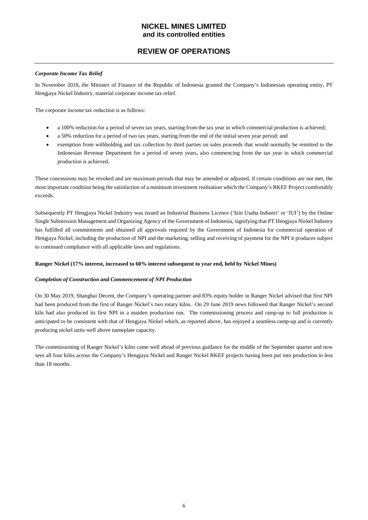## **REVIEW OF OPERATIONS**

## *Corporate Income Tax Relief*

In November 2018, the Minister of Finance of the Republic of Indonesia granted the Company's Indonesian operating entity, PT Hengjaya Nickel Industry, material corporate income tax relief.

The corporate income tax reduction is as follows:

- a 100% reduction for a period of seven tax years, starting from the tax year in which commercial production is achieved;
- a 50% reduction for a period of two tax years, starting from the end of the initial seven year period; and
- exemption from withholding and tax collection by third parties on sales proceeds that would normally be remitted to the Indonesian Revenue Department for a period of seven years, also commencing from the tax year in which commercial production is achieved.

These concessions may be revoked and are maximum periods that may be amended or adjusted, if certain conditions are not met, the most important condition being the satisfaction of a minimum investment realisation which the Company's RKEF Project comfortably exceeds.

Subsequently PT Hengjaya Nickel Industry was issued an Industrial Business Licence ('Izin Usaha Industri' or 'IUI') by the Online Single Submission Management and Organizing Agency of the Government of Indonesia, signifying that PT Hengjaya Nickel Industry has fulfilled all commitments and obtained all approvals required by the Government of Indonesia for commercial operation of Hengjaya Nickel, including the production of NPI and the marketing, selling and receiving of payment for the NPI it produces subject to continued compliance with all applicable laws and regulations.

#### **Ranger Nickel (17% interest, increased to 60% interest subsequent to year end, held by Nickel Mines)**

#### *Completion of Construction and Commencement of NPI Production*

On 30 May 2019, Shanghai Decent, the Company's operating partner and 83% equity holder in Ranger Nickel advised that first NPI had been produced from the first of Ranger Nickel's two rotary kilns. On 29 June 2019 news followed that Ranger Nickel's second kiln had also produced its first NPI in a maiden production run. The commissioning process and ramp-up to full production is anticipated to be consistent with that of Hengjaya Nickel which, as reported above, has enjoyed a seamless ramp-up and is currently producing nickel units well above nameplate capacity.

The commissioning of Ranger Nickel's kilns came well ahead of previous guidance for the middle of the September quarter and now sees all four kilns across the Company's Hengjaya Nickel and Ranger Nickel RKEF projects having been put into production in less than 18 months.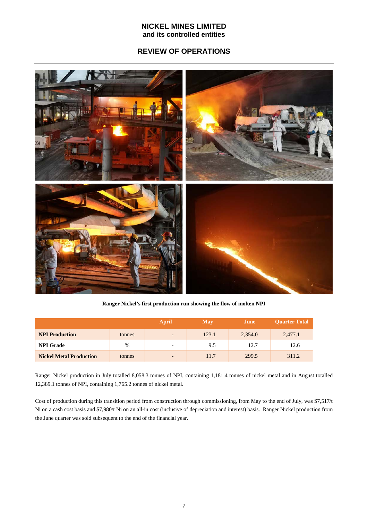## **REVIEW OF OPERATIONS**



**Ranger Nickel's first production run showing the flow of molten NPI**

|                                |        | April                    | May   | June    | <b>Ouarter Total</b> |
|--------------------------------|--------|--------------------------|-------|---------|----------------------|
| <b>NPI Production</b>          | tonnes | $\overline{\phantom{0}}$ | 123.1 | 2,354.0 | 2,477.1              |
| <b>NPI</b> Grade               | $\%$   | $\overline{\phantom{0}}$ | 9.5   | 12.7    | 12.6                 |
| <b>Nickel Metal Production</b> | tonnes | $\overline{\phantom{0}}$ | 11.7  | 299.5   | 311.2                |

Ranger Nickel production in July totalled 8,058.3 tonnes of NPI, containing 1,181.4 tonnes of nickel metal and in August totalled 12,389.1 tonnes of NPI, containing 1,765.2 tonnes of nickel metal.

Cost of production during this transition period from construction through commissioning, from May to the end of July, was \$7,517/t Ni on a cash cost basis and \$7,980/t Ni on an all-in cost (inclusive of depreciation and interest) basis. Ranger Nickel production from the June quarter was sold subsequent to the end of the financial year.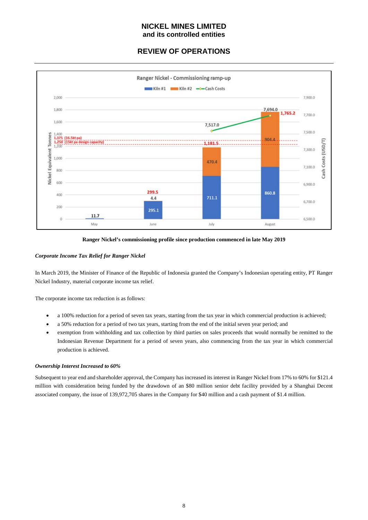## **REVIEW OF OPERATIONS**





## *Corporate Income Tax Relief for Ranger Nickel*

In March 2019, the Minister of Finance of the Republic of Indonesia granted the Company's Indonesian operating entity, PT Ranger Nickel Industry, material corporate income tax relief.

The corporate income tax reduction is as follows:

- a 100% reduction for a period of seven tax years, starting from the tax year in which commercial production is achieved;
- a 50% reduction for a period of two tax years, starting from the end of the initial seven year period; and
- exemption from withholding and tax collection by third parties on sales proceeds that would normally be remitted to the Indonesian Revenue Department for a period of seven years, also commencing from the tax year in which commercial production is achieved.

#### *Ownership Interest Increased to 60%*

Subsequent to year end and shareholder approval, the Company has increased its interest in Ranger Nickel from 17% to 60% for \$121.4 million with consideration being funded by the drawdown of an \$80 million senior debt facility provided by a Shanghai Decent associated company, the issue of 139,972,705 shares in the Company for \$40 million and a cash payment of \$1.4 million.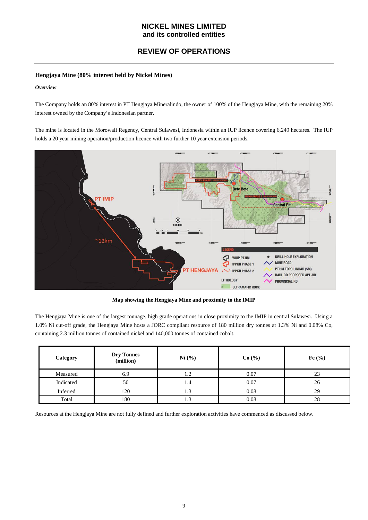## **REVIEW OF OPERATIONS**

## **Hengjaya Mine (80% interest held by Nickel Mines)**

## *Overview*

The Company holds an 80% interest in PT Hengjaya Mineralindo, the owner of 100% of the Hengjaya Mine, with the remaining 20% interest owned by the Company's Indonesian partner.

The mine is located in the Morowali Regency, Central Sulawesi, Indonesia within an IUP licence covering 6,249 hectares. The IUP holds a 20 year mining operation/production licence with two further 10 year extension periods.



**Map showing the Hengjaya Mine and proximity to the IMIP**

The Hengjaya Mine is one of the largest tonnage, high grade operations in close proximity to the IMIP in central Sulawesi. Using a 1.0% Ni cut-off grade, the Hengjaya Mine hosts a JORC compliant resource of 180 million dry tonnes at 1.3% Ni and 0.08% Co, containing 2.3 million tonnes of contained nickel and 140,000 tonnes of contained cobalt.

| Category  | <b>Dry Tonnes</b><br>(million) | Ni (%) | Co(%) | Fe $(\%)$ |
|-----------|--------------------------------|--------|-------|-----------|
| Measured  | 6.9                            | 1.2    | 0.07  | 23        |
| Indicated | 50                             | 1.4    | 0.07  | 26        |
| Inferred  | 120                            | 1.3    | 0.08  | 29        |
| Total     | 180                            | 1.3    | 0.08  | 28        |

Resources at the Hengjaya Mine are not fully defined and further exploration activities have commenced as discussed below.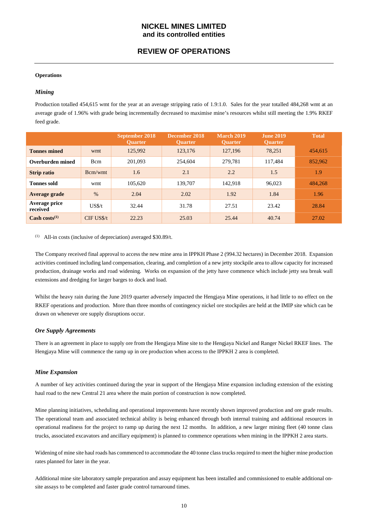## **REVIEW OF OPERATIONS**

#### **Operations**

## *Mining*

Production totalled 454,615 wmt for the year at an average stripping ratio of 1.9:1.0. Sales for the year totalled 484,268 wmt at an average grade of 1.96% with grade being incrementally decreased to maximise mine's resources whilst still meeting the 1.9% RKEF feed grade.

|                           |                  | September 2018<br><b>Ouarter</b> | December 2018<br><b>Ouarter</b> | <b>March 2019</b><br><b>Ouarter</b> | <b>June 2019</b><br><b>Ouarter</b> | <b>Total</b> |
|---------------------------|------------------|----------------------------------|---------------------------------|-------------------------------------|------------------------------------|--------------|
| <b>Tonnes mined</b>       | wmt              | 125,992                          | 123,176                         | 127,196                             | 78.251                             | 454,615      |
| Overburden mined          | Bcm              | 201.093                          | 254,604                         | 279.781                             | 117.484                            | 852,962      |
| <b>Strip ratio</b>        | Bcm/wmt          | 1.6                              | 2.1                             | 2.2                                 | 1.5                                | 1.9          |
| <b>Tonnes sold</b>        | wmt              | 105,620                          | 139,707                         | 142.918                             | 96,023                             | 484,268      |
| Average grade             | $\%$             | 2.04                             | 2.02                            | 1.92                                | 1.84                               | 1.96         |
| Average price<br>received | US <sub>st</sub> | 32.44                            | 31.78                           | 27.51                               | 23.42                              | 28.84        |
| Cash costs $^{(1)}$       | $CIF$ US\$/t     | 22.23                            | 25.03                           | 25.44                               | 40.74                              | 27.02        |

 $(1)$  All-in costs (inclusive of depreciation) averaged \$30.89/t.

The Company received final approval to access the new mine area in IPPKH Phase 2 (994.32 hectares) in December 2018. Expansion activities continued including land compensation, clearing, and completion of a new jetty stockpile area to allow capacity for increased production, drainage works and road widening. Works on expansion of the jetty have commence which include jetty sea break wall extensions and dredging for larger barges to dock and load.

Whilst the heavy rain during the June 2019 quarter adversely impacted the Hengjaya Mine operations, it had little to no effect on the RKEF operations and production. More than three months of contingency nickel ore stockpiles are held at the IMIP site which can be drawn on whenever ore supply disruptions occur.

#### *Ore Supply Agreements*

There is an agreement in place to supply ore from the Hengjaya Mine site to the Hengjaya Nickel and Ranger Nickel RKEF lines. The Hengjaya Mine will commence the ramp up in ore production when access to the IPPKH 2 area is completed.

## *Mine Expansion*

A number of key activities continued during the year in support of the Hengjaya Mine expansion including extension of the existing haul road to the new Central 21 area where the main portion of construction is now completed.

Mine planning initiatives, scheduling and operational improvements have recently shown improved production and ore grade results. The operational team and associated technical ability is being enhanced through both internal training and additional resources in operational readiness for the project to ramp up during the next 12 months. In addition, a new larger mining fleet (40 tonne class trucks, associated excavators and ancillary equipment) is planned to commence operations when mining in the IPPKH 2 area starts.

Widening of mine site haul roads has commenced to accommodate the 40 tonne class trucks required to meet the higher mine production rates planned for later in the year.

Additional mine site laboratory sample preparation and assay equipment has been installed and commissioned to enable additional onsite assays to be completed and faster grade control turnaround times.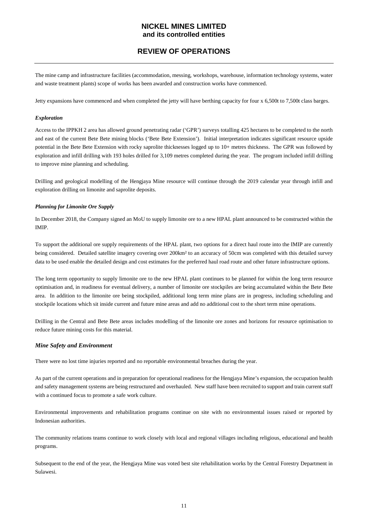## **REVIEW OF OPERATIONS**

The mine camp and infrastructure facilities (accommodation, messing, workshops, warehouse, information technology systems, water and waste treatment plants) scope of works has been awarded and construction works have commenced.

Jetty expansions have commenced and when completed the jetty will have berthing capacity for four x 6,500t to 7,500t class barges.

#### *Exploration*

Access to the IPPKH 2 area has allowed ground penetrating radar ('GPR') surveys totalling 425 hectares to be completed to the north and east of the current Bete Bete mining blocks ('Bete Bete Extension'). Initial interpretation indicates significant resource upside potential in the Bete Bete Extension with rocky saprolite thicknesses logged up to 10+ metres thickness. The GPR was followed by exploration and infill drilling with 193 holes drilled for 3,109 metres completed during the year. The program included infill drilling to improve mine planning and scheduling.

Drilling and geological modelling of the Hengjaya Mine resource will continue through the 2019 calendar year through infill and exploration drilling on limonite and saprolite deposits.

#### *Planning for Limonite Ore Supply*

In December 2018, the Company signed an MoU to supply limonite ore to a new HPAL plant announced to be constructed within the IMIP.

To support the additional ore supply requirements of the HPAL plant, two options for a direct haul route into the IMIP are currently being considered. Detailed satellite imagery covering over 200km² to an accuracy of 50cm was completed with this detailed survey data to be used enable the detailed design and cost estimates for the preferred haul road route and other future infrastructure options.

The long term opportunity to supply limonite ore to the new HPAL plant continues to be planned for within the long term resource optimisation and, in readiness for eventual delivery, a number of limonite ore stockpiles are being accumulated within the Bete Bete area. In addition to the limonite ore being stockpiled, additional long term mine plans are in progress, including scheduling and stockpile locations which sit inside current and future mine areas and add no additional cost to the short term mine operations.

Drilling in the Central and Bete Bete areas includes modelling of the limonite ore zones and horizons for resource optimisation to reduce future mining costs for this material.

## *Mine Safety and Environment*

There were no lost time injuries reported and no reportable environmental breaches during the year.

As part of the current operations and in preparation for operational readiness for the Hengjaya Mine's expansion, the occupation health and safety management systems are being restructured and overhauled. New staff have been recruited to support and train current staff with a continued focus to promote a safe work culture.

Environmental improvements and rehabilitation programs continue on site with no environmental issues raised or reported by Indonesian authorities.

The community relations teams continue to work closely with local and regional villages including religious, educational and health programs.

Subsequent to the end of the year, the Hengjaya Mine was voted best site rehabilitation works by the Central Forestry Department in Sulawesi.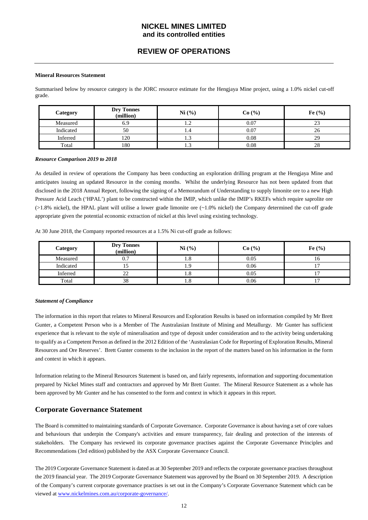## **REVIEW OF OPERATIONS**

#### **Mineral Resources Statement**

Summarised below by resource category is the JORC resource estimate for the Hengjaya Mine project, using a 1.0% nickel cut-off grade.

| Category  | <b>Dry Tonnes</b><br>(million) | Ni (%)            | Co(%) | Fe $(%$  |
|-----------|--------------------------------|-------------------|-------|----------|
| Measured  | 6.9                            |                   | 0.07  | $\sim$   |
| Indicated | 50                             | 1.4               | 0.07  | 26       |
| Inferred  | 120                            | ر. 1              | 0.08  | 29       |
| Total     | 180                            | $\sqrt{2}$<br>1.5 | 0.08  | ററ<br>28 |

#### *Resource Comparison 2019 to 2018*

As detailed in review of operations the Company has been conducting an exploration drilling program at the Hengjaya Mine and anticipates issuing an updated Resource in the coming months. Whilst the underlying Resource has not been updated from that disclosed in the 2018 Annual Report, following the signing of a Memorandum of Understanding to supply limonite ore to a new High Pressure Acid Leach ('HPAL') plant to be constructed within the IMIP, which unlike the IMIP's RKEFs which require saprolite ore  $(>1.8\%$  nickel), the HPAL plant will utilise a lower grade limonite ore  $(-1.0\%$  nickel) the Company determined the cut-off grade appropriate given the potential economic extraction of nickel at this level using existing technology.

| Category  | <b>Dry Tonnes</b><br>(million) | Ni (%) | Co(%) | Fe $(\%)$ |
|-----------|--------------------------------|--------|-------|-----------|
| Measured  | υ.                             | 1.0    | 0.05  |           |
| Indicated |                                |        | 0.06  |           |
| Inferred  | າາ                             | 1.0    | 0.05  |           |
| Total     | 38                             | 1.0    | 0.06  |           |

At 30 June 2018, the Company reported resources at a 1.5% Ni cut-off grade as follows:

#### *Statement of Compliance*

The information in this report that relates to Mineral Resources and Exploration Results is based on information compiled by Mr Brett Gunter, a Competent Person who is a Member of The Australasian Institute of Mining and Metallurgy. Mr Gunter has sufficient experience that is relevant to the style of mineralisation and type of deposit under consideration and to the activity being undertaking to qualify as a Competent Person as defined in the 2012 Edition of the 'Australasian Code for Reporting of Exploration Results, Mineral Resources and Ore Reserves'. Brett Gunter consents to the inclusion in the report of the matters based on his information in the form and context in which it appears.

Information relating to the Mineral Resources Statement is based on, and fairly represents, information and supporting documentation prepared by Nickel Mines staff and contractors and approved by Mr Brett Gunter. The Mineral Resource Statement as a whole has been approved by Mr Gunter and he has consented to the form and context in which it appears in this report.

## **Corporate Governance Statement**

The Board is committed to maintaining standards of Corporate Governance. Corporate Governance is about having a set of core values and behaviours that underpin the Company's activities and ensure transparency, fair dealing and protection of the interests of stakeholders. The Company has reviewed its corporate governance practises against the Corporate Governance Principles and Recommendations (3rd edition) published by the ASX Corporate Governance Council.

The 2019 Corporate Governance Statement is dated as at 30 September 2019 and reflects the corporate governance practises throughout the 2019 financial year. The 2019 Corporate Governance Statement was approved by the Board on 30 September 2019. A description of the Company's current corporate governance practises is set out in the Company's Corporate Governance Statement which can be viewed at [www.nickelmines.com.au/corporate-governance/.](http://www.nickelmines.com.au/corporate-governance/)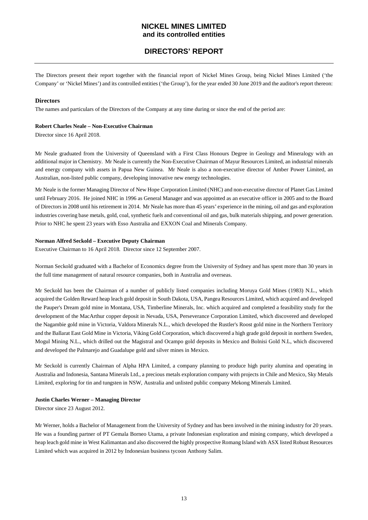## **DIRECTORS' REPORT**

The Directors present their report together with the financial report of Nickel Mines Group, being Nickel Mines Limited ('the Company' or 'Nickel Mines') and its controlled entities ('the Group'), for the year ended 30 June 2019 and the auditor's report thereon:

#### **Directors**

The names and particulars of the Directors of the Company at any time during or since the end of the period are:

#### **Robert Charles Neale – Non-Executive Chairman**

Director since 16 April 2018.

Mr Neale graduated from the University of Queensland with a First Class Honours Degree in Geology and Mineralogy with an additional major in Chemistry. Mr Neale is currently the Non-Executive Chairman of Mayur Resources Limited, an industrial minerals and energy company with assets in Papua New Guinea. Mr Neale is also a non-executive director of Amber Power Limited, an Australian, non-listed public company, developing innovative new energy technologies.

Mr Neale is the former Managing Director of New Hope Corporation Limited (NHC) and non-executive director of Planet Gas Limited until February 2016. He joined NHC in 1996 as General Manager and was appointed as an executive officer in 2005 and to the Board of Directors in 2008 until his retirement in 2014. Mr Neale has more than 45 years' experience in the mining, oil and gas and exploration industries covering base metals, gold, coal, synthetic fuels and conventional oil and gas, bulk materials shipping, and power generation. Prior to NHC he spent 23 years with Esso Australia and EXXON Coal and Minerals Company.

#### **Norman Alfred Seckold – Executive Deputy Chairman**

Executive Chairman to 16 April 2018. Director since 12 September 2007.

Norman Seckold graduated with a Bachelor of Economics degree from the University of Sydney and has spent more than 30 years in the full time management of natural resource companies, both in Australia and overseas.

Mr Seckold has been the Chairman of a number of publicly listed companies including Moruya Gold Mines (1983) N.L., which acquired the Golden Reward heap leach gold deposit in South Dakota, USA, Pangea Resources Limited, which acquired and developed the Pauper's Dream gold mine in Montana, USA, Timberline Minerals, Inc. which acquired and completed a feasibility study for the development of the MacArthur copper deposit in Nevada, USA, Perseverance Corporation Limited, which discovered and developed the Nagambie gold mine in Victoria, Valdora Minerals N.L., which developed the Rustler's Roost gold mine in the Northern Territory and the Ballarat East Gold Mine in Victoria, Viking Gold Corporation, which discovered a high grade gold deposit in northern Sweden, Mogul Mining N.L., which drilled out the Magistral and Ocampo gold deposits in Mexico and Bolnisi Gold N.L, which discovered and developed the Palmarejo and Guadalupe gold and silver mines in Mexico.

Mr Seckold is currently Chairman of Alpha HPA Limited, a company planning to produce high purity alumina and operating in Australia and Indonesia, Santana Minerals Ltd., a precious metals exploration company with projects in Chile and Mexico, Sky Metals Limited, exploring for tin and tungsten in NSW, Australia and unlisted public company Mekong Minerals Limited.

#### **Justin Charles Werner – Managing Director**

Director since 23 August 2012.

Mr Werner, holds a Bachelor of Management from the University of Sydney and has been involved in the mining industry for 20 years. He was a founding partner of PT Gemala Borneo Utama, a private Indonesian exploration and mining company, which developed a heap leach gold mine in West Kalimantan and also discovered the highly prospective Romang Island with ASX listed Robust Resources Limited which was acquired in 2012 by Indonesian business tycoon Anthony Salim.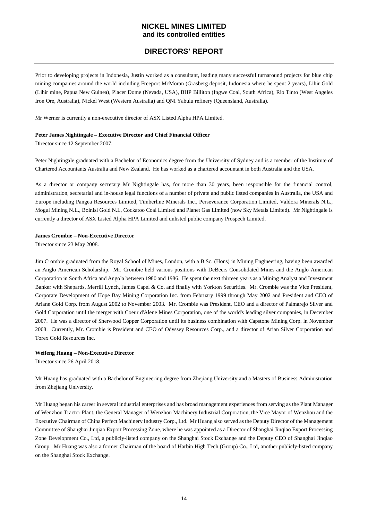## **DIRECTORS' REPORT**

Prior to developing projects in Indonesia, Justin worked as a consultant, leading many successful turnaround projects for blue chip mining companies around the world including Freeport McMoran (Grasberg deposit, Indonesia where he spent 2 years), Lihir Gold (Lihir mine, Papua New Guinea), Placer Dome (Nevada, USA), BHP Billiton (Ingwe Coal, South Africa), Rio Tinto (West Angeles Iron Ore, Australia), Nickel West (Western Australia) and QNI Yabulu refinery (Queensland, Australia).

Mr Werner is currently a non-executive director of ASX Listed Alpha HPA Limited.

## **Peter James Nightingale – Executive Director and Chief Financial Officer**

Director since 12 September 2007.

Peter Nightingale graduated with a Bachelor of Economics degree from the University of Sydney and is a member of the Institute of Chartered Accountants Australia and New Zealand. He has worked as a chartered accountant in both Australia and the USA.

As a director or company secretary Mr Nightingale has, for more than 30 years, been responsible for the financial control, administration, secretarial and in-house legal functions of a number of private and public listed companies in Australia, the USA and Europe including Pangea Resources Limited, Timberline Minerals Inc., Perseverance Corporation Limited, Valdora Minerals N.L., Mogul Mining N.L., Bolnisi Gold N.L, Cockatoo Coal Limited and Planet Gas Limited (now Sky Metals Limited). Mr Nightingale is currently a director of ASX Listed Alpha HPA Limited and unlisted public company Prospech Limited.

#### **James Crombie – Non-Executive Director**

Director since 23 May 2008.

Jim Crombie graduated from the Royal School of Mines, London, with a B.Sc. (Hons) in Mining Engineering, having been awarded an Anglo American Scholarship. Mr. Crombie held various positions with DeBeers Consolidated Mines and the Anglo American Corporation in South Africa and Angola between 1980 and 1986. He spent the next thirteen years as a Mining Analyst and Investment Banker with Shepards, Merrill Lynch, James Capel & Co. and finally with Yorkton Securities. Mr. Crombie was the Vice President, Corporate Development of Hope Bay Mining Corporation Inc. from February 1999 through May 2002 and President and CEO of Ariane Gold Corp. from August 2002 to November 2003. Mr. Crombie was President, CEO and a director of Palmarejo Silver and Gold Corporation until the merger with Coeur d'Alene Mines Corporation, one of the world's leading silver companies, in December 2007. He was a director of Sherwood Copper Corporation until its business combination with Capstone Mining Corp. in November 2008. Currently, Mr. Crombie is President and CEO of Odyssey Resources Corp., and a director of Arian Silver Corporation and Torex Gold Resources Inc.

## **Weifeng Huang – Non-Executive Director**

Director since 26 April 2018.

Mr Huang has graduated with a Bachelor of Engineering degree from Zhejiang University and a Masters of Business Administration from Zhejiang University.

Mr Huang began his career in several industrial enterprises and has broad management experiences from serving as the Plant Manager of Wenzhou Tractor Plant, the General Manager of Wenzhou Machinery Industrial Corporation, the Vice Mayor of Wenzhou and the Executive Chairman of China Perfect Machinery Industry Corp., Ltd. Mr Huang also served as the Deputy Director of the Management Committee of Shanghai Jinqiao Export Processing Zone, where he was appointed as a Director of Shanghai Jinqiao Export Processing Zone Development Co., Ltd, a publicly-listed company on the Shanghai Stock Exchange and the Deputy CEO of Shanghai Jinqiao Group. Mr Huang was also a former Chairman of the board of Harbin High Tech (Group) Co., Ltd, another publicly-listed company on the Shanghai Stock Exchange.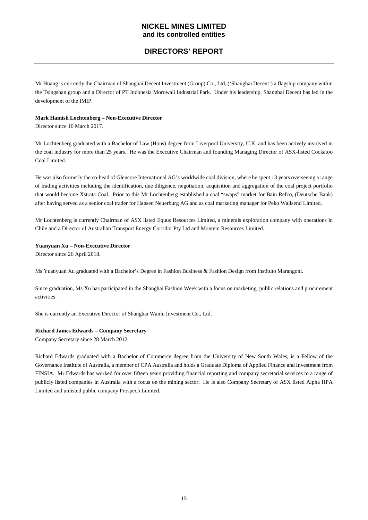## **DIRECTORS' REPORT**

Mr Huang is currently the Chairman of Shanghai Decent Investment (Group) Co., Ltd, ('Shanghai Decent') a flagship company within the Tsingshan group and a Director of PT Indonesia Morowali Industrial Park. Under his leadership, Shanghai Decent has led in the development of the IMIP.

## **Mark Hamish Lochtenberg – Non-Executive Director**

Director since 10 March 2017.

Mr Lochtenberg graduated with a Bachelor of Law (Hons) degree from Liverpool University, U.K. and has been actively involved in the coal industry for more than 25 years. He was the Executive Chairman and founding Managing Director of ASX-listed Cockatoo Coal Limited.

He was also formerly the co-head of Glencore International AG's worldwide coal division, where he spent 13 years overseeing a range of trading activities including the identification, due diligence, negotiation, acquisition and aggregation of the coal project portfolio that would become Xstrata Coal. Prior to this Mr Lochtenberg established a coal "swaps" market for Bain Refco, (Deutsche Bank) after having served as a senior coal trader for Hansen Neuerburg AG and as coal marketing manager for Peko Wallsend Limited.

Mr Lochtenberg is currently Chairman of ASX listed Equus Resources Limited, a minerals exploration company with operations in Chile and a Director of Australian Transport Energy Corridor Pty Ltd and Montem Resources Limited.

#### **Yuanyuan Xu – Non-Executive Director**

Director since 26 April 2018.

Ms Yuanyuan Xu graduated with a Bachelor's Degree in Fashion Business & Fashion Design from Instituto Marangoni.

Since graduation, Ms Xu has participated in the Shanghai Fashion Week with a focus on marketing, public relations and procurement activities.

She is currently an Executive Director of Shanghai Wanlu Investment Co., Ltd.

#### **Richard James Edwards – Company Secretary**

Company Secretary since 28 March 2012.

Richard Edwards graduated with a Bachelor of Commerce degree from the University of New South Wales, is a Fellow of the Governance Institute of Australia, a member of CPA Australia and holds a Graduate Diploma of Applied Finance and Investment from FINSIA. Mr Edwards has worked for over fifteen years providing financial reporting and company secretarial services to a range of publicly listed companies in Australia with a focus on the mining sector. He is also Company Secretary of ASX listed Alpha HPA Limited and unlisted public company Prospech Limited.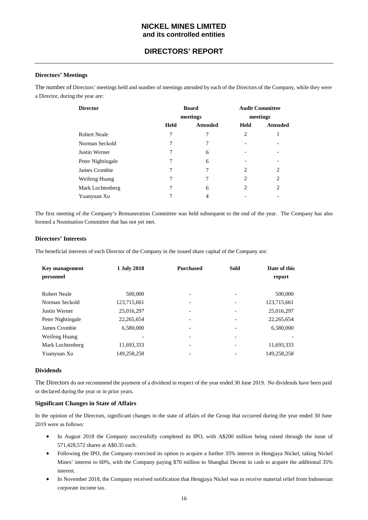## **DIRECTORS' REPORT**

## **Directors' Meetings**

The number of Directors' meetings held and number of meetings attended by each of the Directors of the Company, while they were a Director, during the year are:

| <b>Director</b>     |             | <b>Board</b>    | <b>Audit Committee</b> |                 |
|---------------------|-------------|-----------------|------------------------|-----------------|
|                     |             | meetings        |                        | meetings        |
|                     | <b>Held</b> | <b>Attended</b> | Held                   | <b>Attended</b> |
| <b>Robert Neale</b> | 7           | 7               | 2                      |                 |
| Norman Seckold      | 7           | 7               |                        |                 |
| Justin Werner       | 7           | 6               |                        |                 |
| Peter Nightingale   | 7           | 6               |                        |                 |
| James Crombie       |             |                 | 2                      | 2               |
| Weifeng Huang       | 7           | 7               | $\overline{c}$         | $\overline{c}$  |
| Mark Lochtenberg    |             | 6               | 2                      | 2               |
| Yuanyuan Xu         |             | 4               |                        |                 |

The first meeting of the Company's Remuneration Committee was held subsequent to the end of the year. The Company has also formed a Nomination Committee that has not yet met.

#### **Directors' Interests**

The beneficial interests of each Director of the Company in the issued share capital of the Company are:

| <b>Key management</b><br>personnel | 1 July 2018  | <b>Purchased</b>         | Sold                     | Date of this<br>report |
|------------------------------------|--------------|--------------------------|--------------------------|------------------------|
| <b>Robert Neale</b>                | 500,000      | ۰                        |                          | 500,000                |
| Norman Seckold                     | 123,715,661  | $\overline{\phantom{a}}$ |                          | 123,715,661            |
| Justin Werner                      | 25,016,297   | $\overline{\phantom{a}}$ |                          | 25,016,297             |
| Peter Nightingale                  | 22, 265, 654 | -                        |                          | 22, 265, 654           |
| James Crombie                      | 6,580,000    | -                        |                          | 6,580,000              |
| Weifeng Huang                      |              | $\overline{\phantom{a}}$ | $\overline{\phantom{0}}$ |                        |
| Mark Lochtenberg                   | 11,693,333   | $\overline{\phantom{a}}$ |                          | 11,693,333             |
| Yuanyuan Xu                        | 149,258,258  |                          |                          | 149,258,258            |

#### **Dividends**

The Directors do not recommend the payment of a dividend in respect of the year ended 30 June 2019. No dividends have been paid or declared during the year or in prior years.

#### **Significant Changes in State of Affairs**

In the opinion of the Directors, significant changes in the state of affairs of the Group that occurred during the year ended 30 June 2019 were as follows:

- In August 2018 the Company successfully completed its IPO, with A\$200 million being raised through the issue of 571,428,572 shares at A\$0.35 each.
- Following the IPO, the Company exercised its option to acquire a further 35% interest in Hengjaya Nickel, taking Nickel Mines' interest to 60%, with the Company paying \$70 million to Shanghai Decent in cash to acquire the additional 35% interest.
- In November 2018, the Company received notification that Hengjaya Nickel was to receive material relief from Indonesian corporate income tax.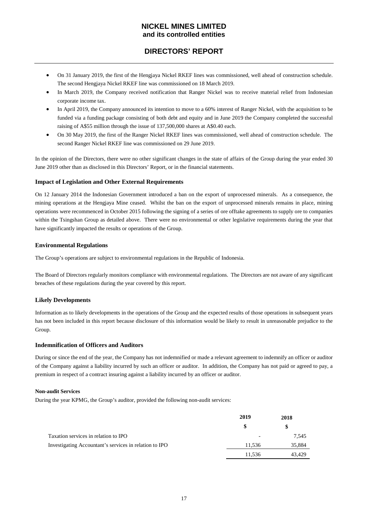## **DIRECTORS' REPORT**

- On 31 January 2019, the first of the Hengjaya Nickel RKEF lines was commissioned, well ahead of construction schedule. The second Hengjaya Nickel RKEF line was commissioned on 18 March 2019.
- In March 2019, the Company received notification that Ranger Nickel was to receive material relief from Indonesian corporate income tax.
- In April 2019, the Company announced its intention to move to a 60% interest of Ranger Nickel, with the acquisition to be funded via a funding package consisting of both debt and equity and in June 2019 the Company completed the successful raising of A\$55 million through the issue of 137,500,000 shares at A\$0.40 each.
- On 30 May 2019, the first of the Ranger Nickel RKEF lines was commissioned, well ahead of construction schedule. The second Ranger Nickel RKEF line was commissioned on 29 June 2019.

In the opinion of the Directors, there were no other significant changes in the state of affairs of the Group during the year ended 30 June 2019 other than as disclosed in this Directors' Report, or in the financial statements.

## **Impact of Legislation and Other External Requirements**

On 12 January 2014 the Indonesian Government introduced a ban on the export of unprocessed minerals. As a consequence, the mining operations at the Hengjaya Mine ceased. Whilst the ban on the export of unprocessed minerals remains in place, mining operations were recommenced in October 2015 following the signing of a series of ore offtake agreements to supply ore to companies within the Tsingshan Group as detailed above. There were no environmental or other legislative requirements during the year that have significantly impacted the results or operations of the Group.

## **Environmental Regulations**

The Group's operations are subject to environmental regulations in the Republic of Indonesia.

The Board of Directors regularly monitors compliance with environmental regulations. The Directors are not aware of any significant breaches of these regulations during the year covered by this report.

## **Likely Developments**

Information as to likely developments in the operations of the Group and the expected results of those operations in subsequent years has not been included in this report because disclosure of this information would be likely to result in unreasonable prejudice to the Group.

## **Indemnification of Officers and Auditors**

During or since the end of the year, the Company has not indemnified or made a relevant agreement to indemnify an officer or auditor of the Company against a liability incurred by such an officer or auditor. In addition, the Company has not paid or agreed to pay, a premium in respect of a contract insuring against a liability incurred by an officer or auditor.

#### **Non-audit Services**

During the year KPMG, the Group's auditor, provided the following non-audit services:

|                                                        | 2019                     | 2018   |
|--------------------------------------------------------|--------------------------|--------|
|                                                        | \$                       | \$     |
| Taxation services in relation to IPO                   | $\overline{\phantom{a}}$ | 7,545  |
| Investigating Accountant's services in relation to IPO | 11.536                   | 35,884 |
|                                                        | 11.536                   | 43.429 |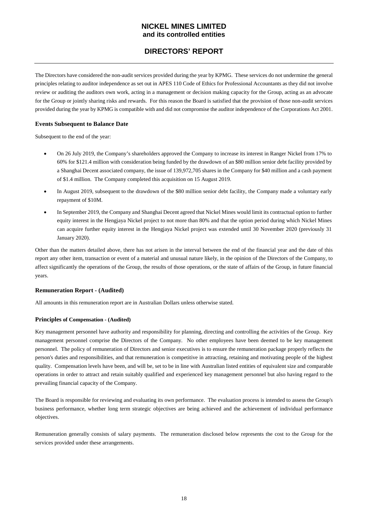## **DIRECTORS' REPORT**

The Directors have considered the non-audit services provided during the year by KPMG. These services do not undermine the general principles relating to auditor independence as set out in APES 110 Code of Ethics for Professional Accountants as they did not involve review or auditing the auditors own work, acting in a management or decision making capacity for the Group, acting as an advocate for the Group or jointly sharing risks and rewards. For this reason the Board is satisfied that the provision of those non-audit services provided during the year by KPMG is compatible with and did not compromise the auditor independence of the Corporations Act 2001.

## **Events Subsequent to Balance Date**

Subsequent to the end of the year:

- On 26 July 2019, the Company's shareholders approved the Company to increase its interest in Ranger Nickel from 17% to 60% for \$121.4 million with consideration being funded by the drawdown of an \$80 million senior debt facility provided by a Shanghai Decent associated company, the issue of 139,972,705 shares in the Company for \$40 million and a cash payment of \$1.4 million. The Company completed this acquisition on 15 August 2019.
- In August 2019, subsequent to the drawdown of the \$80 million senior debt facility, the Company made a voluntary early repayment of \$10M.
- In September 2019, the Company and Shanghai Decent agreed that Nickel Mines would limit its contractual option to further equity interest in the Hengjaya Nickel project to not more than 80% and that the option period during which Nickel Mines can acquire further equity interest in the Hengjaya Nickel project was extended until 30 November 2020 (previously 31 January 2020).

Other than the matters detailed above, there has not arisen in the interval between the end of the financial year and the date of this report any other item, transaction or event of a material and unusual nature likely, in the opinion of the Directors of the Company, to affect significantly the operations of the Group, the results of those operations, or the state of affairs of the Group, in future financial years.

## **Remuneration Report - (Audited)**

All amounts in this remuneration report are in Australian Dollars unless otherwise stated.

#### **Principles of Compensation - (Audited)**

Key management personnel have authority and responsibility for planning, directing and controlling the activities of the Group. Key management personnel comprise the Directors of the Company. No other employees have been deemed to be key management personnel. The policy of remuneration of Directors and senior executives is to ensure the remuneration package properly reflects the person's duties and responsibilities, and that remuneration is competitive in attracting, retaining and motivating people of the highest quality. Compensation levels have been, and will be, set to be in line with Australian listed entities of equivalent size and comparable operations in order to attract and retain suitably qualified and experienced key management personnel but also having regard to the prevailing financial capacity of the Company.

The Board is responsible for reviewing and evaluating its own performance. The evaluation process is intended to assess the Group's business performance, whether long term strategic objectives are being achieved and the achievement of individual performance objectives.

Remuneration generally consists of salary payments. The remuneration disclosed below represents the cost to the Group for the services provided under these arrangements.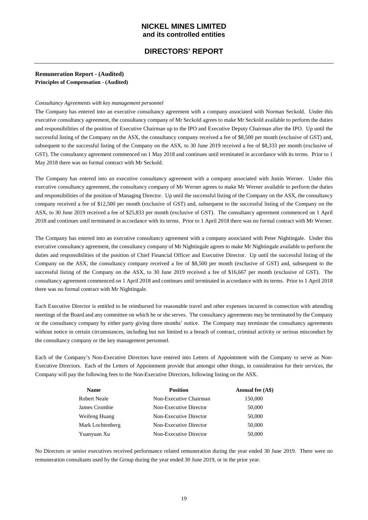## **DIRECTORS' REPORT**

## **Remuneration Report - (Audited) Principles of Compensation - (Audited)**

#### *Consultancy Agreements with key management personnel*

The Company has entered into an executive consultancy agreement with a company associated with Norman Seckold. Under this executive consultancy agreement, the consultancy company of Mr Seckold agrees to make Mr Seckold available to perform the duties and responsibilities of the position of Executive Chairman up to the IPO and Executive Deputy Chairman after the IPO. Up until the successful listing of the Company on the ASX, the consultancy company received a fee of \$8,500 per month (exclusive of GST) and, subsequent to the successful listing of the Company on the ASX, to 30 June 2019 received a fee of \$8,333 per month (exclusive of GST). The consultancy agreement commenced on 1 May 2018 and continues until terminated in accordance with its terms. Prior to 1 May 2018 there was no formal contract with Mr Seckold.

The Company has entered into an executive consultancy agreement with a company associated with Justin Werner. Under this executive consultancy agreement, the consultancy company of Mr Werner agrees to make Mr Werner available to perform the duties and responsibilities of the position of Managing Director. Up until the successful listing of the Company on the ASX, the consultancy company received a fee of \$12,500 per month (exclusive of GST) and, subsequent to the successful listing of the Company on the ASX, to 30 June 2019 received a fee of \$25,833 per month (exclusive of GST). The consultancy agreement commenced on 1 April 2018 and continues until terminated in accordance with its terms. Prior to 1 April 2018 there was no formal contract with Mr Werner.

The Company has entered into an executive consultancy agreement with a company associated with Peter Nightingale. Under this executive consultancy agreement, the consultancy company of Mr Nightingale agrees to make Mr Nightingale available to perform the duties and responsibilities of the position of Chief Financial Officer and Executive Director. Up until the successful listing of the Company on the ASX, the consultancy company received a fee of \$8,500 per month (exclusive of GST) and, subsequent to the successful listing of the Company on the ASX, to 30 June 2019 received a fee of \$16,667 per month (exclusive of GST). The consultancy agreement commenced on 1 April 2018 and continues until terminated in accordance with its terms. Prior to 1 April 2018 there was no formal contract with Mr Nightingale.

Each Executive Director is entitled to be reimbursed for reasonable travel and other expenses incurred in connection with attending meetings of the Board and any committee on which he or she serves. The consultancy agreements may be terminated by the Company or the consultancy company by either party giving three months' notice. The Company may terminate the consultancy agreements without notice in certain circumstances, including but not limited to a breach of contract, criminal activity or serious misconduct by the consultancy company or the key management personnel.

Each of the Company's Non-Executive Directors have entered into Letters of Appointment with the Company to serve as Non-Executive Directors. Each of the Letters of Appointment provide that amongst other things, in consideration for their services, the Company will pay the following fees to the Non-Executive Directors, following listing on the ASX.

| <b>Name</b>      | <b>Position</b>        | Annual fee (A\$) |
|------------------|------------------------|------------------|
| Robert Neale     | Non-Executive Chairman | 150,000          |
| James Crombie    | Non-Executive Director | 50,000           |
| Weifeng Huang    | Non-Executive Director | 50,000           |
| Mark Lochtenberg | Non-Executive Director | 50,000           |
| Yuanyuan Xu      | Non-Executive Director | 50,000           |

No Directors or senior executives received performance related remuneration during the year ended 30 June 2019. There were no remuneration consultants used by the Group during the year ended 30 June 2019, or in the prior year.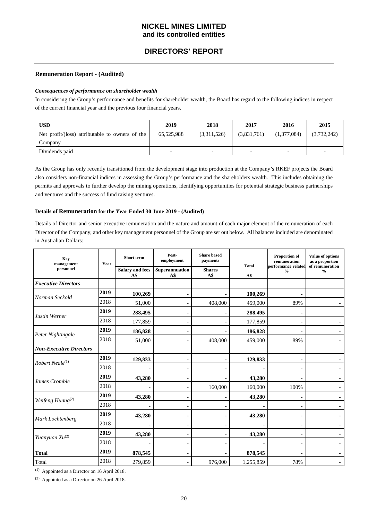## **DIRECTORS' REPORT**

#### **Remuneration Report - (Audited)**

#### *Consequences of performance on shareholder wealth*

In considering the Group's performance and benefits for shareholder wealth, the Board has regard to the following indices in respect of the current financial year and the previous four financial years.

| USD                                             | 2019       | 2018        | 2017                     | 2016                     | 2015                     |
|-------------------------------------------------|------------|-------------|--------------------------|--------------------------|--------------------------|
| Net profit/(loss) attributable to owners of the | 65,525,988 | (3,311,526) | (3,831,761)              | (1,377,084)              | (3,732,242)              |
| Company                                         |            |             |                          |                          |                          |
| Dividends paid                                  |            |             | $\overline{\phantom{0}}$ | $\overline{\phantom{0}}$ | $\overline{\phantom{0}}$ |

As the Group has only recently transitioned from the development stage into production at the Company's RKEF projects the Board also considers non-financial indices in assessing the Group's performance and the shareholders wealth. This includes obtaining the permits and approvals to further develop the mining operations, identifying opportunities for potential strategic business partnerships and ventures and the success of fund raising ventures.

#### **Details of Remuneration for the Year Ended 30 June 2019 - (Audited)**

Details of Director and senior executive remuneration and the nature and amount of each major element of the remuneration of each Director of the Company, and other key management personnel of the Group are set out below. All balances included are denominated in Australian Dollars:

| <b>Key</b><br>management<br>personnel | Year | Short term<br><b>Salary and fees</b><br>A\$ | Post-<br>employment<br>Superannuation<br>A\$ | <b>Share</b> based<br>payments<br><b>Shares</b><br>A\$ | <b>Total</b><br>A\$ | Proportion of<br>remuneration<br>performance related<br>$\frac{0}{0}$ | Value of options<br>as a proportion<br>of remuneration<br>$\frac{0}{0}$ |
|---------------------------------------|------|---------------------------------------------|----------------------------------------------|--------------------------------------------------------|---------------------|-----------------------------------------------------------------------|-------------------------------------------------------------------------|
| <b>Executive Directors</b>            |      |                                             |                                              |                                                        |                     |                                                                       |                                                                         |
|                                       | 2019 | 100,269                                     |                                              |                                                        | 100,269             |                                                                       |                                                                         |
| Norman Seckold                        | 2018 | 51,000                                      |                                              | 408,000                                                | 459,000             | 89%                                                                   |                                                                         |
| Justin Werner                         | 2019 | 288,495                                     |                                              |                                                        | 288,495             |                                                                       |                                                                         |
|                                       | 2018 | 177,859                                     |                                              |                                                        | 177,859             |                                                                       |                                                                         |
| Peter Nightingale                     | 2019 | 186,828                                     |                                              |                                                        | 186,828             |                                                                       |                                                                         |
|                                       | 2018 | 51,000                                      |                                              | 408,000                                                | 459,000             | 89%                                                                   |                                                                         |
| <b>Non-Executive Directors</b>        |      |                                             |                                              |                                                        |                     |                                                                       |                                                                         |
| Robert Neale <sup>(1)</sup>           | 2019 | 129,833                                     |                                              |                                                        | 129,833             |                                                                       |                                                                         |
|                                       | 2018 |                                             |                                              |                                                        |                     |                                                                       |                                                                         |
| James Crombie                         | 2019 | 43,280                                      |                                              |                                                        | 43,280              |                                                                       |                                                                         |
|                                       | 2018 |                                             |                                              | 160,000                                                | 160,000             | 100%                                                                  |                                                                         |
| Weifeng Huang <sup>(2)</sup>          | 2019 | 43,280                                      |                                              |                                                        | 43,280              |                                                                       |                                                                         |
|                                       | 2018 |                                             |                                              |                                                        |                     |                                                                       |                                                                         |
| Mark Lochtenberg                      | 2019 | 43,280                                      |                                              |                                                        | 43,280              |                                                                       |                                                                         |
|                                       | 2018 |                                             |                                              |                                                        |                     |                                                                       |                                                                         |
| Yuanyuan $Xu^{(2)}$                   | 2019 | 43,280                                      |                                              |                                                        | 43,280              |                                                                       |                                                                         |
|                                       | 2018 |                                             |                                              |                                                        |                     |                                                                       |                                                                         |
| <b>Total</b>                          | 2019 | 878,545                                     |                                              |                                                        | 878,545             |                                                                       |                                                                         |
| Total                                 | 2018 | 279,859                                     |                                              | 976,000                                                | 1,255,859           | 78%                                                                   |                                                                         |

(1) Appointed as a Director on 16 April 2018.

(2) Appointed as a Director on 26 April 2018.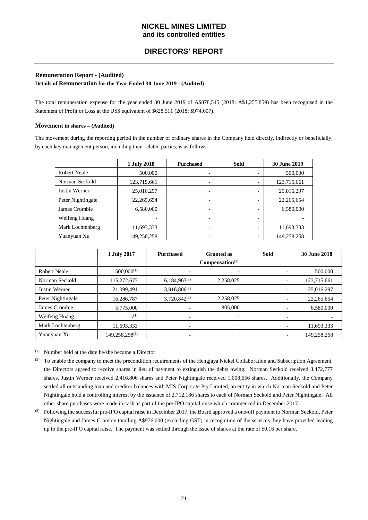## **Remuneration Report - (Audited)**

**Details of Remuneration for the Year Ended 30 June 2019 - (Audited)**

The total remuneration expense for the year ended 30 June 2019 of A\$878,545 (2018: A\$1,255,859) has been recognised in the Statement of Profit or Loss at the US\$ equivalent of \$628,511 (2018: \$974,607).

## **Movement in shares – (Audited)**

The movement during the reporting period in the number of ordinary shares in the Company held directly, indirectly or beneficially, by each key management person, including their related parties, is as follows:

|                     | 1 July 2018  | <b>Purchased</b>         | <b>Sold</b> | 30 June 2019 |
|---------------------|--------------|--------------------------|-------------|--------------|
| <b>Robert Neale</b> | 500,000      | $\overline{\phantom{0}}$ |             | 500,000      |
| Norman Seckold      | 123,715,661  | $\overline{\phantom{0}}$ |             | 123,715,661  |
| Justin Werner       | 25,016,297   | $\overline{\phantom{0}}$ |             | 25,016,297   |
| Peter Nightingale   | 22, 265, 654 | $\overline{\phantom{0}}$ |             | 22, 265, 654 |
| James Crombie       | 6,580,000    | $\overline{\phantom{0}}$ |             | 6,580,000    |
| Weifeng Huang       |              | $\overline{\phantom{0}}$ |             |              |
| Mark Lochtenberg    | 11,693,333   | $\overline{\phantom{0}}$ |             | 11,693,333   |
| Yuanyuan Xu         | 149,258,258  | $\overline{\phantom{0}}$ |             | 149,258,258  |

|                     | 1 July 2017                | <b>Purchased</b>         | <b>Granted</b> as           | <b>Sold</b>              | 30 June 2018 |
|---------------------|----------------------------|--------------------------|-----------------------------|--------------------------|--------------|
|                     |                            |                          | Compensation <sup>(3)</sup> |                          |              |
| <b>Robert Neale</b> | $500,000^{(1)}$            | $\overline{\phantom{0}}$ | $\overline{\phantom{a}}$    |                          | 500,000      |
| Norman Seckold      | 115,272,673                | $6,184,963^{(2)}$        | 2,258,025                   |                          | 123,715,661  |
| Justin Werner       | 21,099,491                 | $3,916,806^{(2)}$        | $\overline{\phantom{0}}$    |                          | 25,016,297   |
| Peter Nightingale   | 16,286,787                 | $3,720,842^{(2)}$        | 2,258,025                   |                          | 22, 265, 654 |
| James Crombie       | 5,775,000                  | $\overline{\phantom{0}}$ | 805,000                     |                          | 6,580,000    |
| Weifeng Huang       | (1)                        | $\overline{\phantom{0}}$ | $\overline{\phantom{0}}$    | $\overline{\phantom{0}}$ |              |
| Mark Lochtenberg    | 11,693,333                 | $\overline{\phantom{0}}$ | $\overline{\phantom{a}}$    |                          | 11,693,333   |
| Yuanyuan Xu         | 149,258,258 <sup>(1)</sup> | -                        | $\overline{\phantom{a}}$    |                          | 149,258,258  |

(1) Number held at the date he/she became a Director.

- (2) To enable the company to meet the precondition requirements of the Hengjaya Nickel Collaboration and Subscription Agreement, the Directors agreed to receive shares in lieu of payment to extinguish the debts owing. Norman Seckold received 3,472,777 shares, Justin Werner received 2,416,806 shares and Peter Nightingale received 1,008,656 shares. Additionally, the Company settled all outstanding loan and creditor balances with MIS Corporate Pty Limited, an entity in which Norman Seckold and Peter Nightingale hold a controlling interest by the issuance of 2,712,186 shares to each of Norman Seckold and Peter Nightingale. All other share purchases were made in cash as part of the pre-IPO capital raise which commenced in December 2017.
- (3) Following the successful pre-IPO capital raise in December 2017, the Board approved a one-off payment to Norman Seckold, Peter Nightingale and James Crombie totalling A\$976,000 (excluding GST) in recognition of the services they have provided leading up to the pre-IPO capital raise. The payment was settled through the issue of shares at the rate of \$0.16 per share.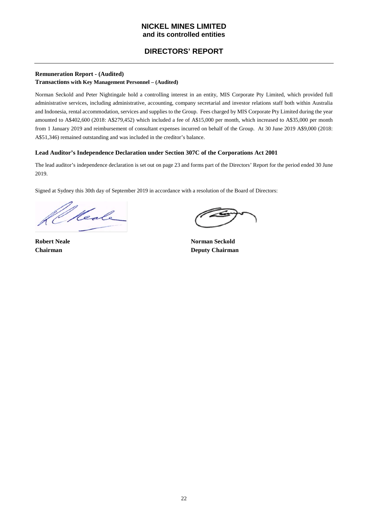## **DIRECTORS' REPORT**

## **Remuneration Report - (Audited)**

## **Transactions with Key Management Personnel – (Audited)**

Norman Seckold and Peter Nightingale hold a controlling interest in an entity, MIS Corporate Pty Limited, which provided full administrative services, including administrative, accounting, company secretarial and investor relations staff both within Australia and Indonesia, rental accommodation, services and supplies to the Group. Fees charged by MIS Corporate Pty Limited during the year amounted to A\$402,600 (2018: A\$279,452) which included a fee of A\$15,000 per month, which increased to A\$35,000 per month from 1 January 2019 and reimbursement of consultant expenses incurred on behalf of the Group. At 30 June 2019 A\$9,000 (2018: A\$51,346) remained outstanding and was included in the creditor's balance.

## **Lead Auditor's Independence Declaration under Section 307C of the Corporations Act 2001**

The lead auditor's independence declaration is set out on page 23 and forms part of the Directors' Report for the period ended 30 June 2019.

Signed at Sydney this 30th day of September 2019 in accordance with a resolution of the Board of Directors:

Heale

**Robert Neale Norman Seckold Chairman Deputy Chairman**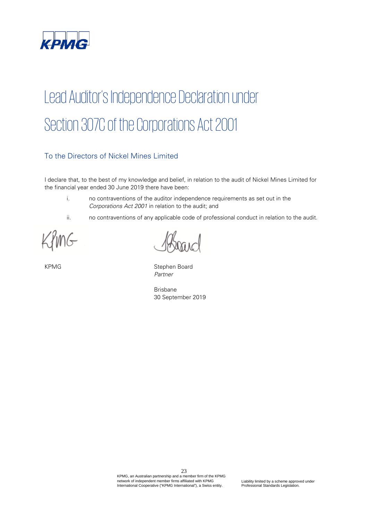

# Lead Auditor's Independence Declaration under Section 307C of the Corporations Act 2001

## To the Directors of Nickel Mines Limited

I declare that, to the best of my knowledge and belief, in relation to the audit of Nickel Mines Limited for the financial year ended 30 June 2019 there have been:

- i. no contraventions of the auditor independence requirements as set out in the Corporations Act 2001 in relation to the audit; and
- ii. no contraventions of any applicable code of professional conduct in relation to the audit.

nG

KPMG Stephen Board Partner

Brisbane 30 September 2019

23 KPMG, an Australian partnership and a member firm of the KPMG network of independent member firms affiliated with KPMG International Cooperative ("KPMG International"), a Swiss entity.

Liability limited by a scheme approved under Professional Standards Legislation.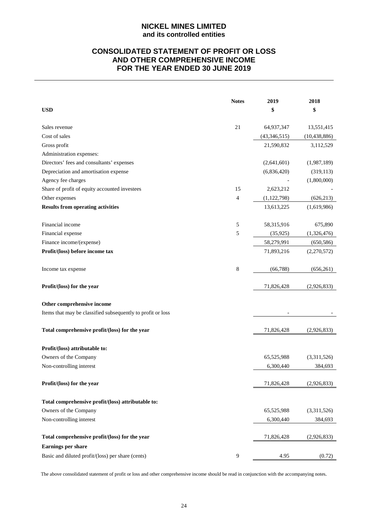## **CONSOLIDATED STATEMENT OF PROFIT OR LOSS AND OTHER COMPREHENSIVE INCOME FOR THE YEAR ENDED 30 JUNE 2019**

|                                                             | <b>Notes</b> | 2019           | 2018           |
|-------------------------------------------------------------|--------------|----------------|----------------|
| <b>USD</b>                                                  |              | \$             | \$             |
|                                                             |              |                |                |
| Sales revenue                                               | 21           | 64,937,347     | 13,551,415     |
| Cost of sales                                               |              | (43, 346, 515) | (10, 438, 886) |
| Gross profit                                                |              | 21,590,832     | 3,112,529      |
| Administration expenses:                                    |              |                |                |
| Directors' fees and consultants' expenses                   |              | (2,641,601)    | (1,987,189)    |
| Depreciation and amortisation expense                       |              | (6,836,420)    | (319, 113)     |
| Agency fee charges                                          |              |                | (1,800,000)    |
| Share of profit of equity accounted investees               | 15           | 2,623,212      |                |
| Other expenses                                              | 4            | (1, 122, 798)  | (626, 213)     |
| <b>Results from operating activities</b>                    |              | 13,613,225     | (1,619,986)    |
| Financial income                                            | 5            | 58,315,916     | 675,890        |
| Financial expense                                           | 5            | (35, 925)      | (1,326,476)    |
| Finance income/(expense)                                    |              | 58,279,991     | (650, 586)     |
| Profit/(loss) before income tax                             |              | 71,893,216     | (2,270,572)    |
| Income tax expense                                          | 8            | (66, 788)      | (656, 261)     |
| Profit/(loss) for the year                                  |              | 71,826,428     | (2,926,833)    |
| Other comprehensive income                                  |              |                |                |
| Items that may be classified subsequently to profit or loss |              |                |                |
| Total comprehensive profit/(loss) for the year              |              | 71,826,428     | (2,926,833)    |
| Profit/(loss) attributable to:                              |              |                |                |
| Owners of the Company                                       |              | 65,525,988     | (3,311,526)    |
| Non-controlling interest                                    |              | 6,300,440      | 384,693        |
|                                                             |              |                |                |
| Profit/(loss) for the year                                  |              | 71,826,428     | (2,926,833)    |
| Total comprehensive profit/(loss) attributable to:          |              |                |                |
| Owners of the Company                                       |              | 65,525,988     | (3,311,526)    |
| Non-controlling interest                                    |              | 6,300,440      | 384,693        |
|                                                             |              |                |                |
| Total comprehensive profit/(loss) for the year              |              | 71,826,428     | (2,926,833)    |
| <b>Earnings per share</b>                                   |              |                |                |
| Basic and diluted profit/(loss) per share (cents)           | 9            | 4.95           | (0.72)         |

The above consolidated statement of profit or loss and other comprehensive income should be read in conjunction with the accompanying notes.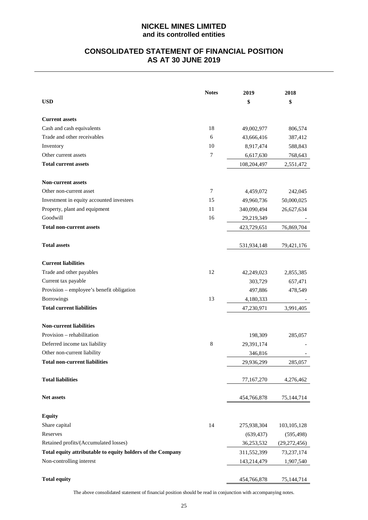## **CONSOLIDATED STATEMENT OF FINANCIAL POSITION AS AT 30 JUNE 2019**

|                                                            | <b>Notes</b>   | 2019        | 2018           |
|------------------------------------------------------------|----------------|-------------|----------------|
| <b>USD</b>                                                 |                | \$          | \$             |
|                                                            |                |             |                |
| <b>Current assets</b>                                      |                |             |                |
| Cash and cash equivalents                                  | 18             | 49,002,977  | 806,574        |
| Trade and other receivables                                | 6              | 43,666,416  | 387,412        |
| Inventory                                                  | 10             | 8,917,474   | 588,843        |
| Other current assets                                       | $\overline{7}$ | 6,617,630   | 768,643        |
| <b>Total current assets</b>                                |                | 108,204,497 | 2,551,472      |
| <b>Non-current assets</b>                                  |                |             |                |
| Other non-current asset                                    | 7              | 4,459,072   | 242,045        |
| Investment in equity accounted investees                   | 15             | 49,960,736  | 50,000,025     |
| Property, plant and equipment                              | 11             | 340,090,494 | 26,627,634     |
| Goodwill                                                   | 16             | 29,219,349  |                |
| <b>Total non-current assets</b>                            |                | 423,729,651 | 76,869,704     |
|                                                            |                |             |                |
| <b>Total assets</b>                                        |                | 531,934,148 | 79,421,176     |
|                                                            |                |             |                |
| <b>Current liabilities</b>                                 |                |             |                |
| Trade and other payables                                   | 12             | 42,249,023  | 2,855,385      |
| Current tax payable                                        |                | 303,729     | 657,471        |
| Provision – employee's benefit obligation                  |                | 497,886     | 478,549        |
| Borrowings                                                 | 13             | 4,180,333   |                |
| <b>Total current liabilities</b>                           |                | 47,230,971  | 3,991,405      |
|                                                            |                |             |                |
| <b>Non-current liabilities</b>                             |                |             |                |
| Provision – rehabilitation                                 |                | 198,309     | 285,057        |
| Deferred income tax liability                              | 8              | 29,391,174  |                |
| Other non-current liability                                |                | 346,816     |                |
| <b>Total non-current liabilities</b>                       |                | 29,936,299  | 285,057        |
| <b>Total liabilities</b>                                   |                | 77,167,270  | 4,276,462      |
|                                                            |                |             |                |
| Net assets                                                 |                | 454,766,878 | 75,144,714     |
| <b>Equity</b>                                              |                |             |                |
| Share capital                                              | 14             | 275,938,304 | 103, 105, 128  |
| Reserves                                                   |                |             |                |
| Retained profits/(Accumulated losses)                      |                | (639, 437)  | (595, 498)     |
|                                                            |                | 36,253,532  | (29, 272, 456) |
| Total equity attributable to equity holders of the Company |                | 311,552,399 | 73,237,174     |
| Non-controlling interest                                   |                | 143,214,479 | 1,907,540      |
|                                                            |                |             |                |
| <b>Total equity</b>                                        |                | 454,766,878 | 75,144,714     |

The above consolidated statement of financial position should be read in conjunction with accompanying notes.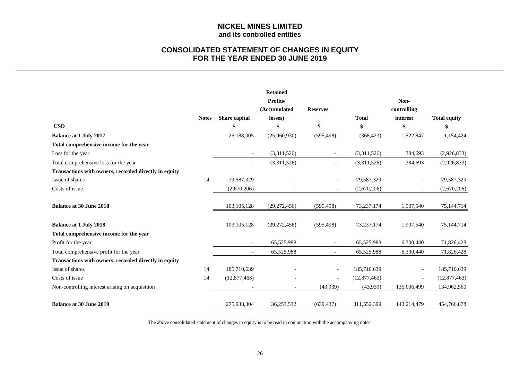## **CONSOLIDATED STATEMENT OF CHANGES IN EQUITY FOR THE YEAR ENDED 30 JUNE 2019**

|                                                       |              |                          | <b>Retained</b>          |                          |              |                          |                     |
|-------------------------------------------------------|--------------|--------------------------|--------------------------|--------------------------|--------------|--------------------------|---------------------|
|                                                       |              |                          | Profits/<br>(Accumulated | <b>Reserves</b>          |              | Non-<br>controlling      |                     |
|                                                       | <b>Notes</b> | Share capital            | losses)                  |                          | <b>Total</b> | interest                 | <b>Total equity</b> |
| <b>USD</b>                                            |              |                          | \$                       | \$                       | \$           | \$                       | S                   |
| <b>Balance at 1 July 2017</b>                         |              | 26,188,005               | (25,960,930)             | (595, 498)               | (368, 423)   | 1,522,847                | 1,154,424           |
| Total comprehensive income for the year               |              |                          |                          |                          |              |                          |                     |
| Loss for the year                                     |              | $\overline{\phantom{a}}$ | (3,311,526)              | $\overline{\phantom{a}}$ | (3,311,526)  | 384,693                  | (2,926,833)         |
| Total comprehensive loss for the year                 |              | $\overline{\phantom{a}}$ | (3,311,526)              |                          | (3,311,526)  | 384,693                  | (2,926,833)         |
| Transactions with owners, recorded directly in equity |              |                          |                          |                          |              |                          |                     |
| Issue of shares                                       | 14           | 79,587,329               |                          | $\overline{\phantom{a}}$ | 79,587,329   | $\overline{\phantom{a}}$ | 79,587,329          |
| Costs of issue                                        |              | (2,670,206)              |                          |                          | (2,670,206)  | $\overline{\phantom{a}}$ | (2,670,206)         |
| <b>Balance at 30 June 2018</b>                        |              | 103, 105, 128            | (29, 272, 456)           | (595, 498)               | 73, 237, 174 | 1,907,540                | 75,144,714          |
| <b>Balance at 1 July 2018</b>                         |              | 103, 105, 128            | (29, 272, 456)           | (595, 498)               | 73, 237, 174 | 1,907,540                | 75,144,714          |
| Total comprehensive income for the year               |              |                          |                          |                          |              |                          |                     |
| Profit for the year                                   |              | $\overline{\phantom{a}}$ | 65,525,988               | $\overline{\phantom{a}}$ | 65,525,988   | 6,300,440                | 71,826,428          |
| Total comprehensive profit for the year               |              |                          | 65,525,988               |                          | 65,525,988   | 6,300,440                | 71,826,428          |
| Transactions with owners, recorded directly in equity |              |                          |                          |                          |              |                          |                     |
| Issue of shares                                       | 14           | 185,710,639              |                          | $\overline{\phantom{a}}$ | 185,710,639  | $\bar{a}$                | 185,710,639         |
| Costs of issue                                        | 14           | (12,877,463)             |                          | $\overline{\phantom{a}}$ | (12,877,463) | $\overline{\phantom{a}}$ | (12,877,463)        |
| Non-controlling interest arising on acquisition       |              |                          | $\overline{a}$           | (43,939)                 | (43,939)     | 135,006,499              | 134,962,560         |
| <b>Balance at 30 June 2019</b>                        |              | 275,938,304              | 36,253,532               | (639, 437)               | 311,552,399  | 143,214,479              | 454,766,878         |

The above consolidated statement of changes in equity is to be read in conjunction with the accompanying notes.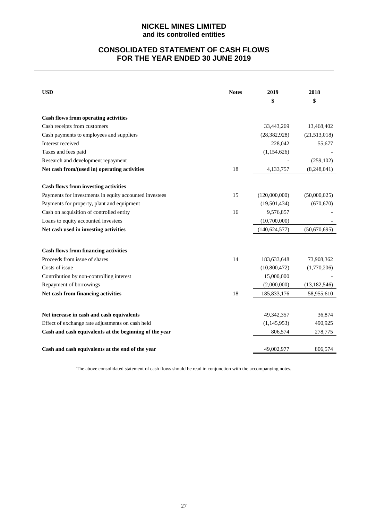## **CONSOLIDATED STATEMENT OF CASH FLOWS FOR THE YEAR ENDED 30 JUNE 2019**

| <b>USD</b>                                                                   | <b>Notes</b> | 2019            | 2018           |
|------------------------------------------------------------------------------|--------------|-----------------|----------------|
|                                                                              |              | \$              | \$             |
| <b>Cash flows from operating activities</b>                                  |              |                 |                |
| Cash receipts from customers                                                 |              | 33,443,269      | 13,468,402     |
| Cash payments to employees and suppliers                                     |              | (28, 382, 928)  | (21,513,018)   |
| Interest received                                                            |              | 228,042         | 55,677         |
| Taxes and fees paid                                                          |              | (1, 154, 626)   |                |
| Research and development repayment                                           |              |                 | (259, 102)     |
| Net cash from/(used in) operating activities                                 | 18           | 4,133,757       | (8,248,041)    |
| <b>Cash flows from investing activities</b>                                  |              |                 |                |
| Payments for investments in equity accounted investees                       | 15           | (120,000,000)   | (50,000,025)   |
| Payments for property, plant and equipment                                   |              | (19, 501, 434)  | (670, 670)     |
| Cash on acquisition of controlled entity                                     | 16           | 9,576,857       |                |
| Loans to equity accounted investees                                          |              | (10,700,000)    |                |
| Net cash used in investing activities                                        |              | (140, 624, 577) | (50,670,695)   |
|                                                                              |              |                 |                |
| <b>Cash flows from financing activities</b><br>Proceeds from issue of shares | 14           | 183,633,648     | 73,908,362     |
| Costs of issue                                                               |              | (10,800,472)    | (1,770,206)    |
| Contribution by non-controlling interest                                     |              | 15,000,000      |                |
| Repayment of borrowings                                                      |              | (2,000,000)     | (13, 182, 546) |
| Net cash from financing activities                                           | 18           | 185, 833, 176   | 58,955,610     |
|                                                                              |              |                 |                |
| Net increase in cash and cash equivalents                                    |              | 49,342,357      | 36,874         |
| Effect of exchange rate adjustments on cash held                             |              | (1, 145, 953)   | 490,925        |
| Cash and cash equivalents at the beginning of the year                       |              | 806,574         | 278,775        |
| Cash and cash equivalents at the end of the year                             |              | 49,002,977      | 806,574        |

The above consolidated statement of cash flows should be read in conjunction with the accompanying notes.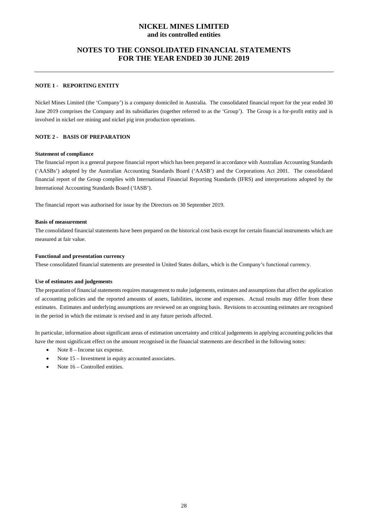## **NOTES TO THE CONSOLIDATED FINANCIAL STATEMENTS FOR THE YEAR ENDED 30 JUNE 2019**

## **NOTE 1 - REPORTING ENTITY**

Nickel Mines Limited (the 'Company') is a company domiciled in Australia. The consolidated financial report for the year ended 30 June 2019 comprises the Company and its subsidiaries (together referred to as the 'Group'). The Group is a for-profit entity and is involved in nickel ore mining and nickel pig iron production operations.

## **NOTE 2 - BASIS OF PREPARATION**

#### **Statement of compliance**

The financial report is a general purpose financial report which has been prepared in accordance with Australian Accounting Standards ('AASBs') adopted by the Australian Accounting Standards Board ('AASB') and the Corporations Act 2001. The consolidated financial report of the Group complies with International Financial Reporting Standards (IFRS) and interpretations adopted by the International Accounting Standards Board ('IASB').

The financial report was authorised for issue by the Directors on 30 September 2019.

#### **Basis of measurement**

The consolidated financial statements have been prepared on the historical cost basis except for certain financial instruments which are measured at fair value.

#### **Functional and presentation currency**

These consolidated financial statements are presented in United States dollars, which is the Company's functional currency.

#### **Use of estimates and judgements**

The preparation of financial statements requires management to make judgements, estimates and assumptions that affect the application of accounting policies and the reported amounts of assets, liabilities, income and expenses. Actual results may differ from these estimates. Estimates and underlying assumptions are reviewed on an ongoing basis. Revisions to accounting estimates are recognised in the period in which the estimate is revised and in any future periods affected.

In particular, information about significant areas of estimation uncertainty and critical judgements in applying accounting policies that have the most significant effect on the amount recognised in the financial statements are described in the following notes:

- Note  $8$  Income tax expense.
- Note 15 Investment in equity accounted associates.
- Note 16 Controlled entities.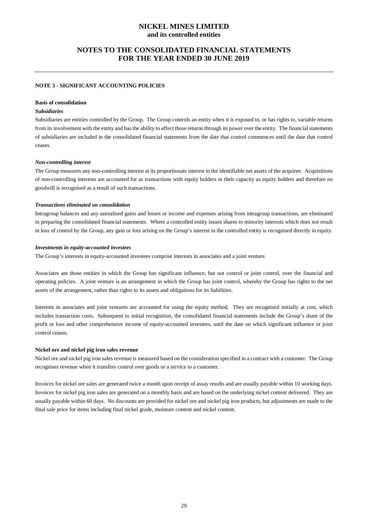## **NOTES TO THE CONSOLIDATED FINANCIAL STATEMENTS FOR THE YEAR ENDED 30 JUNE 2019**

#### **NOTE 3 - SIGNIFICANT ACCOUNTING POLICIES**

#### **Basis of consolidation**

## *Subsidiaries*

Subsidiaries are entities controlled by the Group. The Group controls an entity when it is exposed to, or has rights to, variable returns from its involvement with the entity and has the ability to affect those returns through its power over the entity. The financial statements of subsidiaries are included in the consolidated financial statements from the date that control commences until the date that control ceases.

#### *Non-controlling interest*

The Group measures any non-controlling interest at its proportionate interest in the identifiable net assets of the acquiree. Acquisitions of non-controlling interests are accounted for as transactions with equity holders in their capacity as equity holders and therefore no goodwill is recognised as a result of such transactions.

#### *Transactions eliminated on consolidation*

Intragroup balances and any unrealised gains and losses or income and expenses arising from intragroup transactions, are eliminated in preparing the consolidated financial statements. Where a controlled entity issues shares to minority interests which does not result in loss of control by the Group, any gain or loss arising on the Group's interest in the controlled entity is recognised directly in equity.

#### *Investments in equity-accounted investees*

The Group's interests in equity-accounted investees comprise interests in associates and a joint venture.

Associates are those entities in which the Group has significant influence, but not control or joint control, over the financial and operating policies. A joint venture is an arrangement in which the Group has joint control, whereby the Group has rights to the net assets of the arrangement, rather than rights to its assets and obligations for its liabilities.

Interests in associates and joint ventures are accounted for using the equity method. They are recognised initially at cost, which includes transaction costs. Subsequent to initial recognition, the consolidated financial statements include the Group's share of the profit or loss and other comprehensive income of equity-accounted investees, until the date on which significant influence or joint control ceases.

#### **Nickel ore and nickel pig iron sales revenue**

Nickel ore and nickel pig iron sales revenue is measured based on the consideration specified in a contract with a customer. The Group recognises revenue when it transfers control over goods or a service to a customer.

Invoices for nickel ore sales are generated twice a month upon receipt of assay results and are usually payable within 10 working days. Invoices for nickel pig iron sales are generated on a monthly basis and are based on the underlying nickel content delivered. They are usually payable within 60 days. No discounts are provided for nickel ore and nickel pig iron products, but adjustments are made to the final sale price for items including final nickel grade, moisture content and nickel content.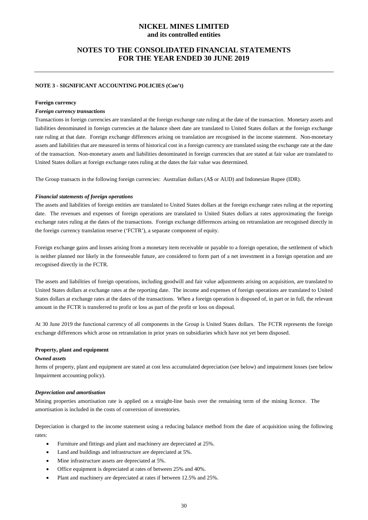## **NOTES TO THE CONSOLIDATED FINANCIAL STATEMENTS FOR THE YEAR ENDED 30 JUNE 2019**

## **NOTE 3 - SIGNIFICANT ACCOUNTING POLICIES (Con't)**

#### **Foreign currency**

#### *Foreign currency transactions*

Transactions in foreign currencies are translated at the foreign exchange rate ruling at the date of the transaction. Monetary assets and liabilities denominated in foreign currencies at the balance sheet date are translated to United States dollars at the foreign exchange rate ruling at that date. Foreign exchange differences arising on translation are recognised in the income statement. Non-monetary assets and liabilities that are measured in terms of historical cost in a foreign currency are translated using the exchange rate at the date of the transaction. Non-monetary assets and liabilities denominated in foreign currencies that are stated at fair value are translated to United States dollars at foreign exchange rates ruling at the dates the fair value was determined.

The Group transacts in the following foreign currencies: Australian dollars (A\$ or AUD) and Indonesian Rupee (IDR).

#### *Financial statements of foreign operations*

The assets and liabilities of foreign entities are translated to United States dollars at the foreign exchange rates ruling at the reporting date. The revenues and expenses of foreign operations are translated to United States dollars at rates approximating the foreign exchange rates ruling at the dates of the transactions. Foreign exchange differences arising on retranslation are recognised directly in the foreign currency translation reserve ('FCTR'), a separate component of equity.

Foreign exchange gains and losses arising from a monetary item receivable or payable to a foreign operation, the settlement of which is neither planned nor likely in the foreseeable future, are considered to form part of a net investment in a foreign operation and are recognised directly in the FCTR.

The assets and liabilities of foreign operations, including goodwill and fair value adjustments arising on acquisition, are translated to United States dollars at exchange rates at the reporting date. The income and expenses of foreign operations are translated to United States dollars at exchange rates at the dates of the transactions. When a foreign operation is disposed of, in part or in full, the relevant amount in the FCTR is transferred to profit or loss as part of the profit or loss on disposal.

At 30 June 2019 the functional currency of all components in the Group is United States dollars. The FCTR represents the foreign exchange differences which arose on retranslation in prior years on subsidiaries which have not yet been disposed.

#### **Property, plant and equipment**

#### *Owned assets*

Items of property, plant and equipment are stated at cost less accumulated depreciation (see below) and impairment losses (see below Impairment accounting policy).

#### *Depreciation and amortisation*

Mining properties amortisation rate is applied on a straight-line basis over the remaining term of the mining licence. The amortisation is included in the costs of conversion of inventories.

Depreciation is charged to the income statement using a reducing balance method from the date of acquisition using the following rates:

- Furniture and fittings and plant and machinery are depreciated at 25%.
- Land and buildings and infrastructure are depreciated at 5%.
- Mine infrastructure assets are depreciated at 5%.
- Office equipment is depreciated at rates of between 25% and 40%.
- Plant and machinery are depreciated at rates if between 12.5% and 25%.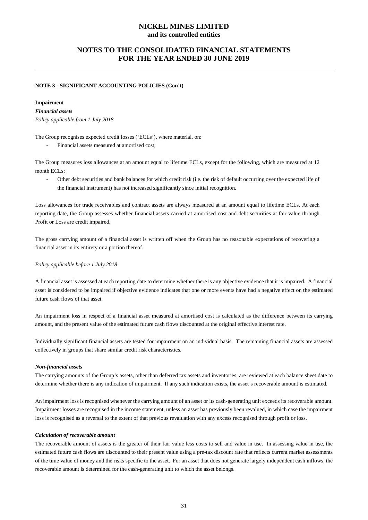## **NOTES TO THE CONSOLIDATED FINANCIAL STATEMENTS FOR THE YEAR ENDED 30 JUNE 2019**

#### **NOTE 3 - SIGNIFICANT ACCOUNTING POLICIES (Con't)**

#### **Impairment**

#### *Financial assets*

*Policy applicable from 1 July 2018*

The Group recognises expected credit losses ('ECLs'), where material, on:

Financial assets measured at amortised cost;

The Group measures loss allowances at an amount equal to lifetime ECLs, except for the following, which are measured at 12 month ECLs:

Other debt securities and bank balances for which credit risk (i.e. the risk of default occurring over the expected life of the financial instrument) has not increased significantly since initial recognition.

Loss allowances for trade receivables and contract assets are always measured at an amount equal to lifetime ECLs. At each reporting date, the Group assesses whether financial assets carried at amortised cost and debt securities at fair value through Profit or Loss are credit impaired.

The gross carrying amount of a financial asset is written off when the Group has no reasonable expectations of recovering a financial asset in its entirety or a portion thereof.

#### *Policy applicable before 1 July 2018*

A financial asset is assessed at each reporting date to determine whether there is any objective evidence that it is impaired. A financial asset is considered to be impaired if objective evidence indicates that one or more events have had a negative effect on the estimated future cash flows of that asset.

An impairment loss in respect of a financial asset measured at amortised cost is calculated as the difference between its carrying amount, and the present value of the estimated future cash flows discounted at the original effective interest rate.

Individually significant financial assets are tested for impairment on an individual basis. The remaining financial assets are assessed collectively in groups that share similar credit risk characteristics.

#### *Non-financial assets*

The carrying amounts of the Group's assets, other than deferred tax assets and inventories, are reviewed at each balance sheet date to determine whether there is any indication of impairment. If any such indication exists, the asset's recoverable amount is estimated.

An impairment loss is recognised whenever the carrying amount of an asset or its cash-generating unit exceeds its recoverable amount. Impairment losses are recognised in the income statement, unless an asset has previously been revalued, in which case the impairment loss is recognised as a reversal to the extent of that previous revaluation with any excess recognised through profit or loss.

#### *Calculation of recoverable amount*

The recoverable amount of assets is the greater of their fair value less costs to sell and value in use. In assessing value in use, the estimated future cash flows are discounted to their present value using a pre-tax discount rate that reflects current market assessments of the time value of money and the risks specific to the asset. For an asset that does not generate largely independent cash inflows, the recoverable amount is determined for the cash-generating unit to which the asset belongs.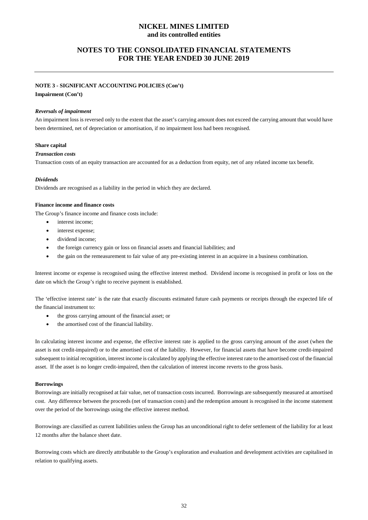## **NOTES TO THE CONSOLIDATED FINANCIAL STATEMENTS FOR THE YEAR ENDED 30 JUNE 2019**

#### **NOTE 3 - SIGNIFICANT ACCOUNTING POLICIES (Con't)**

**Impairment (Con't)**

#### *Reversals of impairment*

An impairment loss is reversed only to the extent that the asset's carrying amount does not exceed the carrying amount that would have been determined, net of depreciation or amortisation, if no impairment loss had been recognised.

#### **Share capital**

#### *Transaction costs*

Transaction costs of an equity transaction are accounted for as a deduction from equity, net of any related income tax benefit.

#### *Dividends*

Dividends are recognised as a liability in the period in which they are declared.

#### **Finance income and finance costs**

The Group's finance income and finance costs include:

- interest income:
- interest expense;
- dividend income;
- the foreign currency gain or loss on financial assets and financial liabilities; and
- the gain on the remeasurement to fair value of any pre-existing interest in an acquiree in a business combination.

Interest income or expense is recognised using the effective interest method. Dividend income is recognised in profit or loss on the date on which the Group's right to receive payment is established.

The 'effective interest rate' is the rate that exactly discounts estimated future cash payments or receipts through the expected life of the financial instrument to:

- the gross carrying amount of the financial asset; or
- the amortised cost of the financial liability.

In calculating interest income and expense, the effective interest rate is applied to the gross carrying amount of the asset (when the asset is not credit-impaired) or to the amortised cost of the liability. However, for financial assets that have become credit-impaired subsequent to initial recognition, interest income is calculated by applying the effective interest rate to the amortised cost of the financial asset. If the asset is no longer credit-impaired, then the calculation of interest income reverts to the gross basis.

#### **Borrowings**

Borrowings are initially recognised at fair value, net of transaction costs incurred. Borrowings are subsequently measured at amortised cost. Any difference between the proceeds (net of transaction costs) and the redemption amount is recognised in the income statement over the period of the borrowings using the effective interest method.

Borrowings are classified as current liabilities unless the Group has an unconditional right to defer settlement of the liability for at least 12 months after the balance sheet date.

Borrowing costs which are directly attributable to the Group's exploration and evaluation and development activities are capitalised in relation to qualifying assets.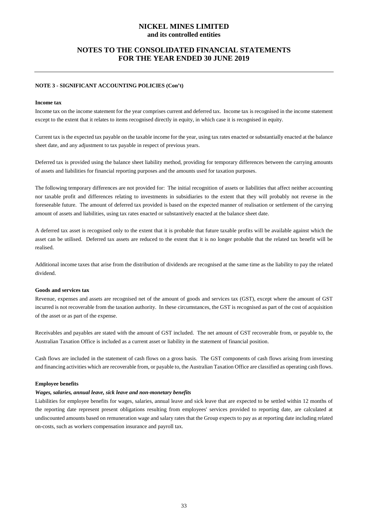## **NOTES TO THE CONSOLIDATED FINANCIAL STATEMENTS FOR THE YEAR ENDED 30 JUNE 2019**

## **NOTE 3 - SIGNIFICANT ACCOUNTING POLICIES (Con't)**

#### **Income tax**

Income tax on the income statement for the year comprises current and deferred tax. Income tax is recognised in the income statement except to the extent that it relates to items recognised directly in equity, in which case it is recognised in equity.

Current tax is the expected tax payable on the taxable income for the year, using tax rates enacted or substantially enacted at the balance sheet date, and any adjustment to tax payable in respect of previous years.

Deferred tax is provided using the balance sheet liability method, providing for temporary differences between the carrying amounts of assets and liabilities for financial reporting purposes and the amounts used for taxation purposes.

The following temporary differences are not provided for: The initial recognition of assets or liabilities that affect neither accounting nor taxable profit and differences relating to investments in subsidiaries to the extent that they will probably not reverse in the foreseeable future. The amount of deferred tax provided is based on the expected manner of realisation or settlement of the carrying amount of assets and liabilities, using tax rates enacted or substantively enacted at the balance sheet date.

A deferred tax asset is recognised only to the extent that it is probable that future taxable profits will be available against which the asset can be utilised. Deferred tax assets are reduced to the extent that it is no longer probable that the related tax benefit will be realised.

Additional income taxes that arise from the distribution of dividends are recognised at the same time as the liability to pay the related dividend.

#### **Goods and services tax**

Revenue, expenses and assets are recognised net of the amount of goods and services tax (GST), except where the amount of GST incurred is not recoverable from the taxation authority. In these circumstances, the GST is recognised as part of the cost of acquisition of the asset or as part of the expense.

Receivables and payables are stated with the amount of GST included. The net amount of GST recoverable from, or payable to, the Australian Taxation Office is included as a current asset or liability in the statement of financial position.

Cash flows are included in the statement of cash flows on a gross basis. The GST components of cash flows arising from investing and financing activities which are recoverable from, or payable to, the Australian Taxation Office are classified as operating cash flows.

#### **Employee benefits**

#### *Wages, salaries, annual leave, sick leave and non-monetary benefits*

Liabilities for employee benefits for wages, salaries, annual leave and sick leave that are expected to be settled within 12 months of the reporting date represent present obligations resulting from employees' services provided to reporting date, are calculated at undiscounted amounts based on remuneration wage and salary rates that the Group expects to pay as at reporting date including related on-costs, such as workers compensation insurance and payroll tax.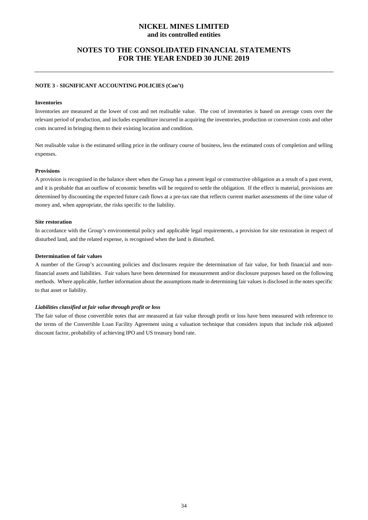## **NOTES TO THE CONSOLIDATED FINANCIAL STATEMENTS FOR THE YEAR ENDED 30 JUNE 2019**

#### **NOTE 3 - SIGNIFICANT ACCOUNTING POLICIES (Con't)**

#### **Inventories**

Inventories are measured at the lower of cost and net realisable value. The cost of inventories is based on average costs over the relevant period of production, and includes expenditure incurred in acquiring the inventories, production or conversion costs and other costs incurred in bringing them to their existing location and condition.

Net realisable value is the estimated selling price in the ordinary course of business, less the estimated costs of completion and selling expenses.

#### **Provisions**

A provision is recognised in the balance sheet when the Group has a present legal or constructive obligation as a result of a past event, and it is probable that an outflow of economic benefits will be required to settle the obligation. If the effect is material, provisions are determined by discounting the expected future cash flows at a pre-tax rate that reflects current market assessments of the time value of money and, when appropriate, the risks specific to the liability.

#### **Site restoration**

In accordance with the Group's environmental policy and applicable legal requirements, a provision for site restoration in respect of disturbed land, and the related expense, is recognised when the land is disturbed.

#### **Determination of fair values**

A number of the Group's accounting policies and disclosures require the determination of fair value, for both financial and nonfinancial assets and liabilities. Fair values have been determined for measurement and/or disclosure purposes based on the following methods. Where applicable, further information about the assumptions made in determining fair values is disclosed in the notes specific to that asset or liability.

#### *Liabilities classified at fair value through profit or loss*

The fair value of those convertible notes that are measured at fair value through profit or loss have been measured with reference to the terms of the Convertible Loan Facility Agreement using a valuation technique that considers inputs that include risk adjusted discount factor, probability of achieving IPO and US treasury bond rate.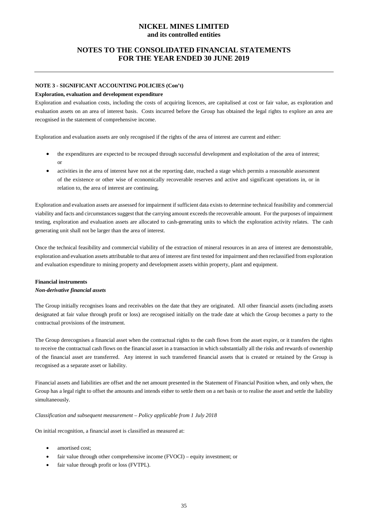## **NOTES TO THE CONSOLIDATED FINANCIAL STATEMENTS FOR THE YEAR ENDED 30 JUNE 2019**

#### **NOTE 3 - SIGNIFICANT ACCOUNTING POLICIES (Con't)**

#### **Exploration, evaluation and development expenditure**

Exploration and evaluation costs, including the costs of acquiring licences, are capitalised at cost or fair value, as exploration and evaluation assets on an area of interest basis. Costs incurred before the Group has obtained the legal rights to explore an area are recognised in the statement of comprehensive income.

Exploration and evaluation assets are only recognised if the rights of the area of interest are current and either:

- the expenditures are expected to be recouped through successful development and exploitation of the area of interest; or
- activities in the area of interest have not at the reporting date, reached a stage which permits a reasonable assessment of the existence or other wise of economically recoverable reserves and active and significant operations in, or in relation to, the area of interest are continuing.

Exploration and evaluation assets are assessed for impairment if sufficient data exists to determine technical feasibility and commercial viability and facts and circumstances suggest that the carrying amount exceeds the recoverable amount. For the purposes of impairment testing, exploration and evaluation assets are allocated to cash-generating units to which the exploration activity relates. The cash generating unit shall not be larger than the area of interest.

Once the technical feasibility and commercial viability of the extraction of mineral resources in an area of interest are demonstrable, exploration and evaluation assets attributable to that area of interest are first tested for impairment and then reclassified from exploration and evaluation expenditure to mining property and development assets within property, plant and equipment.

## **Financial instruments**

#### *Non-derivative financial assets*

The Group initially recognises loans and receivables on the date that they are originated. All other financial assets (including assets designated at fair value through profit or loss) are recognised initially on the trade date at which the Group becomes a party to the contractual provisions of the instrument.

The Group derecognises a financial asset when the contractual rights to the cash flows from the asset expire, or it transfers the rights to receive the contractual cash flows on the financial asset in a transaction in which substantially all the risks and rewards of ownership of the financial asset are transferred. Any interest in such transferred financial assets that is created or retained by the Group is recognised as a separate asset or liability.

Financial assets and liabilities are offset and the net amount presented in the Statement of Financial Position when, and only when, the Group has a legal right to offset the amounts and intends either to settle them on a net basis or to realise the asset and settle the liability simultaneously.

#### *Classification and subsequent measurement – Policy applicable from 1 July 2018*

On initial recognition, a financial asset is classified as measured at:

- amortised cost:
- fair value through other comprehensive income (FVOCI) equity investment; or
- fair value through profit or loss (FVTPL).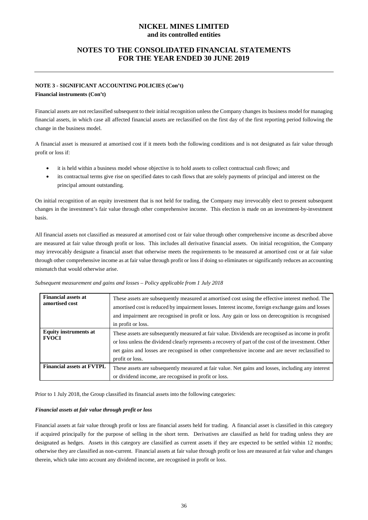## **NOTES TO THE CONSOLIDATED FINANCIAL STATEMENTS FOR THE YEAR ENDED 30 JUNE 2019**

## **NOTE 3 - SIGNIFICANT ACCOUNTING POLICIES (Con't)**

#### **Financial instruments (Con't)**

Financial assets are not reclassified subsequent to their initial recognition unless the Company changes its business model for managing financial assets, in which case all affected financial assets are reclassified on the first day of the first reporting period following the change in the business model.

A financial asset is measured at amortised cost if it meets both the following conditions and is not designated as fair value through profit or loss if:

- it is held within a business model whose objective is to hold assets to collect contractual cash flows; and
- its contractual terms give rise on specified dates to cash flows that are solely payments of principal and interest on the principal amount outstanding.

On initial recognition of an equity investment that is not held for trading, the Company may irrevocably elect to present subsequent changes in the investment's fair value through other comprehensive income. This election is made on an investment-by-investment basis.

All financial assets not classified as measured at amortised cost or fair value through other comprehensive income as described above are measured at fair value through profit or loss. This includes all derivative financial assets. On initial recognition, the Company may irrevocably designate a financial asset that otherwise meets the requirements to be measured at amortised cost or at fair value through other comprehensive income as at fair value through profit or loss if doing so eliminates or significantly reduces an accounting mismatch that would otherwise arise.

| Subsequent measurement and gains and losses - Policy applicable from 1 July 2018 |  |  |  |
|----------------------------------------------------------------------------------|--|--|--|
|----------------------------------------------------------------------------------|--|--|--|

| <b>Financial assets at</b><br>amortised cost | These assets are subsequently measured at amortised cost using the effective interest method. The<br>amortised cost is reduced by impairment losses. Interest income, foreign exchange gains and losses<br>and impairment are recognised in profit or loss. Any gain or loss on derecognition is recognised<br>in profit or loss.  |
|----------------------------------------------|------------------------------------------------------------------------------------------------------------------------------------------------------------------------------------------------------------------------------------------------------------------------------------------------------------------------------------|
| <b>Equity instruments at</b><br><b>FVOCI</b> | These assets are subsequently measured at fair value. Dividends are recognised as income in profit<br>or loss unless the dividend clearly represents a recovery of part of the cost of the investment. Other<br>net gains and losses are recognised in other comprehensive income and are never reclassified to<br>profit or loss. |
| <b>Financial assets at FVTPL</b>             | These assets are subsequently measured at fair value. Net gains and losses, including any interest<br>or dividend income, are recognised in profit or loss.                                                                                                                                                                        |

Prior to 1 July 2018, the Group classified its financial assets into the following categories:

#### *Financial assets at fair value through profit or loss*

Financial assets at fair value through profit or loss are financial assets held for trading. A financial asset is classified in this category if acquired principally for the purpose of selling in the short term. Derivatives are classified as held for trading unless they are designated as hedges. Assets in this category are classified as current assets if they are expected to be settled within 12 months; otherwise they are classified as non-current. Financial assets at fair value through profit or loss are measured at fair value and changes therein, which take into account any dividend income, are recognised in profit or loss.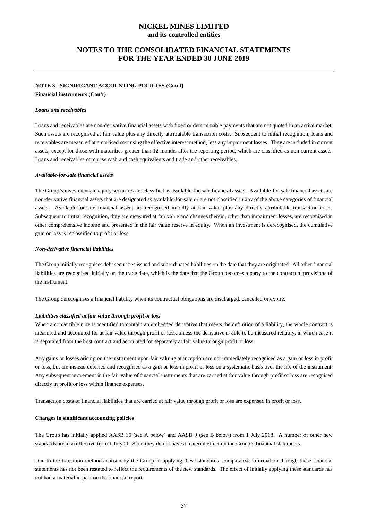## **NOTES TO THE CONSOLIDATED FINANCIAL STATEMENTS FOR THE YEAR ENDED 30 JUNE 2019**

## **NOTE 3 - SIGNIFICANT ACCOUNTING POLICIES (Con't)**

**Financial instruments (Con't)**

#### *Loans and receivables*

Loans and receivables are non-derivative financial assets with fixed or determinable payments that are not quoted in an active market. Such assets are recognised at fair value plus any directly attributable transaction costs. Subsequent to initial recognition, loans and receivables are measured at amortised cost using the effective interest method, less any impairment losses. They are included in current assets, except for those with maturities greater than 12 months after the reporting period, which are classified as non-current assets. Loans and receivables comprise cash and cash equivalents and trade and other receivables.

#### *Available-for-sale financial assets*

The Group's investments in equity securities are classified as available-for-sale financial assets. Available-for-sale financial assets are non-derivative financial assets that are designated as available-for-sale or are not classified in any of the above categories of financial assets. Available-for-sale financial assets are recognised initially at fair value plus any directly attributable transaction costs. Subsequent to initial recognition, they are measured at fair value and changes therein, other than impairment losses, are recognised in other comprehensive income and presented in the fair value reserve in equity. When an investment is derecognised, the cumulative gain or loss is reclassified to profit or loss.

#### *Non-derivative financial liabilities*

The Group initially recognises debt securities issued and subordinated liabilities on the date that they are originated. All other financial liabilities are recognised initially on the trade date, which is the date that the Group becomes a party to the contractual provisions of the instrument.

The Group derecognises a financial liability when its contractual obligations are discharged, cancelled or expire.

#### *Liabilities classified at fair value through profit or loss*

When a convertible note is identified to contain an embedded derivative that meets the definition of a liability, the whole contract is measured and accounted for at fair value through profit or loss, unless the derivative is able to be measured reliably, in which case it is separated from the host contract and accounted for separately at fair value through profit or loss.

Any gains or losses arising on the instrument upon fair valuing at inception are not immediately recognised as a gain or loss in profit or loss, but are instead deferred and recognised as a gain or loss in profit or loss on a systematic basis over the life of the instrument. Any subsequent movement in the fair value of financial instruments that are carried at fair value through profit or loss are recognised directly in profit or loss within finance expenses.

Transaction costs of financial liabilities that are carried at fair value through profit or loss are expensed in profit or loss.

#### **Changes in significant accounting policies**

The Group has initially applied AASB 15 (see A below) and AASB 9 (see B below) from 1 July 2018. A number of other new standards are also effective from 1 July 2018 but they do not have a material effect on the Group's financial statements.

Due to the transition methods chosen by the Group in applying these standards, comparative information through these financial statements has not been restated to reflect the requirements of the new standards. The effect of initially applying these standards has not had a material impact on the financial report.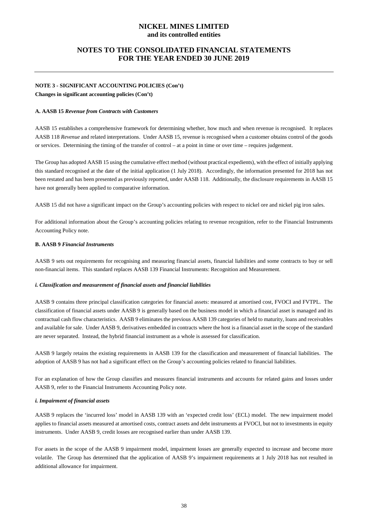## **NOTES TO THE CONSOLIDATED FINANCIAL STATEMENTS FOR THE YEAR ENDED 30 JUNE 2019**

## **NOTE 3 - SIGNIFICANT ACCOUNTING POLICIES (Con't) Changes in significant accounting policies (Con't)**

#### **A. AASB 15** *Revenue from Contracts with Customers*

AASB 15 establishes a comprehensive framework for determining whether, how much and when revenue is recognised. It replaces AASB 118 *Revenue* and related interpretations. Under AASB 15, revenue is recognised when a customer obtains control of the goods or services. Determining the timing of the transfer of control – at a point in time or over time – requires judgement.

The Group has adopted AASB 15 using the cumulative effect method (without practical expedients), with the effect of initially applying this standard recognised at the date of the initial application (1 July 2018). Accordingly, the information presented for 2018 has not been restated and has been presented as previously reported, under AASB 118. Additionally, the disclosure requirements in AASB 15 have not generally been applied to comparative information.

AASB 15 did not have a significant impact on the Group's accounting policies with respect to nickel ore and nickel pig iron sales.

For additional information about the Group's accounting policies relating to revenue recognition, refer to the Financial Instruments Accounting Policy note.

#### **B. AASB 9** *Financial Instruments*

AASB 9 sets out requirements for recognising and measuring financial assets, financial liabilities and some contracts to buy or sell non-financial items. This standard replaces AASB 139 Financial Instruments: Recognition and Measurement.

#### *i. Classification and measurement of financial assets and financial liabilities*

AASB 9 contains three principal classification categories for financial assets: measured at amortised cost, FVOCI and FVTPL. The classification of financial assets under AASB 9 is generally based on the business model in which a financial asset is managed and its contractual cash flow characteristics. AASB 9 eliminates the previous AASB 139 categories of held to maturity, loans and receivables and available for sale. Under AASB 9, derivatives embedded in contracts where the host is a financial asset in the scope of the standard are never separated. Instead, the hybrid financial instrument as a whole is assessed for classification.

AASB 9 largely retains the existing requirements in AASB 139 for the classification and measurement of financial liabilities. The adoption of AASB 9 has not had a significant effect on the Group's accounting policies related to financial liabilities.

For an explanation of how the Group classifies and measures financial instruments and accounts for related gains and losses under AASB 9, refer to the Financial Instruments Accounting Policy note.

#### *i. Impairment of financial assets*

AASB 9 replaces the 'incurred loss' model in AASB 139 with an 'expected credit loss' (ECL) model. The new impairment model applies to financial assets measured at amortised costs, contract assets and debt instruments at FVOCI, but not to investments in equity instruments. Under AASB 9, credit losses are recognised earlier than under AASB 139.

For assets in the scope of the AASB 9 impairment model, impairment losses are generally expected to increase and become more volatile. The Group has determined that the application of AASB 9's impairment requirements at 1 July 2018 has not resulted in additional allowance for impairment.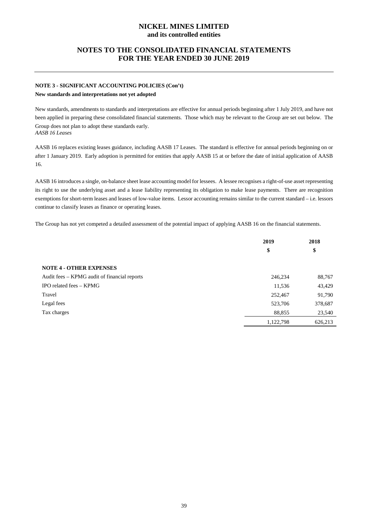## **NOTES TO THE CONSOLIDATED FINANCIAL STATEMENTS FOR THE YEAR ENDED 30 JUNE 2019**

## **NOTE 3 - SIGNIFICANT ACCOUNTING POLICIES (Con't) New standards and interpretations not yet adopted**

New standards, amendments to standards and interpretations are effective for annual periods beginning after 1 July 2019, and have not been applied in preparing these consolidated financial statements. Those which may be relevant to the Group are set out below. The Group does not plan to adopt these standards early. *AASB 16 Leases*

AASB 16 replaces existing leases guidance, including AASB 17 Leases. The standard is effective for annual periods beginning on or after 1 January 2019. Early adoption is permitted for entities that apply AASB 15 at or before the date of initial application of AASB 16.

AASB 16 introduces a single, on-balance sheet lease accounting model for lessees. A lessee recognises a right-of-use asset representing its right to use the underlying asset and a lease liability representing its obligation to make lease payments. There are recognition exemptions for short-term leases and leases of low-value items. Lessor accounting remains similar to the current standard – i.e. lessors continue to classify leases as finance or operating leases.

The Group has not yet competed a detailed assessment of the potential impact of applying AASB 16 on the financial statements.

|                                              | 2019      | 2018    |
|----------------------------------------------|-----------|---------|
|                                              | \$        | \$      |
| <b>NOTE 4 - OTHER EXPENSES</b>               |           |         |
| Audit fees – KPMG audit of financial reports | 246,234   | 88,767  |
| IPO related fees - KPMG                      | 11,536    | 43,429  |
| Travel                                       | 252,467   | 91,790  |
| Legal fees                                   | 523,706   | 378,687 |
| Tax charges                                  | 88,855    | 23,540  |
|                                              | 1,122,798 | 626,213 |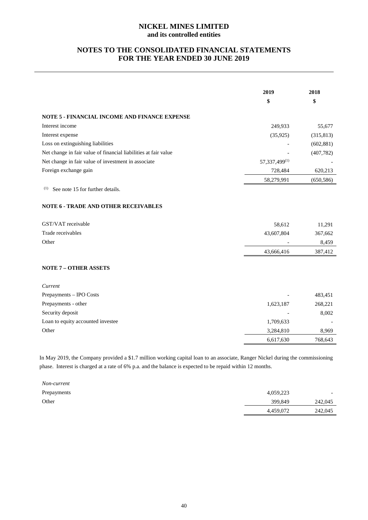## **NOTES TO THE CONSOLIDATED FINANCIAL STATEMENTS FOR THE YEAR ENDED 30 JUNE 2019**

|                                                                 | 2019          | 2018       |
|-----------------------------------------------------------------|---------------|------------|
|                                                                 | \$            | \$         |
| <b>NOTE 5 - FINANCIAL INCOME AND FINANCE EXPENSE</b>            |               |            |
| Interest income                                                 | 249,933       | 55,677     |
| Interest expense                                                | (35, 925)     | (315, 813) |
| Loss on extinguishing liabilities                               |               | (602, 881) |
| Net change in fair value of financial liabilities at fair value |               | (407, 782) |
| Net change in fair value of investment in associate             | 57,337,499(1) |            |
| Foreign exchange gain                                           | 728,484       | 620,213    |
|                                                                 | 58,279,991    | (650, 586) |
| (1)<br>See note 15 for further details.                         |               |            |
| <b>NOTE 6 - TRADE AND OTHER RECEIVABLES</b>                     |               |            |
| GST/VAT receivable                                              | 58,612        | 11,291     |
| Trade receivables                                               | 43,607,804    | 367,662    |
| Other                                                           |               | 8,459      |
|                                                                 | 43,666,416    | 387,412    |
| <b>NOTE 7 - OTHER ASSETS</b>                                    |               |            |
| Current                                                         |               |            |
| Prepayments - IPO Costs                                         |               | 483,451    |
| Prepayments - other                                             | 1,623,187     | 268,221    |
| Security deposit                                                |               | 8,002      |
| Loan to equity accounted investee                               | 1,709,633     |            |
| Other                                                           | 3,284,810     | 8,969      |
|                                                                 | 6,617,630     | 768,643    |
|                                                                 |               |            |

In May 2019, the Company provided a \$1.7 million working capital loan to an associate, Ranger Nickel during the commissioning phase. Interest is charged at a rate of 6% p.a. and the balance is expected to be repaid within 12 months.

| Non-current |           |                          |
|-------------|-----------|--------------------------|
| Prepayments | 4,059,223 | $\overline{\phantom{0}}$ |
| Other       | 399,849   | 242,045                  |
|             | 4,459,072 | 242,045                  |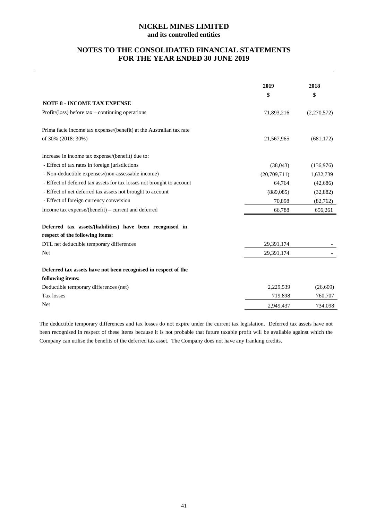## **NOTES TO THE CONSOLIDATED FINANCIAL STATEMENTS FOR THE YEAR ENDED 30 JUNE 2019**

|                                                                       | 2019<br>\$   | 2018<br>\$  |
|-----------------------------------------------------------------------|--------------|-------------|
| <b>NOTE 8 - INCOME TAX EXPENSE</b>                                    |              |             |
| Profit/(loss) before $tax$ – continuing operations                    | 71,893,216   | (2,270,572) |
| Prima facie income tax expense/(benefit) at the Australian tax rate   |              |             |
| of 30% (2018: 30%)                                                    | 21,567,965   | (681, 172)  |
| Increase in income tax expense/(benefit) due to:                      |              |             |
| - Effect of tax rates in foreign jurisdictions                        | (38,043)     | (136,976)   |
| - Non-deductible expenses/(non-assessable income)                     | (20,709,711) | 1,632,739   |
| - Effect of deferred tax assets for tax losses not brought to account | 64,764       | (42,686)    |
| - Effect of net deferred tax assets not brought to account            | (889, 085)   | (32, 882)   |
| - Effect of foreign currency conversion                               | 70,898       | (82,762)    |
| Income tax expense/(benefit) - current and deferred                   | 66,788       | 656,261     |
| Deferred tax assets/(liabilities) have been recognised in             |              |             |
| respect of the following items:                                       |              |             |
| DTL net deductible temporary differences                              | 29,391,174   |             |
| Net                                                                   | 29,391,174   |             |
| Deferred tax assets have not been recognised in respect of the        |              |             |
| following items:                                                      |              |             |
| Deductible temporary differences (net)                                | 2,229,539    | (26,609)    |
| Tax losses                                                            | 719,898      | 760,707     |
| Net                                                                   | 2,949,437    | 734,098     |

The deductible temporary differences and tax losses do not expire under the current tax legislation. Deferred tax assets have not been recognised in respect of these items because it is not probable that future taxable profit will be available against which the Company can utilise the benefits of the deferred tax asset. The Company does not have any franking credits.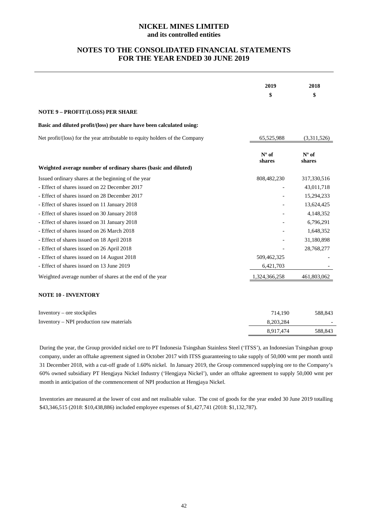## **NOTES TO THE CONSOLIDATED FINANCIAL STATEMENTS FOR THE YEAR ENDED 30 JUNE 2019**

|                                                                              | 2019              | 2018              |
|------------------------------------------------------------------------------|-------------------|-------------------|
|                                                                              | \$                | \$                |
| NOTE 9 - PROFIT/(LOSS) PER SHARE                                             |                   |                   |
| Basic and diluted profit/(loss) per share have been calculated using:        |                   |                   |
| Net profit/(loss) for the year attributable to equity holders of the Company | 65,525,988        | (3,311,526)       |
|                                                                              | $No$ of<br>shares | $No$ of<br>shares |
| Weighted average number of ordinary shares (basic and diluted)               |                   |                   |
| Issued ordinary shares at the beginning of the year                          | 808,482,230       | 317,330,516       |
| - Effect of shares issued on 22 December 2017                                |                   | 43,011,718        |
| - Effect of shares issued on 28 December 2017                                |                   | 15,294,233        |
| - Effect of shares issued on 11 January 2018                                 |                   | 13,624,425        |
| - Effect of shares issued on 30 January 2018                                 |                   | 4,148,352         |
| - Effect of shares issued on 31 January 2018                                 |                   | 6,796,291         |
| - Effect of shares issued on 26 March 2018                                   |                   | 1,648,352         |
| - Effect of shares issued on 18 April 2018                                   |                   | 31,180,898        |
| - Effect of shares issued on 26 April 2018                                   |                   | 28,768,277        |
| - Effect of shares issued on 14 August 2018                                  | 509,462,325       |                   |
| - Effect of shares issued on 13 June 2019                                    | 6,421,703         |                   |
| Weighted average number of shares at the end of the year                     | 1,324,366,258     | 461,803,062       |
| <b>NOTE 10 - INVENTORY</b>                                                   |                   |                   |
| Inventory - ore stockpiles                                                   | 714,190           | 588,843           |
| Inventory – NPI production raw materials                                     | 8,203,284         |                   |
|                                                                              | 8,917,474         | 588,843           |

During the year, the Group provided nickel ore to PT Indonesia Tsingshan Stainless Steel ('ITSS'), an Indonesian Tsingshan group company, under an offtake agreement signed in October 2017 with ITSS guaranteeing to take supply of 50,000 wmt per month until 31 December 2018, with a cut-off grade of 1.60% nickel. In January 2019, the Group commenced supplying ore to the Company's 60% owned subsidiary PT Hengjaya Nickel Industry ('Hengjaya Nickel'), under an offtake agreement to supply 50,000 wmt per month in anticipation of the commencement of NPI production at Hengjaya Nickel.

Inventories are measured at the lower of cost and net realisable value. The cost of goods for the year ended 30 June 2019 totalling \$43,346,515 (2018: \$10,438,886) included employee expenses of \$1,427,741 (2018: \$1,132,787).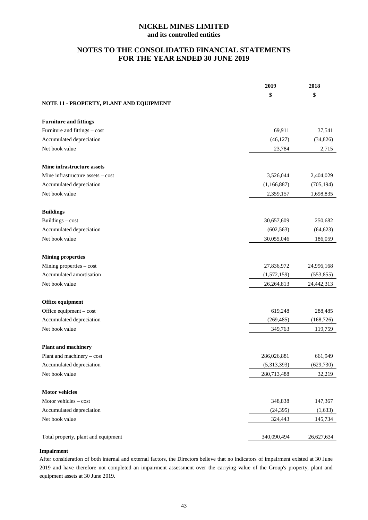## **NOTES TO THE CONSOLIDATED FINANCIAL STATEMENTS FOR THE YEAR ENDED 30 JUNE 2019**

|                                         | 2019        | 2018       |
|-----------------------------------------|-------------|------------|
| NOTE 11 - PROPERTY, PLANT AND EQUIPMENT | \$          | \$         |
|                                         |             |            |
| <b>Furniture and fittings</b>           |             |            |
| Furniture and fittings - cost           | 69,911      | 37,541     |
| Accumulated depreciation                | (46, 127)   | (34, 826)  |
| Net book value                          | 23,784      | 2,715      |
| Mine infrastructure assets              |             |            |
| Mine infrastructure assets – cost       | 3,526,044   | 2,404,029  |
| Accumulated depreciation                | (1,166,887) | (705, 194) |
| Net book value                          | 2,359,157   | 1,698,835  |
| <b>Buildings</b>                        |             |            |
| Buildings - cost                        | 30,657,609  | 250,682    |
| Accumulated depreciation                | (602, 563)  | (64, 623)  |
| Net book value                          | 30,055,046  | 186,059    |
| <b>Mining properties</b>                |             |            |
| Mining properties - cost                | 27,836,972  | 24,996,168 |
| Accumulated amortisation                | (1,572,159) | (553, 855) |
| Net book value                          | 26,264,813  | 24,442,313 |
| Office equipment                        |             |            |
| Office equipment - cost                 | 619,248     | 288,485    |
| Accumulated depreciation                | (269, 485)  | (168, 726) |
| Net book value                          | 349,763     | 119,759    |
| <b>Plant and machinery</b>              |             |            |
| Plant and machinery - cost              | 286,026,881 | 661,949    |
| Accumulated depreciation                | (5,313,393) | (629, 730) |
| Net book value                          | 280,713,488 | 32,219     |
| <b>Motor vehicles</b>                   |             |            |
| Motor vehicles - cost                   | 348,838     | 147,367    |
| Accumulated depreciation                | (24, 395)   | (1,633)    |
| Net book value                          | 324,443     | 145,734    |
| Total property, plant and equipment     | 340,090,494 | 26,627,634 |

## **Impairment**

After consideration of both internal and external factors, the Directors believe that no indicators of impairment existed at 30 June 2019 and have therefore not completed an impairment assessment over the carrying value of the Group's property, plant and equipment assets at 30 June 2019.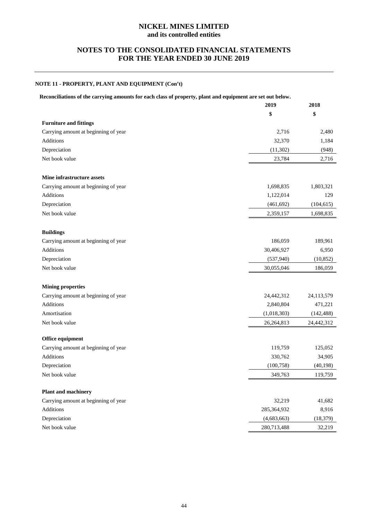## **NOTES TO THE CONSOLIDATED FINANCIAL STATEMENTS FOR THE YEAR ENDED 30 JUNE 2019**

## **NOTE 11 - PROPERTY, PLANT AND EQUIPMENT (Con't)**

| Reconciliations of the carrying amounts for each class of property, plant and equipment are set out below. |  |  |  |  |
|------------------------------------------------------------------------------------------------------------|--|--|--|--|
|                                                                                                            |  |  |  |  |

|                                      | 2019         | 2018       |
|--------------------------------------|--------------|------------|
|                                      | \$           | \$         |
| <b>Furniture and fittings</b>        |              |            |
| Carrying amount at beginning of year | 2,716        | 2,480      |
| Additions                            | 32,370       | 1,184      |
| Depreciation                         | (11, 302)    | (948)      |
| Net book value                       | 23,784       | 2,716      |
|                                      |              |            |
| Mine infrastructure assets           |              |            |
| Carrying amount at beginning of year | 1,698,835    | 1,803,321  |
| Additions                            | 1,122,014    | 129        |
| Depreciation                         | (461, 692)   | (104, 615) |
| Net book value                       | 2,359,157    | 1,698,835  |
|                                      |              |            |
| <b>Buildings</b>                     |              |            |
| Carrying amount at beginning of year | 186,059      | 189,961    |
| Additions                            | 30,406,927   | 6,950      |
| Depreciation                         | (537,940)    | (10, 852)  |
| Net book value                       | 30,055,046   | 186,059    |
|                                      |              |            |
| <b>Mining properties</b>             |              |            |
| Carrying amount at beginning of year | 24,442,312   | 24,113,579 |
| Additions                            | 2,840,804    | 471,221    |
| Amortisation                         | (1,018,303)  | (142, 488) |
| Net book value                       | 26, 264, 813 | 24,442,312 |
|                                      |              |            |
| Office equipment                     |              |            |
| Carrying amount at beginning of year | 119,759      | 125,052    |
| Additions                            | 330,762      | 34,905     |
| Depreciation                         | (100, 758)   | (40, 198)  |
| Net book value                       | 349,763      | 119,759    |
|                                      |              |            |
| <b>Plant and machinery</b>           |              |            |
| Carrying amount at beginning of year | 32,219       | 41,682     |
| Additions                            | 285,364,932  | 8,916      |
| Depreciation                         | (4,683,663)  | (18, 379)  |
| Net book value                       | 280,713,488  | 32,219     |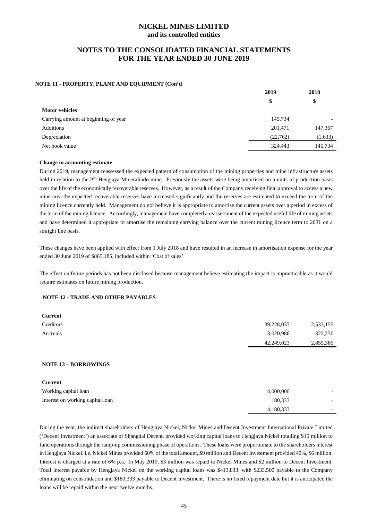## **NOTES TO THE CONSOLIDATED FINANCIAL STATEMENTS FOR THE YEAR ENDED 30 JUNE 2019**

#### **NOTE 11 - PROPERTY, PLANT AND EQUIPMENT (Con't)**

|                                      | 2019     | 2018                     |  |
|--------------------------------------|----------|--------------------------|--|
|                                      | \$       | \$                       |  |
| <b>Motor vehicles</b>                |          |                          |  |
| Carrying amount at beginning of year | 145,734  | $\overline{\phantom{0}}$ |  |
| Additions                            | 201,471  | 147,367                  |  |
| Depreciation                         | (22,762) | (1,633)                  |  |
| Net book value                       | 324,443  | 145,734                  |  |

#### **Change in accounting estimate**

During 2019, management reassessed the expected pattern of consumption of the mining properties and mine infrastructure assets held in relation to the PT Hengjaya Mineralindo mine. Previously the assets were being amortised on a units of production basis over the life of the economically recoverable reserves. However, as a result of the Company receiving final approval to access a new mine area the expected recoverable reserves have increased significantly and the reserves are estimated to exceed the term of the mining licence currently held. Management do not believe it is appropriate to amortise the current assets over a period in excess of the term of the mining licence. Accordingly, management have completed a reassessment of the expected useful life of mining assets and have determined it appropriate to amortise the remaining carrying balance over the current mining licence term to 2031 on a straight line basis.

These changes have been applied with effect from 1 July 2018 and have resulted in an increase in amortisation expense for the year ended 30 June 2019 of \$865,185, included within 'Cost of sales'.

The effect on future periods has not been disclosed because management believe estimating the impact is impracticable as it would require estimates on future mining production.

## **NOTE 12 - TRADE AND OTHER PAYABLES**

| <b>Current</b> |            |           |
|----------------|------------|-----------|
| Creditors      | 39,228,037 | 2,533,155 |
| Accruals       | 3,020,986  | 322,230   |
|                | 42,249,023 | 2,855,385 |

#### **NOTE 13 – BORROWINGS**

| <b>Current</b>                   |           |                          |
|----------------------------------|-----------|--------------------------|
| Working capital loan             | 4,000,000 | $\overline{\phantom{0}}$ |
| Interest on working capital loan | 180.333   | $\overline{\phantom{0}}$ |
|                                  | 4,180,333 |                          |

During the year, the indirect shareholders of Hengjaya Nickel, Nickel Mines and Decent Investment International Private Limited ('Decent Investment') an associate of Shanghai Decent, provided working capital loans to Hengjaya Nickel totalling \$15 million to fund operations through the ramp-up commissioning phase of operations. These loans were proportionate to the shareholders interest in Hengjaya Nickel. i.e. Nickel Mines provided 60% of the total amount, \$9 million and Decent Investment provided 40%, \$6 million. Interest is charged at a rate of 6% p.a. In May 2019, \$3 million was repaid to Nickel Mines and \$2 million to Decent Investment. Total interest payable by Hengjaya Nickel on the working capital loans was \$413,833, with \$233,500 payable to the Company eliminating on consolidation and \$180,333 payable to Decent Investment. There is no fixed repayment date but it is anticipated the loans will be repaid within the next twelve months.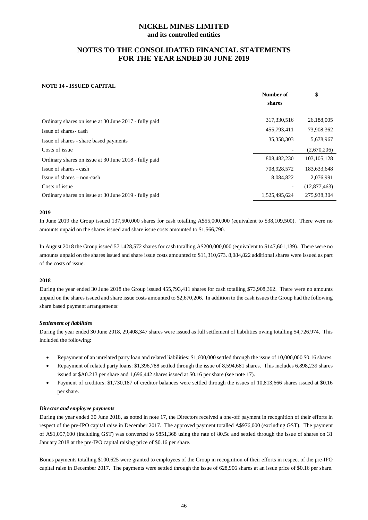## **NOTES TO THE CONSOLIDATED FINANCIAL STATEMENTS FOR THE YEAR ENDED 30 JUNE 2019**

## **NOTE 14 - ISSUED CAPITAL**

|                                                       | Number of     | \$            |
|-------------------------------------------------------|---------------|---------------|
|                                                       | shares        |               |
| Ordinary shares on issue at 30 June 2017 - fully paid | 317,330,516   | 26,188,005    |
| Issue of shares-cash                                  | 455,793,411   | 73,908,362    |
| Issue of shares - share based payments                | 35,358,303    | 5,678,967     |
| Costs of issue                                        |               | (2,670,206)   |
| Ordinary shares on issue at 30 June 2018 - fully paid | 808,482,230   | 103, 105, 128 |
| Issue of shares - cash                                | 708,928,572   | 183,633,648   |
| $I$ ssue of shares $-$ non-cash                       | 8,084,822     | 2,076,991     |
| Costs of issue                                        |               | (12,877,463)  |
| Ordinary shares on issue at 30 June 2019 - fully paid | 1,525,495,624 | 275,938,304   |

#### **2019**

In June 2019 the Group issued 137,500,000 shares for cash totalling A\$55,000,000 (equivalent to \$38,109,500). There were no amounts unpaid on the shares issued and share issue costs amounted to \$1,566,790.

In August 2018 the Group issued 571,428,572 shares for cash totalling A\$200,000,000 (equivalent to \$147,601,139). There were no amounts unpaid on the shares issued and share issue costs amounted to \$11,310,673. 8,084,822 additional shares were issued as part of the costs of issue.

## **2018**

During the year ended 30 June 2018 the Group issued 455,793,411 shares for cash totalling \$73,908,362. There were no amounts unpaid on the shares issued and share issue costs amounted to \$2,670,206. In addition to the cash issues the Group had the following share based payment arrangements:

## *Settlement of liabilities*

During the year ended 30 June 2018, 29,408,347 shares were issued as full settlement of liabilities owing totalling \$4,726,974. This included the following:

- Repayment of an unrelated party loan and related liabilities: \$1,600,000 settled through the issue of 10,000,000 \$0.16 shares.
- Repayment of related party loans: \$1,396,788 settled through the issue of 8,594,681 shares. This includes 6,898,239 shares issued at \$A0.213 per share and 1,696,442 shares issued at \$0.16 per share (see note 17).
- Payment of creditors: \$1,730,187 of creditor balances were settled through the issues of 10,813,666 shares issued at \$0.16 per share.

#### *Director and employee payments*

During the year ended 30 June 2018, as noted in note 17, the Directors received a one-off payment in recognition of their efforts in respect of the pre-IPO capital raise in December 2017. The approved payment totalled A\$976,000 (excluding GST). The payment of A\$1,057,600 (including GST) was converted to \$851,368 using the rate of 80.5c and settled through the issue of shares on 31 January 2018 at the pre-IPO capital raising price of \$0.16 per share.

Bonus payments totalling \$100,625 were granted to employees of the Group in recognition of their efforts in respect of the pre-IPO capital raise in December 2017. The payments were settled through the issue of 628,906 shares at an issue price of \$0.16 per share.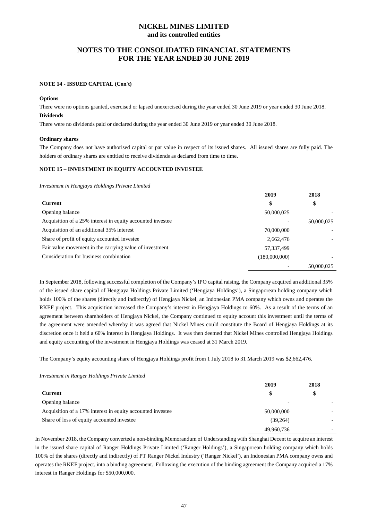## **NOTES TO THE CONSOLIDATED FINANCIAL STATEMENTS FOR THE YEAR ENDED 30 JUNE 2019**

#### **NOTE 14 - ISSUED CAPITAL (Con't)**

#### **Options**

There were no options granted, exercised or lapsed unexercised during the year ended 30 June 2019 or year ended 30 June 2018. **Dividends**

There were no dividends paid or declared during the year ended 30 June 2019 or year ended 30 June 2018.

#### **Ordinary shares**

The Company does not have authorised capital or par value in respect of its issued shares. All issued shares are fully paid. The holders of ordinary shares are entitled to receive dividends as declared from time to time.

#### **NOTE 15 – INVESTMENT IN EQUITY ACCOUNTED INVESTEE**

*Investment in Hengjaya Holdings Private Limited* 

|                                                            | 2019          | 2018       |
|------------------------------------------------------------|---------------|------------|
| Current                                                    | \$            | \$         |
| Opening balance                                            | 50,000,025    |            |
| Acquisition of a 25% interest in equity accounted investee |               | 50,000,025 |
| Acquisition of an additional 35% interest                  | 70,000,000    |            |
| Share of profit of equity accounted investee               | 2,662,476     |            |
| Fair value movement in the carrying value of investment    | 57,337,499    |            |
| Consideration for business combination                     | (180,000,000) |            |
|                                                            |               | 50,000,025 |

In September 2018, following successful completion of the Company's IPO capital raising, the Company acquired an additional 35% of the issued share capital of Hengjaya Holdings Private Limited ('Hengjaya Holdings'), a Singaporean holding company which holds 100% of the shares (directly and indirectly) of Hengjaya Nickel, an Indonesian PMA company which owns and operates the RKEF project. This acquisition increased the Company's interest in Hengjaya Holdings to 60%. As a result of the terms of an agreement between shareholders of Hengjaya Nickel, the Company continued to equity account this investment until the terms of the agreement were amended whereby it was agreed that Nickel Mines could constitute the Board of Hengjaya Holdings at its discretion once it held a 60% interest in Hengjaya Holdings. It was then deemed that Nickel Mines controlled Hengjaya Holdings and equity accounting of the investment in Hengjaya Holdings was ceased at 31 March 2019.

The Company's equity accounting share of Hengjaya Holdings profit from 1 July 2018 to 31 March 2019 was \$2,662,476.

#### *Investment in Ranger Holdings Private Limited*

|                                                            | 2019       | 2018 |
|------------------------------------------------------------|------------|------|
| Current                                                    | \$         | \$   |
| Opening balance                                            |            |      |
| Acquisition of a 17% interest in equity accounted investee | 50,000,000 |      |
| Share of loss of equity accounted investee                 | (39.264)   |      |
|                                                            | 49,960,736 |      |

In November 2018, the Company converted a non-binding Memorandum of Understanding with Shanghai Decent to acquire an interest in the issued share capital of Ranger Holdings Private Limited ('Ranger Holdings'), a Singaporean holding company which holds 100% of the shares (directly and indirectly) of PT Ranger Nickel Industry ('Ranger Nickel'), an Indonesian PMA company owns and operates the RKEF project, into a binding agreement. Following the execution of the binding agreement the Company acquired a 17% interest in Ranger Holdings for \$50,000,000.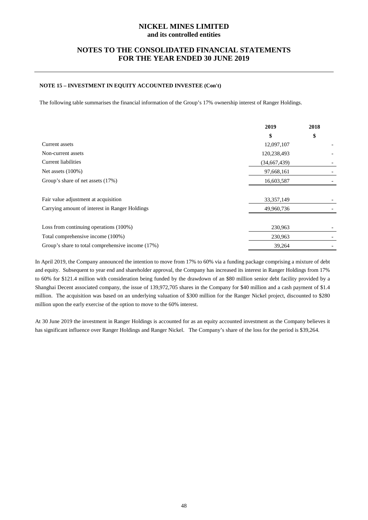## **NOTES TO THE CONSOLIDATED FINANCIAL STATEMENTS FOR THE YEAR ENDED 30 JUNE 2019**

## **NOTE 15 – INVESTMENT IN EQUITY ACCOUNTED INVESTEE (Con't)**

The following table summarises the financial information of the Group's 17% ownership interest of Ranger Holdings.

|                                                   | 2019         | 2018 |
|---------------------------------------------------|--------------|------|
|                                                   | \$           | \$   |
| Current assets                                    | 12,097,107   |      |
| Non-current assets                                | 120,238,493  |      |
| Current liabilities                               | (34,667,439) |      |
| Net assets $(100\%)$                              | 97,668,161   |      |
| Group's share of net assets (17%)                 | 16,603,587   |      |
| Fair value adjustment at acquisition              | 33, 357, 149 |      |
| Carrying amount of interest in Ranger Holdings    | 49,960,736   |      |
| Loss from continuing operations (100%)            | 230,963      |      |
| Total comprehensive income (100%)                 | 230,963      |      |
| Group's share to total comprehensive income (17%) | 39,264       |      |

In April 2019, the Company announced the intention to move from 17% to 60% via a funding package comprising a mixture of debt and equity. Subsequent to year end and shareholder approval, the Company has increased its interest in Ranger Holdings from 17% to 60% for \$121.4 million with consideration being funded by the drawdown of an \$80 million senior debt facility provided by a Shanghai Decent associated company, the issue of 139,972,705 shares in the Company for \$40 million and a cash payment of \$1.4 million. The acquisition was based on an underlying valuation of \$300 million for the Ranger Nickel project, discounted to \$280 million upon the early exercise of the option to move to the 60% interest.

At 30 June 2019 the investment in Ranger Holdings is accounted for as an equity accounted investment as the Company believes it has significant influence over Ranger Holdings and Ranger Nickel. The Company's share of the loss for the period is \$39,264.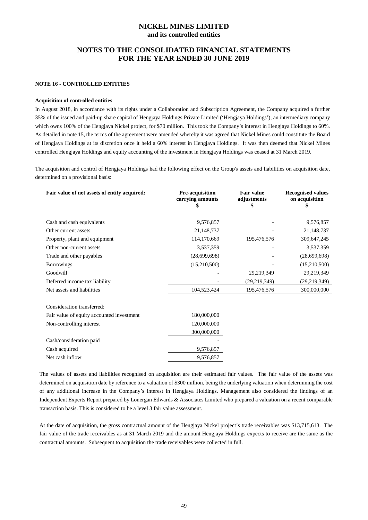## **NOTES TO THE CONSOLIDATED FINANCIAL STATEMENTS FOR THE YEAR ENDED 30 JUNE 2019**

#### **NOTE 16 - CONTROLLED ENTITIES**

#### **Acquisition of controlled entities**

In August 2018, in accordance with its rights under a Collaboration and Subscription Agreement, the Company acquired a further 35% of the issued and paid-up share capital of Hengjaya Holdings Private Limited ('Hengjaya Holdings'), an intermediary company which owns 100% of the Hengjaya Nickel project, for \$70 million. This took the Company's interest in Hengjaya Holdings to 60%. As detailed in note 15, the terms of the agreement were amended whereby it was agreed that Nickel Mines could constitute the Board of Hengjaya Holdings at its discretion once it held a 60% interest in Hengjaya Holdings. It was then deemed that Nickel Mines controlled Hengjaya Holdings and equity accounting of the investment in Hengjaya Holdings was ceased at 31 March 2019.

The acquisition and control of Hengjaya Holdings had the following effect on the Group's assets and liabilities on acquisition date, determined on a provisional basis:

| Fair value of net assets of entity acquired: | Pre-acquisition<br>carrying amounts | <b>Fair value</b><br>adjustments<br>Ъ. | <b>Recognised values</b><br>on acquisition |
|----------------------------------------------|-------------------------------------|----------------------------------------|--------------------------------------------|
| Cash and cash equivalents                    | 9,576,857                           |                                        | 9,576,857                                  |
| Other current assets                         | 21,148,737                          |                                        | 21,148,737                                 |
| Property, plant and equipment                | 114,170,669                         | 195,476,576                            | 309,647,245                                |
| Other non-current assets                     | 3,537,359                           |                                        | 3,537,359                                  |
| Trade and other payables                     | (28,699,698)                        |                                        | (28,699,698)                               |
| <b>Borrowings</b>                            | (15,210,500)                        |                                        | (15,210,500)                               |
| Goodwill                                     |                                     | 29,219,349                             | 29,219,349                                 |
| Deferred income tax liability                |                                     | (29, 219, 349)                         | (29, 219, 349)                             |
| Net assets and liabilities                   | 104,523,424                         | 195,476,576                            | 300,000,000                                |
| Consideration transferred:                   |                                     |                                        |                                            |
| Fair value of equity accounted investment    | 180,000,000                         |                                        |                                            |
| Non-controlling interest                     | 120,000,000                         |                                        |                                            |
|                                              | 300,000,000                         |                                        |                                            |
| Cash/consideration paid                      |                                     |                                        |                                            |
| Cash acquired                                | 9,576,857                           |                                        |                                            |
| Net cash inflow                              | 9,576,857                           |                                        |                                            |

The values of assets and liabilities recognised on acquisition are their estimated fair values. The fair value of the assets was determined on acquisition date by reference to a valuation of \$300 million, being the underlying valuation when determining the cost of any additional increase in the Company's interest in Hengjaya Holdings. Management also considered the findings of an Independent Experts Report prepared by Lonergan Edwards & Associates Limited who prepared a valuation on a recent comparable transaction basis. This is considered to be a level 3 fair value assessment.

At the date of acquisition, the gross contractual amount of the Hengjaya Nickel project's trade receivables was \$13,715,613. The fair value of the trade receivables as at 31 March 2019 and the amount Hengjaya Holdings expects to receive are the same as the contractual amounts. Subsequent to acquisition the trade receivables were collected in full.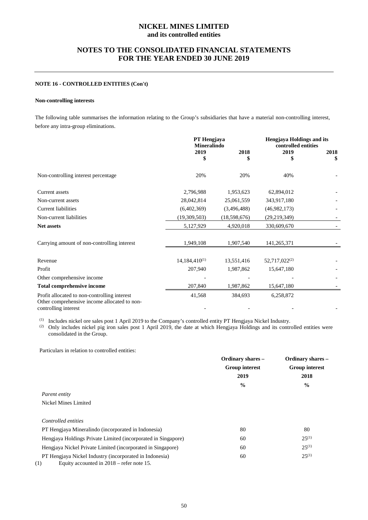## **NOTES TO THE CONSOLIDATED FINANCIAL STATEMENTS FOR THE YEAR ENDED 30 JUNE 2019**

#### **NOTE 16 - CONTROLLED ENTITIES (Con't)**

## **Non-controlling interests**

The following table summarises the information relating to the Group's subsidiaries that have a material non-controlling interest, before any intra-group eliminations.

|                                                                                              | PT Hengjaya<br>Mineralindo |              | <b>Hengjaya Holdings and its</b><br>controlled entities |      |
|----------------------------------------------------------------------------------------------|----------------------------|--------------|---------------------------------------------------------|------|
|                                                                                              | 2019                       | 2018         | 2019                                                    | 2018 |
|                                                                                              | \$                         | \$           | S                                                       | \$   |
| Non-controlling interest percentage                                                          | 20%                        | 20%          | 40%                                                     |      |
| Current assets                                                                               | 2,796,988                  | 1,953,623    | 62,894,012                                              |      |
| Non-current assets                                                                           | 28,042,814                 | 25,061,559   | 343,917,180                                             |      |
| <b>Current liabilities</b>                                                                   | (6,402,369)                | (3,496,488)  | (46,982,173)                                            |      |
| Non-current liabilities                                                                      | (19,309,503)               | (18,598,676) | (29, 219, 349)                                          |      |
| <b>Net assets</b>                                                                            | 5,127,929                  | 4,920,018    | 330,609,670                                             |      |
| Carrying amount of non-controlling interest                                                  | 1,949,108                  | 1,907,540    | 141,265,371                                             |      |
| Revenue                                                                                      | $14,184,410^{(1)}$         | 13,551,416   | 52,717,022 <sup>(2)</sup>                               |      |
| Profit                                                                                       | 207,940                    | 1,987,862    | 15,647,180                                              |      |
| Other comprehensive income                                                                   |                            |              |                                                         |      |
| <b>Total comprehensive income</b>                                                            | 207,840                    | 1,987,862    | 15,647,180                                              |      |
| Profit allocated to non-controlling interest<br>Other comprehensive income allocated to non- | 41,568                     | 384,693      | 6,258,872                                               |      |
| controlling interest                                                                         |                            |              |                                                         |      |

(1) Includes nickel ore sales post 1 April 2019 to the Company's controlled entity PT Hengjaya Nickel Industry.

(2) Only includes nickel pig iron sales post 1 April 2019, the date at which Hengjaya Holdings and its controlled entities were consolidated in the Group.

Particulars in relation to controlled entities:

|                                                                                                               | Ordinary shares -<br><b>Group interest</b> | <b>Ordinary shares -</b><br><b>Group interest</b> |
|---------------------------------------------------------------------------------------------------------------|--------------------------------------------|---------------------------------------------------|
|                                                                                                               | 2019                                       | 2018                                              |
|                                                                                                               | $\frac{0}{0}$                              | $\frac{0}{0}$                                     |
| Parent entity                                                                                                 |                                            |                                                   |
| Nickel Mines Limited                                                                                          |                                            |                                                   |
| Controlled entities                                                                                           |                                            |                                                   |
| PT Hengiaya Mineralindo (incorporated in Indonesia)                                                           | 80                                         | 80                                                |
| Hengiava Holdings Private Limited (incorporated in Singapore)                                                 | 60                                         | $25^{(1)}$                                        |
| Hengiaya Nickel Private Limited (incorporated in Singapore)                                                   | 60                                         | $25^{(1)}$                                        |
| PT Hengjaya Nickel Industry (incorporated in Indonesia)<br>Equity accounted in $2018$ – refer note 15.<br>(1) | 60                                         | $25^{(1)}$                                        |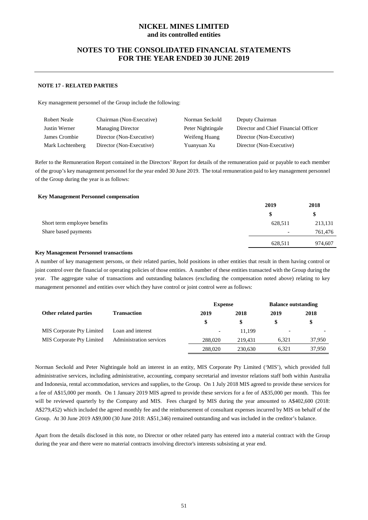## **NOTES TO THE CONSOLIDATED FINANCIAL STATEMENTS FOR THE YEAR ENDED 30 JUNE 2019**

#### **NOTE 17 - RELATED PARTIES**

Key management personnel of the Group include the following:

| Robert Neale     | Chairman (Non-Executive) | Norman Seckold    | Deputy Chairman                      |
|------------------|--------------------------|-------------------|--------------------------------------|
| Justin Werner    | <b>Managing Director</b> | Peter Nightingale | Director and Chief Financial Officer |
| James Crombie    | Director (Non-Executive) | Weifeng Huang     | Director (Non-Executive)             |
| Mark Lochtenberg | Director (Non-Executive) | Yuanyuan Xu       | Director (Non-Executive)             |

Refer to the Remuneration Report contained in the Directors' Report for details of the remuneration paid or payable to each member of the group's key management personnel for the year ended 30 June 2019. The total remuneration paid to key management personnel of the Group during the year is as follows:

#### **Key Management Personnel compensation**

|                              | 2019                     | 2018    |
|------------------------------|--------------------------|---------|
|                              | \$                       | \$      |
| Short term employee benefits | 628,511                  | 213,131 |
| Share based payments         | $\overline{\phantom{0}}$ | 761,476 |
|                              | 628,511                  | 974,607 |
|                              |                          |         |

#### **Key Management Personnel transactions**

A number of key management persons, or their related parties, hold positions in other entities that result in them having control or joint control over the financial or operating policies of those entities. A number of these entities transacted with the Group during the year. The aggregate value of transactions and outstanding balances (excluding the compensation noted above) relating to key management personnel and entities over which they have control or joint control were as follows:

|                                  |                                | <b>Expense</b>           |         | <b>Balance outstanding</b> |        |
|----------------------------------|--------------------------------|--------------------------|---------|----------------------------|--------|
| Other related parties            | <b>Transaction</b>             | 2019                     | 2018    | 2019                       | 2018   |
|                                  |                                | \$                       | \$      |                            | \$     |
| <b>MIS</b> Corporate Pty Limited | Loan and interest              | $\overline{\phantom{a}}$ | 11.199  | $\overline{\phantom{a}}$   |        |
| <b>MIS Corporate Pty Limited</b> | <b>Administration services</b> | 288,020                  | 219.431 | 6.321                      | 37,950 |
|                                  |                                | 288,020                  | 230.630 | 6.321                      | 37,950 |

Norman Seckold and Peter Nightingale hold an interest in an entity, MIS Corporate Pty Limited ('MIS'), which provided full administrative services, including administrative, accounting, company secretarial and investor relations staff both within Australia and Indonesia, rental accommodation, services and supplies, to the Group. On 1 July 2018 MIS agreed to provide these services for a fee of A\$15,000 per month. On 1 January 2019 MIS agreed to provide these services for a fee of A\$35,000 per month. This fee will be reviewed quarterly by the Company and MIS. Fees charged by MIS during the year amounted to A\$402,600 (2018: A\$279,452) which included the agreed monthly fee and the reimbursement of consultant expenses incurred by MIS on behalf of the Group. At 30 June 2019 A\$9,000 (30 June 2018: A\$51,346) remained outstanding and was included in the creditor's balance.

Apart from the details disclosed in this note, no Director or other related party has entered into a material contract with the Group during the year and there were no material contracts involving director's interests subsisting at year end.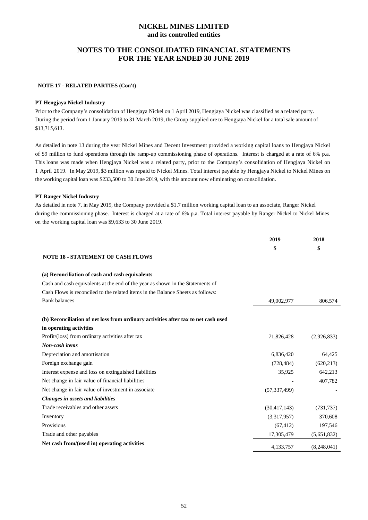## **NOTES TO THE CONSOLIDATED FINANCIAL STATEMENTS FOR THE YEAR ENDED 30 JUNE 2019**

#### **NOTE 17 - RELATED PARTIES (Con't)**

#### **PT Hengjaya Nickel Industry**

Prior to the Company's consolidation of Hengjaya Nickel on 1 April 2019, Hengjaya Nickel was classified as a related party. During the period from 1 January 2019 to 31 March 2019, the Group supplied ore to Hengjaya Nickel for a total sale amount of \$13,715,613.

As detailed in note 13 during the year Nickel Mines and Decent Investment provided a working capital loans to Hengjaya Nickel of \$9 million to fund operations through the ramp-up commissioning phase of operations. Interest is charged at a rate of 6% p.a. This loans was made when Hengjaya Nickel was a related party, prior to the Company's consolidation of Hengjaya Nickel on 1 April 2019. In May 2019, \$3 million was repaid to Nickel Mines. Total interest payable by Hengjaya Nickel to Nickel Mines on the working capital loan was \$233,500 to 30 June 2019, with this amount now eliminating on consolidation.

#### **PT Ranger Nickel Industry**

As detailed in note 7, in May 2019, the Company provided a \$1.7 million working capital loan to an associate, Ranger Nickel during the commissioning phase. Interest is charged at a rate of 6% p.a. Total interest payable by Ranger Nickel to Nickel Mines on the working capital loan was \$9,633 to 30 June 2019.

|                                                                                    | 2019<br>\$     | 2018<br>\$  |
|------------------------------------------------------------------------------------|----------------|-------------|
| <b>NOTE 18 - STATEMENT OF CASH FLOWS</b>                                           |                |             |
| (a) Reconciliation of cash and cash equivalents                                    |                |             |
| Cash and cash equivalents at the end of the year as shown in the Statements of     |                |             |
| Cash Flows is reconciled to the related items in the Balance Sheets as follows:    |                |             |
| <b>Bank balances</b>                                                               | 49,002,977     | 806,574     |
| (b) Reconciliation of net loss from ordinary activities after tax to net cash used |                |             |
| in operating activities                                                            |                |             |
| Profit/(loss) from ordinary activities after tax                                   | 71,826,428     | (2,926,833) |
| Non-cash items                                                                     |                |             |
| Depreciation and amortisation                                                      | 6,836,420      | 64,425      |
| Foreign exchange gain                                                              | (728, 484)     | (620, 213)  |
| Interest expense and loss on extinguished liabilities                              | 35,925         | 642,213     |
| Net change in fair value of financial liabilities                                  |                | 407,782     |
| Net change in fair value of investment in associate                                | (57, 337, 499) |             |
| Changes in assets and liabilities                                                  |                |             |
| Trade receivables and other assets                                                 | (30, 417, 143) | (731, 737)  |
| Inventory                                                                          | (3,317,957)    | 370,608     |
| Provisions                                                                         | (67, 412)      | 197,546     |
| Trade and other payables                                                           | 17,305,479     | (5,651,832) |
| Net cash from/(used in) operating activities                                       | 4,133,757      | (8,248,041) |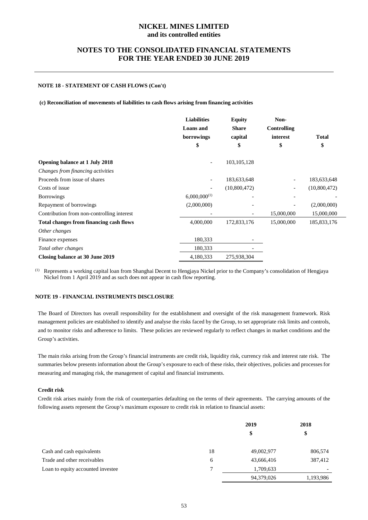## **NOTES TO THE CONSOLIDATED FINANCIAL STATEMENTS FOR THE YEAR ENDED 30 JUNE 2019**

## **NOTE 18 - STATEMENT OF CASH FLOWS (Con't)**

**(c) Reconciliation of movements of liabilities to cash flows arising from financing activities**

|                                            | <b>Liabilities</b>       | <b>Equity</b>                | Non-                     |               |
|--------------------------------------------|--------------------------|------------------------------|--------------------------|---------------|
|                                            | <b>Loans</b> and         | <b>Share</b>                 | Controlling              |               |
|                                            | borrowings               | capital                      | interest                 | <b>Total</b>  |
|                                            | \$                       | \$                           | \$                       | \$            |
| <b>Opening balance at 1 July 2018</b>      |                          | 103, 105, 128                |                          |               |
| Changes from financing activities          |                          |                              |                          |               |
| Proceeds from issue of shares              | $\overline{\phantom{a}}$ | 183,633,648                  |                          | 183,633,648   |
| Costs of issue                             | $\overline{\phantom{a}}$ | (10,800,472)                 | $\overline{\phantom{a}}$ | (10,800,472)  |
| <b>Borrowings</b>                          | $6,000,000^{(1)}$        |                              |                          |               |
| Repayment of borrowings                    | (2,000,000)              |                              |                          | (2,000,000)   |
| Contribution from non-controlling interest |                          | $\qquad \qquad \blacksquare$ | 15,000,000               | 15,000,000    |
| Total changes from financing cash flows    | 4,000,000                | 172,833,176                  | 15,000,000               | 185, 833, 176 |
| Other changes                              |                          |                              |                          |               |
| Finance expenses                           | 180,333                  |                              |                          |               |
| Total other changes                        | 180,333                  |                              |                          |               |
| Closing balance at 30 June 2019            | 4,180,333                | 275,938,304                  |                          |               |

(1) Represents a working capital loan from Shanghai Decent to Hengjaya Nickel prior to the Company's consolidation of Hengjaya Nickel from 1 April 2019 and as such does not appear in cash flow reporting.

## **NOTE 19 - FINANCIAL INSTRUMENTS DISCLOSURE**

The Board of Directors has overall responsibility for the establishment and oversight of the risk management framework. Risk management policies are established to identify and analyse the risks faced by the Group, to set appropriate risk limits and controls, and to monitor risks and adherence to limits. These policies are reviewed regularly to reflect changes in market conditions and the Group's activities.

The main risks arising from the Group's financial instruments are credit risk, liquidity risk, currency risk and interest rate risk. The summaries below presents information about the Group's exposure to each of these risks, their objectives, policies and processes for measuring and managing risk, the management of capital and financial instruments.

#### **Credit risk**

Credit risk arises mainly from the risk of counterparties defaulting on the terms of their agreements. The carrying amounts of the following assets represent the Group's maximum exposure to credit risk in relation to financial assets:

|                                   |    | 2019       | 2018      |  |
|-----------------------------------|----|------------|-----------|--|
|                                   |    | \$         | \$        |  |
| Cash and cash equivalents         | 18 | 49,002,977 | 806,574   |  |
| Trade and other receivables       | 6  | 43,666,416 | 387,412   |  |
| Loan to equity accounted investee | 7  | 1,709,633  |           |  |
|                                   |    | 94,379,026 | 1,193,986 |  |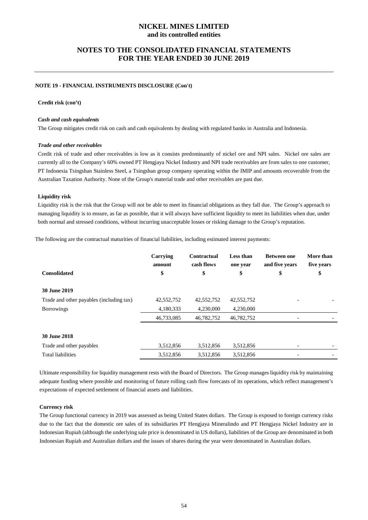## **NOTES TO THE CONSOLIDATED FINANCIAL STATEMENTS FOR THE YEAR ENDED 30 JUNE 2019**

#### **NOTE 19 - FINANCIAL INSTRUMENTS DISCLOSURE (Con't)**

#### **Credit risk (con't)**

#### *Cash and cash equivalents*

The Group mitigates credit risk on cash and cash equivalents by dealing with regulated banks in Australia and Indonesia.

#### *Trade and other receivables*

Credit risk of trade and other receivables is low as it consists predominantly of nickel ore and NPI sales. Nickel ore sales are currently all to the Company's 60% owned PT Hengjaya Nickel Industry and NPI trade receivables are from sales to one customer, PT Indonesia Tsingshan Stainless Steel, a Tsingshan group company operating within the IMIP and amounts recoverable from the Australian Taxation Authority. None of the Group's material trade and other receivables are past due.

#### **Liquidity risk**

Liquidity risk is the risk that the Group will not be able to meet its financial obligations as they fall due. The Group's approach to managing liquidity is to ensure, as far as possible, that it will always have sufficient liquidity to meet its liabilities when due, under both normal and stressed conditions, without incurring unacceptable losses or risking damage to the Group's reputation.

The following are the contractual maturities of financial liabilities, including estimated interest payments:

|                                          | Carrying<br>amount | Contractual<br>cash flows | Less than<br>one year | <b>Between</b> one<br>and five years | More than<br>five years |
|------------------------------------------|--------------------|---------------------------|-----------------------|--------------------------------------|-------------------------|
| <b>Consolidated</b>                      | \$                 | \$                        | \$                    | \$                                   | \$                      |
| <b>30 June 2019</b>                      |                    |                           |                       |                                      |                         |
| Trade and other payables (including tax) | 42,552,752         | 42,552,752                | 42,552,752            |                                      |                         |
| <b>Borrowings</b>                        | 4,180,333          | 4,230,000                 | 4,230,000             |                                      |                         |
|                                          | 46,733,085         | 46,782,752                | 46,782,752            |                                      |                         |
| <b>30 June 2018</b>                      |                    |                           |                       |                                      |                         |
| Trade and other payables                 | 3,512,856          | 3,512,856                 | 3,512,856             |                                      |                         |
| <b>Total liabilities</b>                 | 3,512,856          | 3,512,856                 | 3,512,856             |                                      |                         |

Ultimate responsibility for liquidity management rests with the Board of Directors. The Group manages liquidity risk by maintaining adequate funding where possible and monitoring of future rolling cash flow forecasts of its operations, which reflect management's expectations of expected settlement of financial assets and liabilities.

#### **Currency risk**

The Group functional currency in 2019 was assessed as being United States dollars. The Group is exposed to foreign currency risks due to the fact that the domestic ore sales of its subsidiaries PT Hengjaya Mineralindo and PT Hengjaya Nickel Industry are in Indonesian Rupiah (although the underlying sale price is denominated in US dollars), liabilities of the Group are denominated in both Indonesian Rupiah and Australian dollars and the issues of shares during the year were denominated in Australian dollars.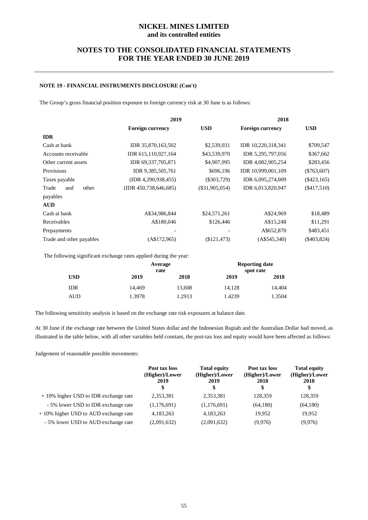## **NOTES TO THE CONSOLIDATED FINANCIAL STATEMENTS FOR THE YEAR ENDED 30 JUNE 2019**

## **NOTE 19 - FINANCIAL INSTRUMENTS DISCLOSURE (Con't)**

The Group's gross financial position exposure to foreign currency risk at 30 June is as follows:

|                          | 2019                     |                  | 2018                    |               |
|--------------------------|--------------------------|------------------|-------------------------|---------------|
|                          | <b>Foreign currency</b>  | <b>USD</b>       | <b>Foreign currency</b> | <b>USD</b>    |
| <b>IDR</b>               |                          |                  |                         |               |
| Cash at bank             | IDR 35,870,163,502       | \$2,539,031      | IDR 10,220,318,341      | \$709,547     |
| Accounts receivable      | IDR 615,110,927,164      | \$43,539,970     | IDR 5,295,797,056       | \$367,662     |
| Other current assets     | IDR 69,337,705,871       | \$4,907,995      | IDR 4,082,905,254       | \$283,456     |
| Provisions               | IDR 9,385,505,761        | \$696,196        | IDR 10,999,001,109      | $(\$763,607)$ |
| Taxes payable            | (IDR 4,290,938,455)      | $(\$303,729)$    | IDR 6,095,274,009       | $(\$423,165)$ |
| Trade<br>other<br>and    | (IDR 450, 738, 646, 685) | $(\$31,905,054)$ | IDR 6,013,820,947       | $(\$417,510)$ |
| payables                 |                          |                  |                         |               |
| <b>AUD</b>               |                          |                  |                         |               |
| Cash at bank             | A\$34,986,844            | \$24,571,261     | A\$24,969               | \$18,489      |
| Receivables              | A\$180,046               | \$126,446        | A\$15,248               | \$11,291      |
| Prepayments              |                          |                  | A\$652,870              | \$483,451     |
| Trade and other payables | (A\$172,965)             | (\$121,473)      | (AS545,340)             | $(\$403,824)$ |

The following significant exchange rates applied during the year:

|     |        | Average<br>rate |        | <b>Reporting date</b><br>spot rate |
|-----|--------|-----------------|--------|------------------------------------|
| USD | 2019   | 2018            | 2019   | 2018                               |
| IDR | 14.469 | 13,608          | 14,128 | 14.404                             |
| AUD | 1.3978 | 1.2913          | 1.4239 | 1.3504                             |

The following sensitivity analysis is based on the exchange rate risk exposures at balance date.

At 30 June if the exchange rate between the United States dollar and the Indonesian Rupiah and the Australian Dollar had moved, as illustrated in the table below, with all other variables held constant, the post-tax loss and equity would have been affected as follows:

Judgement of reasonable possible movements:

|                                         | Post tax loss<br>(Higher)/Lower<br>2019<br>\$ | <b>Total equity</b><br>(Higher)/Lower<br>2019<br>\$ | Post tax loss<br>(Higher)/Lower<br>2018<br>\$ | <b>Total equity</b><br>(Higher)/Lower<br>2018<br>\$ |
|-----------------------------------------|-----------------------------------------------|-----------------------------------------------------|-----------------------------------------------|-----------------------------------------------------|
| $+10\%$ higher USD to IDR exchange rate | 2,353,381                                     | 2,353,381                                           | 128,359                                       | 128,359                                             |
| - 5% lower USD to IDR exchange rate     | (1,176,691)                                   | (1,176,691)                                         | (64,180)                                      | (64,180)                                            |
| $+10\%$ higher USD to AUD exchange rate | 4,183,263                                     | 4,183,263                                           | 19.952                                        | 19,952                                              |
| - 5% lower USD to AUD exchange rate     | (2,091,632)                                   | (2,091,632)                                         | (9,976)                                       | (9,976)                                             |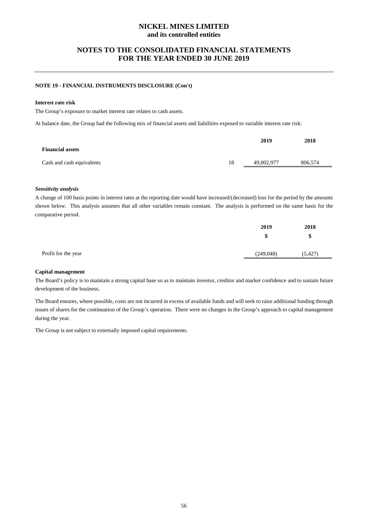## **NOTES TO THE CONSOLIDATED FINANCIAL STATEMENTS FOR THE YEAR ENDED 30 JUNE 2019**

## **NOTE 19 - FINANCIAL INSTRUMENTS DISCLOSURE (Con't)**

#### **Interest rate risk**

The Group's exposure to market interest rate relates to cash assets.

At balance date, the Group had the following mix of financial assets and liabilities exposed to variable interest rate risk:

|                           |    | 2019       | 2018    |
|---------------------------|----|------------|---------|
| <b>Financial assets</b>   |    |            |         |
| Cash and cash equivalents | 18 | 49,002,977 | 806,574 |
|                           |    |            |         |

#### *Sensitivity analysis*

A change of 100 basis points in interest rates at the reporting date would have increased/(decreased) loss for the period by the amounts shown below. This analysis assumes that all other variables remain constant. The analysis is performed on the same basis for the comparative period.

|                     | 2019       | 2018     |
|---------------------|------------|----------|
|                     | \$         | \$       |
| Profit for the year | (249, 048) | (5, 427) |
|                     |            |          |

#### **Capital management**

The Board's policy is to maintain a strong capital base so as to maintain investor, creditor and market confidence and to sustain future development of the business.

The Board ensures, where possible, costs are not incurred in excess of available funds and will seek to raise additional funding through issues of shares for the continuation of the Group's operation. There were no changes in the Group's approach to capital management during the year.

The Group is not subject to externally imposed capital requirements.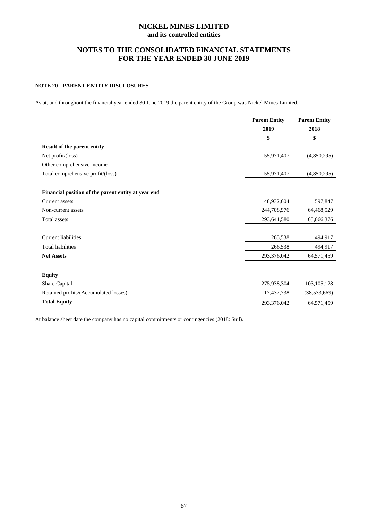## **NOTES TO THE CONSOLIDATED FINANCIAL STATEMENTS FOR THE YEAR ENDED 30 JUNE 2019**

## **NOTE 20 - PARENT ENTITY DISCLOSURES**

As at, and throughout the financial year ended 30 June 2019 the parent entity of the Group was Nickel Mines Limited.

|                                                     | <b>Parent Entity</b> | <b>Parent Entity</b> |
|-----------------------------------------------------|----------------------|----------------------|
|                                                     | 2019                 | 2018                 |
|                                                     | \$                   | \$                   |
| Result of the parent entity                         |                      |                      |
| Net profit/(loss)                                   | 55,971,407           | (4,850,295)          |
| Other comprehensive income                          |                      |                      |
| Total comprehensive profit/(loss)                   | 55,971,407           | (4,850,295)          |
|                                                     |                      |                      |
| Financial position of the parent entity at year end |                      |                      |
| Current assets                                      | 48,932,604           | 597,847              |
| Non-current assets                                  | 244,708,976          | 64,468,529           |
| <b>Total</b> assets                                 | 293,641,580          | 65,066,376           |
|                                                     |                      |                      |
| <b>Current liabilities</b>                          | 265,538              | 494,917              |
| <b>Total liabilities</b>                            | 266,538              | 494,917              |
| <b>Net Assets</b>                                   | 293,376,042          | 64,571,459           |
|                                                     |                      |                      |
| <b>Equity</b>                                       |                      |                      |
| Share Capital                                       | 275,938,304          | 103, 105, 128        |
| Retained profits/(Accumulated losses)               | 17,437,738           | (38, 533, 669)       |
| <b>Total Equity</b>                                 | 293,376,042          | 64,571,459           |
|                                                     |                      |                      |

At balance sheet date the company has no capital commitments or contingencies (2018: \$nil).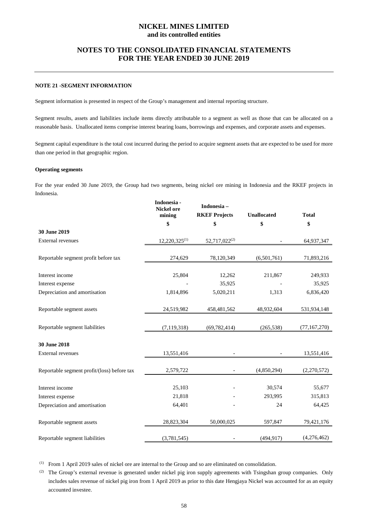## **NOTES TO THE CONSOLIDATED FINANCIAL STATEMENTS FOR THE YEAR ENDED 30 JUNE 2019**

## **NOTE 21 -SEGMENT INFORMATION**

Segment information is presented in respect of the Group's management and internal reporting structure.

Segment results, assets and liabilities include items directly attributable to a segment as well as those that can be allocated on a reasonable basis. Unallocated items comprise interest bearing loans, borrowings and expenses, and corporate assets and expenses.

Segment capital expenditure is the total cost incurred during the period to acquire segment assets that are expected to be used for more than one period in that geographic region.

#### **Operating segments**

For the year ended 30 June 2019, the Group had two segments, being nickel ore mining in Indonesia and the RKEF projects in Indonesia.

|                                             | Indonesia -<br><b>Nickel ore</b><br>mining | Indonesia-<br><b>RKEF Projects</b> | <b>Unallocated</b> | <b>Total</b>   |
|---------------------------------------------|--------------------------------------------|------------------------------------|--------------------|----------------|
|                                             | \$                                         | \$                                 | \$                 | \$             |
| 30 June 2019                                |                                            |                                    |                    |                |
| <b>External revenues</b>                    | $12,220,325^{(1)}$                         | 52,717,022 <sup>(2)</sup>          |                    | 64,937,347     |
| Reportable segment profit before tax        | 274,629                                    | 78,120,349                         | (6,501,761)        | 71,893,216     |
| Interest income                             | 25,804                                     | 12,262                             | 211,867            | 249,933        |
| Interest expense                            |                                            | 35,925                             |                    | 35,925         |
| Depreciation and amortisation               | 1,814,896                                  | 5,020,211                          | 1,313              | 6,836,420      |
| Reportable segment assets                   | 24,519,982                                 | 458, 481, 562                      | 48,932,604         | 531,934,148    |
| Reportable segment liabilities              | (7, 119, 318)                              | (69, 782, 414)                     | (265, 538)         | (77, 167, 270) |
| 30 June 2018                                |                                            |                                    |                    |                |
| <b>External revenues</b>                    | 13,551,416                                 |                                    |                    | 13,551,416     |
| Reportable segment profit/(loss) before tax | 2,579,722                                  |                                    | (4,850,294)        | (2,270,572)    |
| Interest income                             | 25,103                                     |                                    | 30,574             | 55,677         |
| Interest expense                            | 21,818                                     |                                    | 293,995            | 315,813        |
| Depreciation and amortisation               | 64,401                                     |                                    | 24                 | 64,425         |
| Reportable segment assets                   | 28,823,304                                 | 50,000,025                         | 597,847            | 79,421,176     |
| Reportable segment liabilities              | (3,781,545)                                |                                    | (494, 917)         | (4,276,462)    |

(1) From 1 April 2019 sales of nickel ore are internal to the Group and so are eliminated on consolidation.

<sup>(2)</sup> The Group's external revenue is generated under nickel pig iron supply agreements with Tsingshan group companies. Only includes sales revenue of nickel pig iron from 1 April 2019 as prior to this date Hengjaya Nickel was accounted for as an equity accounted investee.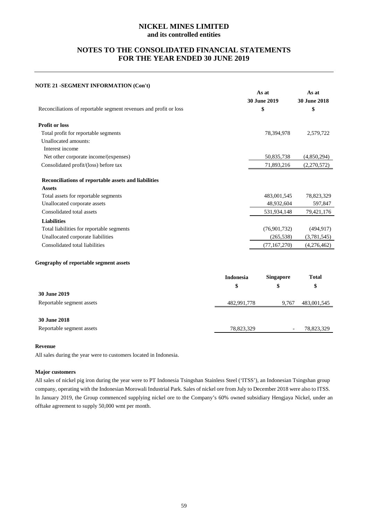## **NOTES TO THE CONSOLIDATED FINANCIAL STATEMENTS FOR THE YEAR ENDED 30 JUNE 2019**

## **NOTE 21 -SEGMENT INFORMATION (Con't)**

|                                                                   |                  | As at<br>30 June 2019 | As at<br>30 June 2018 |
|-------------------------------------------------------------------|------------------|-----------------------|-----------------------|
| Reconciliations of reportable segment revenues and profit or loss |                  | \$                    | \$                    |
| <b>Profit or loss</b>                                             |                  |                       |                       |
| Total profit for reportable segments                              |                  | 78,394,978            | 2,579,722             |
| Unallocated amounts:                                              |                  |                       |                       |
| Interest income                                                   |                  |                       |                       |
| Net other corporate income/(expenses)                             |                  | 50,835,738            | (4,850,294)           |
| Consolidated profit/(loss) before tax                             |                  | 71,893,216            | (2,270,572)           |
| Reconciliations of reportable assets and liabilities              |                  |                       |                       |
| <b>Assets</b>                                                     |                  |                       |                       |
| Total assets for reportable segments                              |                  | 483,001,545           | 78,823,329            |
| Unallocated corporate assets                                      |                  | 48,932,604            | 597,847               |
| Consolidated total assets                                         |                  | 531,934,148           | 79,421,176            |
| <b>Liabilities</b>                                                |                  |                       |                       |
| Total liabilities for reportable segments                         |                  | (76,901,732)          | (494, 917)            |
| Unallocated corporate liabilities                                 |                  | (265, 538)            | (3,781,545)           |
| Consolidated total liabilities                                    |                  | (77, 167, 270)        | (4,276,462)           |
| Geography of reportable segment assets                            |                  |                       |                       |
|                                                                   | <b>Indonesia</b> | <b>Singapore</b>      | <b>Total</b>          |
|                                                                   | \$               | \$                    | \$                    |
| <b>30 June 2019</b>                                               |                  |                       |                       |

| Reportable segment assets | 482,991,778 | 9,767 483,001,545 |
|---------------------------|-------------|-------------------|
|                           |             |                   |

## **30 June 2018**

| Reportable segment assets | 78.823.329 | 78.823.329 |
|---------------------------|------------|------------|

#### **Revenue**

All sales during the year were to customers located in Indonesia.

#### **Major customers**

All sales of nickel pig iron during the year were to PT Indonesia Tsingshan Stainless Steel ('ITSS'), an Indonesian Tsingshan group company, operating with the Indonesian Morowali Industrial Park. Sales of nickel ore from July to December 2018 were also to ITSS. In January 2019, the Group commenced supplying nickel ore to the Company's 60% owned subsidiary Hengjaya Nickel, under an offtake agreement to supply 50,000 wmt per month.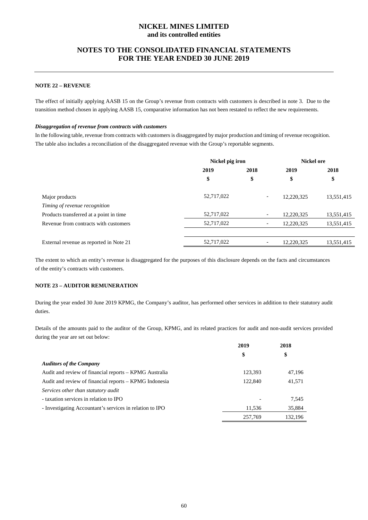## **NOTES TO THE CONSOLIDATED FINANCIAL STATEMENTS FOR THE YEAR ENDED 30 JUNE 2019**

## **NOTE 22 – REVENUE**

The effect of initially applying AASB 15 on the Group's revenue from contracts with customers is described in note 3. Due to the transition method chosen in applying AASB 15, comparative information has not been restated to reflect the new requirements.

#### *Disaggregation of revenue from contracts with customers*

In the following table, revenue from contracts with customers is disaggregated by major production and timing of revenue recognition. The table also includes a reconciliation of the disaggregated revenue with the Group's reportable segments.

|                                         | Nickel pig iron |                          | Nickel ore |            |
|-----------------------------------------|-----------------|--------------------------|------------|------------|
|                                         | 2019<br>2018    |                          | 2019       | 2018       |
|                                         | \$              | \$                       | \$         | \$         |
| Major products                          | 52,717,022      | -                        | 12,220,325 | 13,551,415 |
| Timing of revenue recognition           |                 |                          |            |            |
| Products transferred at a point in time | 52,717,022      | $\overline{\phantom{a}}$ | 12,220,325 | 13,551,415 |
| Revenue from contracts with customers   | 52,717,022      | -                        | 12,220,325 | 13,551,415 |
|                                         |                 |                          |            |            |
| External revenue as reported in Note 21 | 52,717,022      |                          | 12.220.325 | 13,551,415 |

The extent to which an entity's revenue is disaggregated for the purposes of this disclosure depends on the facts and circumstances of the entity's contracts with customers.

#### **NOTE 23 – AUDITOR REMUNERATION**

During the year ended 30 June 2019 KPMG, the Company's auditor, has performed other services in addition to their statutory audit duties.

Details of the amounts paid to the auditor of the Group, KPMG, and its related practices for audit and non-audit services provided during the year are set out below:

|                                                          | 2019    | 2018    |
|----------------------------------------------------------|---------|---------|
|                                                          | \$      | \$      |
| <b>Auditors of the Company</b>                           |         |         |
| Audit and review of financial reports – KPMG Australia   | 123,393 | 47,196  |
| Audit and review of financial reports – KPMG Indonesia   | 122,840 | 41,571  |
| Services other than statutory audit                      |         |         |
| - taxation services in relation to IPO                   |         | 7,545   |
| - Investigating Accountant's services in relation to IPO | 11,536  | 35,884  |
|                                                          | 257,769 | 132.196 |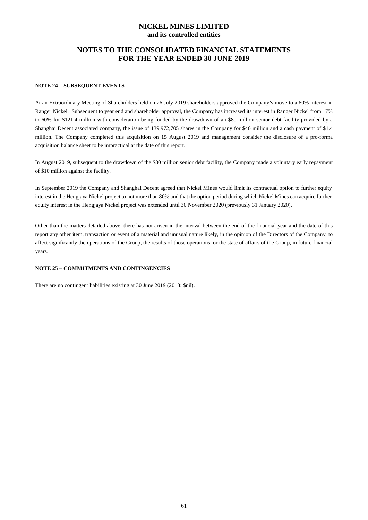## **NOTES TO THE CONSOLIDATED FINANCIAL STATEMENTS FOR THE YEAR ENDED 30 JUNE 2019**

## **NOTE 24 – SUBSEQUENT EVENTS**

At an Extraordinary Meeting of Shareholders held on 26 July 2019 shareholders approved the Company's move to a 60% interest in Ranger Nickel. Subsequent to year end and shareholder approval, the Company has increased its interest in Ranger Nickel from 17% to 60% for \$121.4 million with consideration being funded by the drawdown of an \$80 million senior debt facility provided by a Shanghai Decent associated company, the issue of 139,972,705 shares in the Company for \$40 million and a cash payment of \$1.4 million. The Company completed this acquisition on 15 August 2019 and management consider the disclosure of a pro-forma acquisition balance sheet to be impractical at the date of this report.

In August 2019, subsequent to the drawdown of the \$80 million senior debt facility, the Company made a voluntary early repayment of \$10 million against the facility.

In September 2019 the Company and Shanghai Decent agreed that Nickel Mines would limit its contractual option to further equity interest in the Hengjaya Nickel project to not more than 80% and that the option period during which Nickel Mines can acquire further equity interest in the Hengjaya Nickel project was extended until 30 November 2020 (previously 31 January 2020).

Other than the matters detailed above, there has not arisen in the interval between the end of the financial year and the date of this report any other item, transaction or event of a material and unusual nature likely, in the opinion of the Directors of the Company, to affect significantly the operations of the Group, the results of those operations, or the state of affairs of the Group, in future financial years.

#### **NOTE 25 – COMMITMENTS AND CONTINGENCIES**

There are no contingent liabilities existing at 30 June 2019 (2018: \$nil).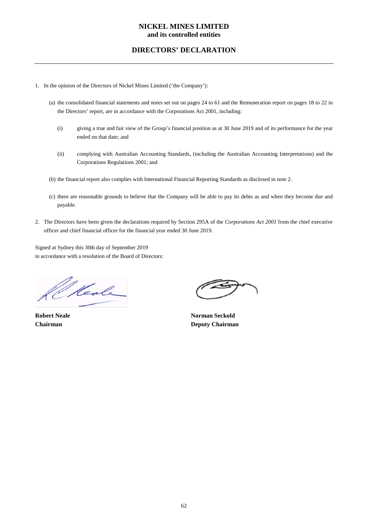## **DIRECTORS' DECLARATION**

- 1. In the opinion of the Directors of Nickel Mines Limited ('the Company'):
	- (a) the consolidated financial statements and notes set out on pages 24 to 61 and the Remuneration report on pages 18 to 22 in the Directors' report, are in accordance with the Corporations Act 2001, including:
		- (i) giving a true and fair view of the Group's financial position as at 30 June 2019 and of its performance for the year ended on that date; and
		- (ii) complying with Australian Accounting Standards, (including the Australian Accounting Interpretations) and the Corporations Regulations 2001; and
	- (b) the financial report also complies with International Financial Reporting Standards as disclosed in note 2.
	- (c) there are reasonable grounds to believe that the Company will be able to pay its debts as and when they become due and payable.
- 2. The Directors have been given the declarations required by Section 295A of the *Corporations Act 2001* from the chief executive officer and chief financial officer for the financial year ended 30 June 2019.

Signed at Sydney this 30th day of September 2019 in accordance with a resolution of the Board of Directors:

Mede

**Robert Neale Norman Seckold Chairman Deputy Chairman**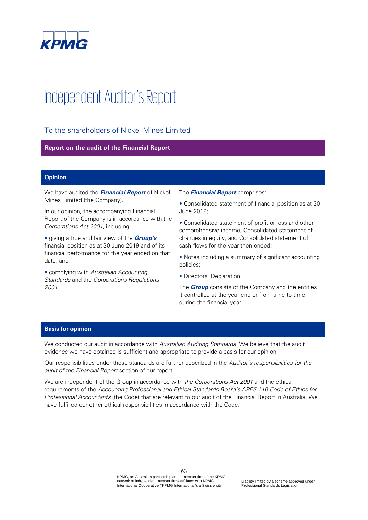

# Independent Auditor's Report

## To the shareholders of Nickel Mines Limited

## **Report on the audit of the Financial Report**

## **Opinion**

We have audited the **Financial Report** of Nickel Mines Limited (the Company).

In our opinion, the accompanying Financial Report of the Company is in accordance with the Corporations Act 2001, including:

• giving a true and fair view of the **Group's** financial position as at 30 June 2019 and of its financial performance for the year ended on that date; and

• complying with Australian Accounting Standards and the Corporations Regulations 2001.

The **Financial Report** comprises:

• Consolidated statement of financial position as at 30 June 2019;

• Consolidated statement of profit or loss and other comprehensive income, Consolidated statement of changes in equity, and Consolidated statement of cash flows for the year then ended;

• Notes including a summary of significant accounting policies;

• Directors' Declaration.

The **Group** consists of the Company and the entities it controlled at the year end or from time to time during the financial year.

## **Basis for opinion**

We conducted our audit in accordance with Australian Auditing Standards. We believe that the audit evidence we have obtained is sufficient and appropriate to provide a basis for our opinion.

Our responsibilities under those standards are further described in the Auditor's responsibilities for the audit of the Financial Report section of our report.

We are independent of the Group in accordance with the Corporations Act 2001 and the ethical requirements of the Accounting Professional and Ethical Standards Board's APES 110 Code of Ethics for Professional Accountants (the Code) that are relevant to our audit of the Financial Report in Australia. We have fulfilled our other ethical responsibilities in accordance with the Code.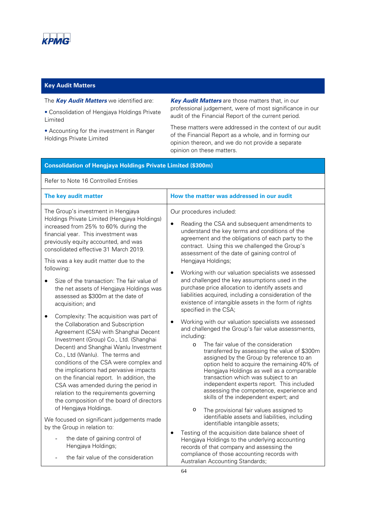

## **Key Audit Matters**

## The **Key Audit Matters** we identified are:

• Consolidation of Hengjaya Holdings Private Limited

• Accounting for the investment in Ranger Holdings Private Limited

**Key Audit Matters** are those matters that, in our professional judgement, were of most significance in our audit of the Financial Report of the current period.

These matters were addressed in the context of our audit of the Financial Report as a whole, and in forming our opinion thereon, and we do not provide a separate opinion on these matters.

## **Consolidation of Hengjaya Holdings Private Limited (\$300m)**

Refer to Note 16 Controlled Entities

| The key audit matter                                                                                                                                                                                                                                                                                                                                                                                                                                                                                                                 | How the matter was addressed in our audit                                                                                                                                                                                                                                                                                                                                                                                                                                                                                                                                                             |
|--------------------------------------------------------------------------------------------------------------------------------------------------------------------------------------------------------------------------------------------------------------------------------------------------------------------------------------------------------------------------------------------------------------------------------------------------------------------------------------------------------------------------------------|-------------------------------------------------------------------------------------------------------------------------------------------------------------------------------------------------------------------------------------------------------------------------------------------------------------------------------------------------------------------------------------------------------------------------------------------------------------------------------------------------------------------------------------------------------------------------------------------------------|
| The Group's investment in Hengjaya<br>Holdings Private Limited (Hengjaya Holdings)<br>increased from 25% to 60% during the<br>financial year. This investment was<br>previously equity accounted, and was<br>consolidated effective 31 March 2019.<br>This was a key audit matter due to the                                                                                                                                                                                                                                         | Our procedures included:<br>Reading the CSA and subsequent amendments to<br>$\bullet$<br>understand the key terms and conditions of the<br>agreement and the obligations of each party to the<br>contract. Using this we challenged the Group's<br>assessment of the date of gaining control of<br>Hengjaya Holdings;                                                                                                                                                                                                                                                                                 |
| following:<br>Size of the transaction: The fair value of<br>the net assets of Hengjaya Holdings was<br>assessed as \$300m at the date of<br>acquisition; and                                                                                                                                                                                                                                                                                                                                                                         | Working with our valuation specialists we assessed<br>٠<br>and challenged the key assumptions used in the<br>purchase price allocation to identify assets and<br>liabilities acquired, including a consideration of the<br>existence of intangible assets in the form of rights<br>specified in the CSA;                                                                                                                                                                                                                                                                                              |
| Complexity: The acquisition was part of<br>the Collaboration and Subscription<br>Agreement (CSA) with Shanghai Decent<br>Investment (Group) Co., Ltd. (Shanghai<br>Decent) and Shanghai Wanlu Investment<br>Co., Ltd (Wanlu). The terms and<br>conditions of the CSA were complex and<br>the implications had pervasive impacts<br>on the financial report. In addition, the<br>CSA was amended during the period in<br>relation to the requirements governing<br>the composition of the board of directors<br>of Hengjaya Holdings. | Working with our valuation specialists we assessed<br>٠<br>and challenged the Group's fair value assessments,<br>including:<br>The fair value of the consideration<br>$\Omega$<br>transferred by assessing the value of \$300m<br>assigned by the Group by reference to an<br>option held to acquire the remaining 40% of<br>Hengjaya Holdings as well as a comparable<br>transaction which was subject to an<br>independent experts report. This included<br>assessing the competence, experience and<br>skills of the independent expert; and<br>$\circ$<br>The provisional fair values assigned to |
| We focused on significant judgements made<br>by the Group in relation to:<br>the date of gaining control of                                                                                                                                                                                                                                                                                                                                                                                                                          | identifiable assets and liabilities, including<br>identifiable intangible assets;<br>Testing of the acquisition date balance sheet of<br>$\bullet$<br>Hengjaya Holdings to the underlying accounting                                                                                                                                                                                                                                                                                                                                                                                                  |
| Hengjaya Holdings;<br>the fair value of the consideration                                                                                                                                                                                                                                                                                                                                                                                                                                                                            | records of that company and assessing the<br>compliance of those accounting records with<br>Australian Accounting Standards;                                                                                                                                                                                                                                                                                                                                                                                                                                                                          |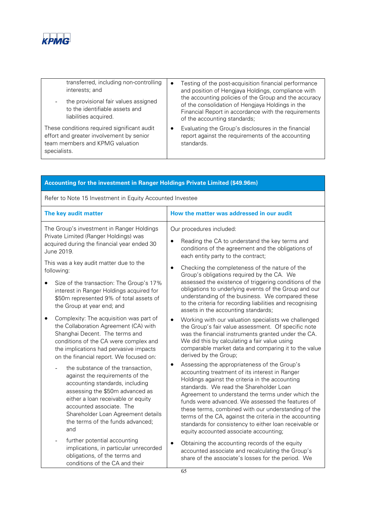

| transferred, including non-controlling<br>interests; and<br>the provisional fair values assigned<br>to the identifiable assets and<br>liabilities acquired. | $\bullet$ | Testing of the post-acquisition financial performance<br>and position of Hengjaya Holdings, compliance with<br>the accounting policies of the Group and the accuracy<br>of the consolidation of Hengjaya Holdings in the<br>Financial Report in accordance with the requirements<br>of the accounting standards; |
|-------------------------------------------------------------------------------------------------------------------------------------------------------------|-----------|------------------------------------------------------------------------------------------------------------------------------------------------------------------------------------------------------------------------------------------------------------------------------------------------------------------|
| These conditions required significant audit<br>effort and greater involvement by senior<br>team members and KPMG valuation<br>specialists.                  |           | Evaluating the Group's disclosures in the financial<br>report against the requirements of the accounting<br>standards.                                                                                                                                                                                           |

| Accounting for the investment in Ranger Holdings Private Limited (\$49.96m)                                                                                                                                                                                                                   |                                                                                                                                                                                                                                                                                                                                                                                                                                                                                                                             |  |  |
|-----------------------------------------------------------------------------------------------------------------------------------------------------------------------------------------------------------------------------------------------------------------------------------------------|-----------------------------------------------------------------------------------------------------------------------------------------------------------------------------------------------------------------------------------------------------------------------------------------------------------------------------------------------------------------------------------------------------------------------------------------------------------------------------------------------------------------------------|--|--|
| Refer to Note 15 Investment in Equity Accounted Investee                                                                                                                                                                                                                                      |                                                                                                                                                                                                                                                                                                                                                                                                                                                                                                                             |  |  |
| The key audit matter                                                                                                                                                                                                                                                                          | How the matter was addressed in our audit                                                                                                                                                                                                                                                                                                                                                                                                                                                                                   |  |  |
| The Group's investment in Ranger Holdings<br>Private Limited (Ranger Holdings) was<br>acquired during the financial year ended 30<br>June 2019.                                                                                                                                               | Our procedures included:<br>Reading the CA to understand the key terms and<br>conditions of the agreement and the obligations of<br>each entity party to the contract;                                                                                                                                                                                                                                                                                                                                                      |  |  |
| This was a key audit matter due to the<br>following:<br>Size of the transaction: The Group's 17%<br>interest in Ranger Holdings acquired for<br>\$50m represented 9% of total assets of<br>the Group at year end; and                                                                         | Checking the completeness of the nature of the<br>$\bullet$<br>Group's obligations required by the CA. We<br>assessed the existence of triggering conditions of the<br>obligations to underlying events of the Group and our<br>understanding of the business. We compared these<br>to the criteria for recording liabilities and recognising<br>assets in the accounting standards;                                                                                                                                        |  |  |
| Complexity: The acquisition was part of<br>٠<br>the Collaboration Agreement (CA) with<br>Shanghai Decent. The terms and<br>conditions of the CA were complex and<br>the implications had pervasive impacts<br>on the financial report. We focused on:                                         | Working with our valuation specialists we challenged<br>$\bullet$<br>the Group's fair value assessment. Of specific note<br>was the financial instruments granted under the CA.<br>We did this by calculating a fair value using<br>comparable market data and comparing it to the value<br>derived by the Group;                                                                                                                                                                                                           |  |  |
| the substance of the transaction,<br>against the requirements of the<br>accounting standards, including<br>assessing the \$50m advanced as<br>either a loan receivable or equity<br>accounted associate. The<br>Shareholder Loan Agreement details<br>the terms of the funds advanced;<br>and | Assessing the appropriateness of the Group's<br>accounting treatment of its interest in Ranger<br>Holdings against the criteria in the accounting<br>standards. We read the Shareholder Loan<br>Agreement to understand the terms under which the<br>funds were advanced. We assessed the features of<br>these terms, combined with our understanding of the<br>terms of the CA, against the criteria in the accounting<br>standards for consistency to either loan receivable or<br>equity accounted associate accounting; |  |  |
| further potential accounting<br>implications, in particular unrecorded<br>obligations, of the terms and<br>conditions of the CA and their                                                                                                                                                     | Obtaining the accounting records of the equity<br>٠<br>accounted associate and recalculating the Group's<br>share of the associate's losses for the period. We                                                                                                                                                                                                                                                                                                                                                              |  |  |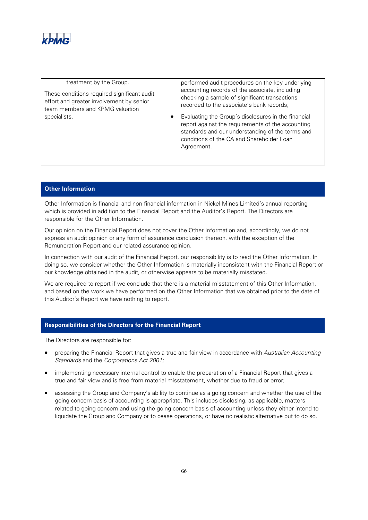

| treatment by the Group.<br>These conditions required significant audit<br>effort and greater involvement by senior<br>team members and KPMG valuation<br>specialists. | performed audit procedures on the key underlying<br>accounting records of the associate, including<br>checking a sample of significant transactions<br>recorded to the associate's bank records;<br>Evaluating the Group's disclosures in the financial<br>report against the requirements of the accounting<br>standards and our understanding of the terms and<br>conditions of the CA and Shareholder Loan<br>Agreement. |
|-----------------------------------------------------------------------------------------------------------------------------------------------------------------------|-----------------------------------------------------------------------------------------------------------------------------------------------------------------------------------------------------------------------------------------------------------------------------------------------------------------------------------------------------------------------------------------------------------------------------|
|                                                                                                                                                                       |                                                                                                                                                                                                                                                                                                                                                                                                                             |

## **Other Information**

Other Information is financial and non-financial information in Nickel Mines Limited's annual reporting which is provided in addition to the Financial Report and the Auditor's Report. The Directors are responsible for the Other Information.

Our opinion on the Financial Report does not cover the Other Information and, accordingly, we do not express an audit opinion or any form of assurance conclusion thereon, with the exception of the Remuneration Report and our related assurance opinion.

In connection with our audit of the Financial Report, our responsibility is to read the Other Information. In doing so, we consider whether the Other Information is materially inconsistent with the Financial Report or our knowledge obtained in the audit, or otherwise appears to be materially misstated.

We are required to report if we conclude that there is a material misstatement of this Other Information, and based on the work we have performed on the Other Information that we obtained prior to the date of this Auditor's Report we have nothing to report.

## **Responsibilities of the Directors for the Financial Report**

The Directors are responsible for:

- preparing the Financial Report that gives a true and fair view in accordance with Australian Accounting Standards and the Corporations Act 2001;
- implementing necessary internal control to enable the preparation of a Financial Report that gives a true and fair view and is free from material misstatement, whether due to fraud or error;
- assessing the Group and Company's ability to continue as a going concern and whether the use of the going concern basis of accounting is appropriate. This includes disclosing, as applicable, matters related to going concern and using the going concern basis of accounting unless they either intend to liquidate the Group and Company or to cease operations, or have no realistic alternative but to do so.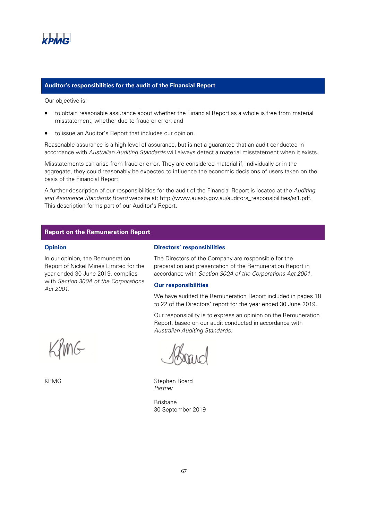

## **Auditor's responsibilities for the audit of the Financial Report**

Our objective is:

- to obtain reasonable assurance about whether the Financial Report as a whole is free from material misstatement, whether due to fraud or error; and
- to issue an Auditor's Report that includes our opinion.

Reasonable assurance is a high level of assurance, but is not a guarantee that an audit conducted in accordance with Australian Auditing Standards will always detect a material misstatement when it exists.

Misstatements can arise from fraud or error. They are considered material if, individually or in the aggregate, they could reasonably be expected to influence the economic decisions of users taken on the basis of the Financial Report.

A further description of our responsibilities for the audit of the Financial Report is located at the Auditing and Assurance Standards Board website at: http://www.auasb.gov.au/auditors\_responsibilities/ar1.pdf. This description forms part of our Auditor's Report.

## **Report on the Remuneration Report**

#### **Opinion**

In our opinion, the Remuneration Report of Nickel Mines Limited for the year ended 30 June 2019, complies with Section 300A of the Corporations Act 2001.

## **Directors' responsibilities**

The Directors of the Company are responsible for the preparation and presentation of the Remuneration Report in accordance with Section 300A of the Corporations Act 2001.

#### **Our responsibilities**

We have audited the Remuneration Report included in pages 18 to 22 of the Directors' report for the year ended 30 June 2019.

Our responsibility is to express an opinion on the Remuneration Report, based on our audit conducted in accordance with Australian Auditing Standards.

KPMG Stephen Board Partner

Brisbane 30 September 2019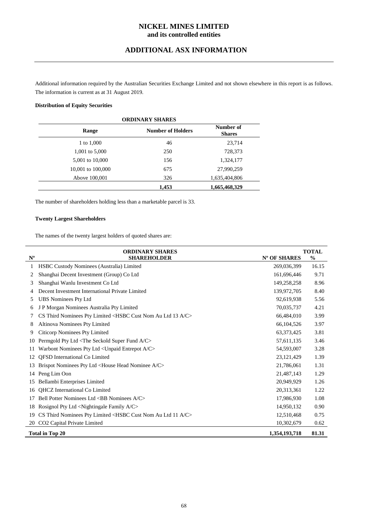## **ADDITIONAL ASX INFORMATION**

Additional information required by the Australian Securities Exchange Limited and not shown elsewhere in this report is as follows. The information is current as at 31 August 2019.

## **Distribution of Equity Securities**

| <b>ORDINARY SHARES</b> |                          |               |  |
|------------------------|--------------------------|---------------|--|
| Range                  | <b>Number of Holders</b> |               |  |
| 1 to 1,000             | 46                       | 23,714        |  |
| 1,001 to 5,000         | 250                      | 728,373       |  |
| 5,001 to 10,000        | 156                      | 1,324,177     |  |
| 10,001 to 100,000      | 675                      | 27,990,259    |  |
| Above 100,001          | 326                      | 1,635,404,806 |  |
|                        | 1,453                    | 1,665,468,329 |  |

The number of shareholders holding less than a marketable parcel is 33.

## **Twenty Largest Shareholders**

The names of the twenty largest holders of quoted shares are:

|                                           | <b>ORDINARY SHARES</b>                                                                  |              | <b>TOTAL</b>  |  |
|-------------------------------------------|-----------------------------------------------------------------------------------------|--------------|---------------|--|
| $\mathbf{N}^{\text{o}}$                   | <b>SHAREHOLDER</b>                                                                      | Nº OF SHARES | $\frac{0}{0}$ |  |
| 1                                         | HSBC Custody Nominees (Australia) Limited                                               | 269,036,399  | 16.15         |  |
| 2                                         | Shanghai Decent Investment (Group) Co Ltd                                               | 161,696,446  | 9.71          |  |
| 3                                         | Shanghai Wanlu Investment Co Ltd                                                        | 149,258,258  | 8.96          |  |
|                                           | Decent Investment International Private Limited                                         | 139,972,705  | 8.40          |  |
| 5                                         | <b>UBS Nominees Pty Ltd</b>                                                             | 92,619,938   | 5.56          |  |
| 6                                         | J P Morgan Nominees Australia Pty Limited                                               | 70,035,737   | 4.21          |  |
|                                           | CS Third Nominees Pty Limited <hsbc 13="" a="" au="" c="" cust="" ltd="" nom=""></hsbc> | 66,484,010   | 3.99          |  |
| 8                                         | Altinova Nominees Pty Limited                                                           | 66,104,526   | 3.97          |  |
| 9                                         | Citicorp Nominees Pty Limited                                                           | 63, 373, 425 | 3.81          |  |
| 10                                        | Permgold Pty Ltd <the a="" c="" fund="" seckold="" super=""></the>                      | 57,611,135   | 3.46          |  |
| -11                                       | Warbont Nominees Pty Ltd < Unpaid Entrepot A/C>                                         | 54,593,007   | 3.28          |  |
| 12                                        | <b>OFSD</b> International Co Limited                                                    | 23,121,429   | 1.39          |  |
| 13                                        | Brispot Nominees Pty Ltd <house a="" c="" head="" nominee=""></house>                   | 21,786,061   | 1.31          |  |
| 14                                        | Peng Lim Oon                                                                            | 21,487,143   | 1.29          |  |
| 15                                        | Bellambi Enterprises Limited                                                            | 20,949,929   | 1.26          |  |
| 16                                        | <b>OHCZ</b> International Co Limited                                                    | 20,313,361   | 1.22          |  |
| 17                                        | Bell Potter Nominees Ltd <bb a="" c="" nominees=""></bb>                                | 17,986,930   | 1.08          |  |
| 18                                        | Rosignol Pty Ltd <nightingale a="" c="" family=""></nightingale>                        | 14,950,132   | 0.90          |  |
| 19                                        | CS Third Nominees Pty Limited <hsbc 11="" a="" au="" c="" cust="" ltd="" nom=""></hsbc> | 12,510,468   | 0.75          |  |
| 20                                        | CO2 Capital Private Limited                                                             | 10,302,679   | 0.62          |  |
| 81.31<br>Total in Top 20<br>1,354,193,718 |                                                                                         |              |               |  |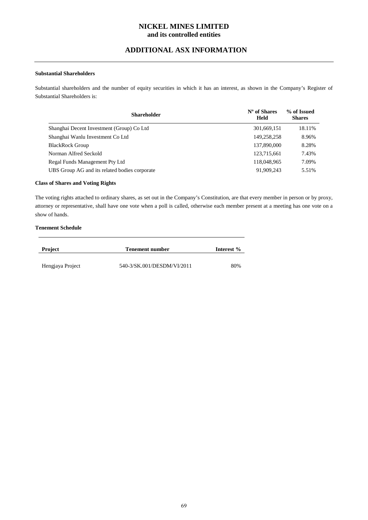## **ADDITIONAL ASX INFORMATION**

## **Substantial Shareholders**

Substantial shareholders and the number of equity securities in which it has an interest, as shown in the Company's Register of Substantial Shareholders is:

| <b>Shareholder</b>                            | $No$ of Shares<br><b>Held</b> | % of Issued<br><b>Shares</b> |
|-----------------------------------------------|-------------------------------|------------------------------|
| Shanghai Decent Investment (Group) Co Ltd     | 301,669,151                   | 18.11%                       |
| Shanghai Wanlu Investment Co Ltd              | 149.258.258                   | 8.96%                        |
| <b>BlackRock Group</b>                        | 137,890,000                   | 8.28%                        |
| Norman Alfred Seckold                         | 123.715.661                   | 7.43%                        |
| Regal Funds Management Pty Ltd                | 118,048,965                   | 7.09%                        |
| UBS Group AG and its related bodies corporate | 91,909,243                    | 5.51%                        |

#### **Class of Shares and Voting Rights**

The voting rights attached to ordinary shares, as set out in the Company's Constitution, are that every member in person or by proxy, attorney or representative, shall have one vote when a poll is called, otherwise each member present at a meeting has one vote on a show of hands.

## **Tenement Schedule**

| <b>Project</b>   | Tenement number            | Interest % |
|------------------|----------------------------|------------|
| Hengjaya Project | 540-3/SK.001/DESDM/VI/2011 | 80%        |